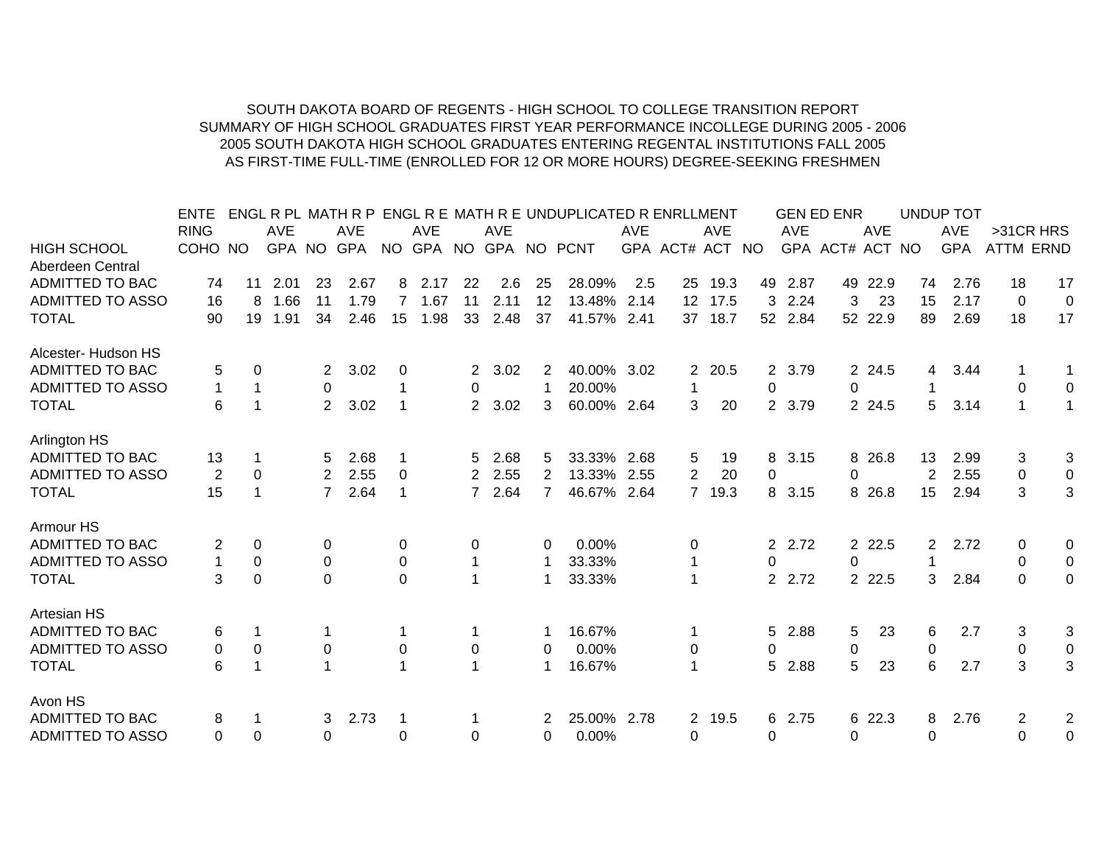## SOUTH DAKOTA BOARD OF REGENTS - HIGH SCHOOL TO COLLEGE TRANSITION REPORTSUMMARY OF HIGH SCHOOL GRADUATES FIRST YEAR PERFORMANCE INCOLLEGE DURING 2005 - 2006 2005 SOUTH DAKOTA HIGH SCHOOL GRADUATES ENTERING REGENTAL INSTITUTIONS FALL 2005 AS FIRST-TIME FULL-TIME (ENROLLED FOR 12 OR MORE HOURS) DEGREE-SEEKING FRESHMEN

|                         | <b>ENTE</b> |             |            |                |            |                |            |                       |            |                | ENGL R PL MATH R P ENGL R E MATH R E UNDUPLICATED R ENRLLMENT |            |                       |            |                |            | <b>GEN ED ENR</b> |            |                | UNDUP TOT  |                  |                |
|-------------------------|-------------|-------------|------------|----------------|------------|----------------|------------|-----------------------|------------|----------------|---------------------------------------------------------------|------------|-----------------------|------------|----------------|------------|-------------------|------------|----------------|------------|------------------|----------------|
|                         | <b>RING</b> |             | <b>AVE</b> |                | <b>AVE</b> |                | <b>AVE</b> |                       | <b>AVE</b> |                |                                                               | <b>AVE</b> |                       | <b>AVE</b> |                | <b>AVE</b> |                   | <b>AVE</b> |                | <b>AVE</b> | >31CR HRS        |                |
| <b>HIGH SCHOOL</b>      | COHO NO     |             |            |                | GPA NO GPA |                |            |                       |            |                | NO GPA NO GPA NO PCNT                                         |            | GPA ACT# ACT NO       |            |                |            | GPA ACT# ACT NO   |            |                | <b>GPA</b> | <b>ATTM ERND</b> |                |
| Aberdeen Central        |             |             |            |                |            |                |            |                       |            |                |                                                               |            |                       |            |                |            |                   |            |                |            |                  |                |
| ADMITTED TO BAC         | 74          | 11          | 2.01       | 23             | 2.67       | 8              | 2.17       | 22                    | 2.6        | 25             | 28.09%                                                        | 2.5        | 25                    | 19.3       |                | 49 2.87    | 49                | 22.9       | 74             | 2.76       | 18               | 17             |
| <b>ADMITTED TO ASSO</b> | 16          | 8           | 1.66       | 11             | 1.79       |                | 1.67       | 11                    | 2.11       | 12             | 13.48%                                                        | 2.14       | 12 <sup>2</sup>       | 17.5       | 3              | 2.24       | 3                 | 23         | 15             | 2.17       | $\Omega$         | $\mathbf 0$    |
| <b>TOTAL</b>            | 90          | 19          | 1.91       | 34             | 2.46       | 15             | 1.98       | 33                    | 2.48       | 37             | 41.57% 2.41                                                   |            | 37                    | 18.7       |                | 52 2.84    |                   | 52 22.9    | 89             | 2.69       | 18               | 17             |
| Alcester-Hudson HS      |             |             |            |                |            |                |            |                       |            |                |                                                               |            |                       |            |                |            |                   |            |                |            |                  |                |
| ADMITTED TO BAC         | 5           | 0           |            | 2              | 3.02       | 0              |            | 2                     | 3.02       | 2              | 40.00% 3.02                                                   |            | $\mathbf{2}^{\prime}$ | 20.5       | $2^{\circ}$    | 3.79       |                   | 2 24.5     | 4              | 3.44       |                  |                |
| <b>ADMITTED TO ASSO</b> | $\mathbf 1$ |             |            | $\Omega$       |            |                |            | 0                     |            |                | 20.00%                                                        |            | 1                     |            | 0              |            | $\Omega$          |            | 1              |            | 0                | $\Omega$       |
| <b>TOTAL</b>            | 6           |             |            | $\overline{2}$ | 3.02       | -1             |            | $\mathbf{2}^{\prime}$ | 3.02       | 3              | 60.00% 2.64                                                   |            | 3                     | 20         |                | 2 3.79     |                   | 2 24.5     | 5              | 3.14       |                  | $\mathbf{1}$   |
| Arlington HS            |             |             |            |                |            |                |            |                       |            |                |                                                               |            |                       |            |                |            |                   |            |                |            |                  |                |
| ADMITTED TO BAC         | 13          |             |            | 5              | 2.68       |                |            | 5                     | 2.68       | 5              | 33.33% 2.68                                                   |            | 5                     | 19         | 8              | 3.15       |                   | 8 26.8     | 13             | 2.99       | 3                | 3              |
| ADMITTED TO ASSO        | 2           | 0           |            | 2              | 2.55       | $\Omega$       |            | 2                     | 2.55       | 2              | 13.33%                                                        | 2.55       | 2                     | 20         | 0              |            | 0                 |            | 2              | 2.55       | 0                | $\mathbf 0$    |
| <b>TOTAL</b>            | 15          | 1           |            | $\overline{7}$ | 2.64       | -1             |            | $\overline{7}$        | 2.64       | $\overline{7}$ | 46.67% 2.64                                                   |            | $\overline{7}$        | 19.3       |                | 8 3.15     |                   | 8 26.8     | 15             | 2.94       | 3                | 3              |
| Armour HS               |             |             |            |                |            |                |            |                       |            |                |                                                               |            |                       |            |                |            |                   |            |                |            |                  |                |
| ADMITTED TO BAC         | 2           | 0           |            | 0              |            | 0              |            | 0                     |            | 0              | 0.00%                                                         |            | 0                     |            | $\overline{2}$ | 2.72       |                   | 2 2 2.5    | $\overline{2}$ | 2.72       | 0                | 0              |
| <b>ADMITTED TO ASSO</b> |             | 0           |            | 0              |            | 0              |            |                       |            |                | 33.33%                                                        |            |                       |            | 0              |            | 0                 |            |                |            | 0                | $\mathbf 0$    |
| <b>TOTAL</b>            | 3           | $\mathbf 0$ |            | $\Omega$       |            | $\Omega$       |            |                       |            | 1              | 33.33%                                                        |            |                       |            |                | 2 2.72     |                   | 2 2 2 .5   | 3              | 2.84       | $\Omega$         | 0              |
| Artesian HS             |             |             |            |                |            |                |            |                       |            |                |                                                               |            |                       |            |                |            |                   |            |                |            |                  |                |
| ADMITTED TO BAC         | 6           |             |            |                |            |                |            |                       |            |                | 16.67%                                                        |            |                       |            | 5              | 2.88       | 5                 | 23         | 6              | 2.7        | 3                | 3              |
| <b>ADMITTED TO ASSO</b> | 0           | 0           |            | 0              |            | $\overline{0}$ |            | 0                     |            | $\mathbf 0$    | 0.00%                                                         |            | 0                     |            | 0              |            | 0                 |            | 0              |            | 0                | $\overline{0}$ |
| <b>TOTAL</b>            | 6           |             |            |                |            |                |            |                       |            | 1              | 16.67%                                                        |            |                       |            | 5              | 2.88       | 5                 | 23         | $6\phantom{1}$ | 2.7        | 3                | 3              |
| Avon HS                 |             |             |            |                |            |                |            |                       |            |                |                                                               |            |                       |            |                |            |                   |            |                |            |                  |                |
| ADMITTED TO BAC         | 8           |             |            | 3              | 2.73       |                |            |                       |            |                | 25.00% 2.78                                                   |            | $\mathbf{2}^{\prime}$ | 19.5       |                | 6 2.75     |                   | 6 22.3     | 8              | 2.76       | 2                | $\overline{2}$ |
| <b>ADMITTED TO ASSO</b> | 0           | 0           |            | 0              |            | 0              |            | $\Omega$              |            | $\Omega$       | 0.00%                                                         |            | 0                     |            | 0              |            | 0                 |            | $\Omega$       |            | $\Omega$         | 0              |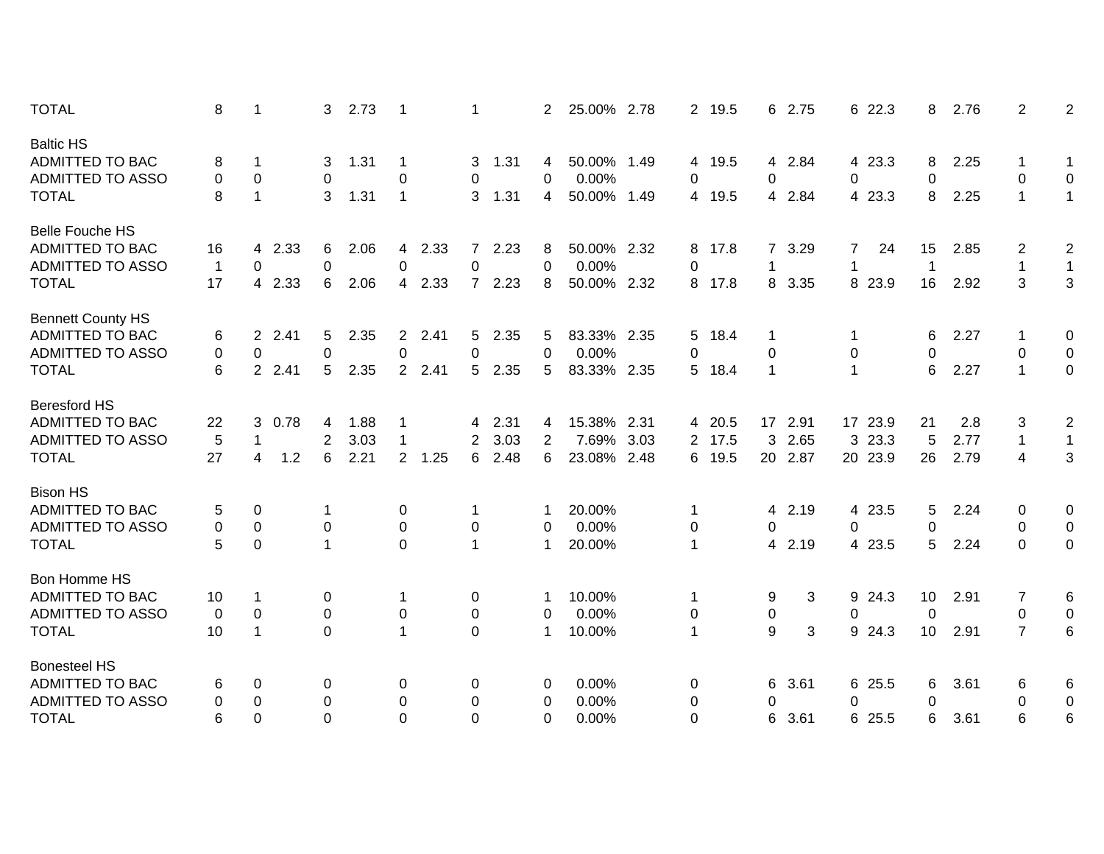| <b>TOTAL</b>             | 8           | -1                     | 3              | 2.73 | $\mathbf{1}$   |        | -1             |      | $\overline{2}$ | 25.00% 2.78 |      | 2 <sup>1</sup>        | 19.5   |              | 6 2.75  |             | 6 22.3  | 8           | 2.76 | $\overline{2}$ | $\overline{2}$ |
|--------------------------|-------------|------------------------|----------------|------|----------------|--------|----------------|------|----------------|-------------|------|-----------------------|--------|--------------|---------|-------------|---------|-------------|------|----------------|----------------|
| <b>Baltic HS</b>         |             |                        |                |      |                |        |                |      |                |             |      |                       |        |              |         |             |         |             |      |                |                |
| ADMITTED TO BAC          | 8           | -1                     | 3              | 1.31 | 1              |        | 3              | 1.31 | 4              | 50.00% 1.49 |      |                       | 4 19.5 |              | 4 2.84  |             | 4 23.3  | 8           | 2.25 | 1              | 1              |
| <b>ADMITTED TO ASSO</b>  | 0           | 0                      | 0              |      | 0              |        | 0              |      | $\Omega$       | 0.00%       |      | 0                     |        | 0            |         | 0           |         | 0           |      | $\mathbf 0$    | $\mathbf 0$    |
| <b>TOTAL</b>             | 8           | $\mathbf 1$            | 3              | 1.31 | $\overline{1}$ |        | 3              | 1.31 | 4              | 50.00% 1.49 |      | 4                     | 19.5   |              | 4 2.84  |             | 4 23.3  | 8           | 2.25 | $\mathbf{1}$   | $\mathbf{1}$   |
| Belle Fouche HS          |             |                        |                |      |                |        |                |      |                |             |      |                       |        |              |         |             |         |             |      |                |                |
| <b>ADMITTED TO BAC</b>   | 16          | 2.33<br>4              | 6              | 2.06 | 4              | 2.33   | 7              | 2.23 | 8              | 50.00% 2.32 |      | 8                     | 17.8   |              | 7 3.29  | 7           | 24      | 15          | 2.85 | 2              | $\overline{c}$ |
| <b>ADMITTED TO ASSO</b>  | $\mathbf 1$ | $\mathbf 0$            | 0              |      | 0              |        | 0              |      | $\Omega$       | 0.00%       |      | 0                     |        | 1            |         | 1           |         | $\mathbf 1$ |      | $\mathbf{1}$   | $\mathbf{1}$   |
| <b>TOTAL</b>             | 17          | 4 2.33                 | 6              | 2.06 | 4              | 2.33   | $\overline{7}$ | 2.23 | 8              | 50.00% 2.32 |      | 8                     | 17.8   | 8            | 3.35    |             | 8 23.9  | 16          | 2.92 | 3              | $\sqrt{3}$     |
| <b>Bennett County HS</b> |             |                        |                |      |                |        |                |      |                |             |      |                       |        |              |         |             |         |             |      |                |                |
| <b>ADMITTED TO BAC</b>   | 6           | $\overline{2}$<br>2.41 | 5              | 2.35 | $\overline{2}$ | 2.41   | 5              | 2.35 | 5              | 83.33% 2.35 |      | 5                     | 18.4   | 1            |         |             |         | 6           | 2.27 | -1             | 0              |
| <b>ADMITTED TO ASSO</b>  | 0           | $\mathbf 0$            | 0              |      | 0              |        | 0              |      | 0              | 0.00%       |      | 0                     |        | $\mathbf 0$  |         | 0           |         | 0           |      | $\pmb{0}$      | $\mathbf 0$    |
| <b>TOTAL</b>             | 6           | 2 2.41                 | 5              | 2.35 | $\overline{2}$ | 2.41   | 5              | 2.35 | 5              | 83.33% 2.35 |      | 5                     | 18.4   | $\mathbf{1}$ |         | $\mathbf 1$ |         | 6           | 2.27 | $\mathbf{1}$   | $\mathbf 0$    |
| <b>Beresford HS</b>      |             |                        |                |      |                |        |                |      |                |             |      |                       |        |              |         |             |         |             |      |                |                |
| <b>ADMITTED TO BAC</b>   | 22          | 3<br>0.78              | 4              | 1.88 | 1              |        | 4              | 2.31 | 4              | 15.38%      | 2.31 | 4                     | 20.5   |              | 17 2.91 |             | 17 23.9 | 21          | 2.8  | 3              | $\overline{c}$ |
| <b>ADMITTED TO ASSO</b>  | 5           | -1                     | $\overline{2}$ | 3.03 | 1              |        | $\overline{2}$ | 3.03 | 2              | 7.69%       | 3.03 | $\mathbf{2}^{\prime}$ | 17.5   | 3            | 2.65    |             | 3 23.3  | 5           | 2.77 | $\mathbf 1$    | $\overline{1}$ |
| <b>TOTAL</b>             | 27          | 1.2<br>4               | 6              | 2.21 |                | 2 1.25 | 6              | 2.48 | 6              | 23.08% 2.48 |      | 6                     | 19.5   |              | 20 2.87 |             | 20 23.9 | 26          | 2.79 | $\overline{4}$ | 3              |
| <b>Bison HS</b>          |             |                        |                |      |                |        |                |      |                |             |      |                       |        |              |         |             |         |             |      |                |                |
| ADMITTED TO BAC          | 5           | 0                      | -1             |      | 0              |        | -1             |      |                | 20.00%      |      | 1                     |        |              | 4 2.19  |             | 4 23.5  | 5           | 2.24 | 0              | 0              |
| <b>ADMITTED TO ASSO</b>  | 0           | 0                      | $\mathbf 0$    |      | 0              |        | $\mathbf 0$    |      | 0              | 0.00%       |      | 0                     |        | 0            |         | $\Omega$    |         | 0           |      | 0              | 0              |
| <b>TOTAL</b>             | 5           | $\mathbf 0$            | $\mathbf{1}$   |      | $\overline{0}$ |        | $\mathbf{1}$   |      |                | 20.00%      |      | 1                     |        | 4            | 2.19    |             | 4 23.5  | 5           | 2.24 | $\mathbf 0$    | $\mathbf 0$    |
| Bon Homme HS             |             |                        |                |      |                |        |                |      |                |             |      |                       |        |              |         |             |         |             |      |                |                |
| <b>ADMITTED TO BAC</b>   | 10          | -1                     | 0              |      | 1              |        | $\mathbf 0$    |      | 1              | 10.00%      |      | 1                     |        | 9            | 3       |             | 9 24.3  | 10          | 2.91 | 7              | 6              |
| <b>ADMITTED TO ASSO</b>  | 0           | 0                      | 0              |      | $\pmb{0}$      |        | 0              |      | 0              | 0.00%       |      | 0                     |        | $\pmb{0}$    |         | 0           |         | 0           |      | $\mathbf 0$    | $\mathbf 0$    |
| <b>TOTAL</b>             | 10          | $\mathbf{1}$           | $\mathbf 0$    |      | $\mathbf{1}$   |        | $\Omega$       |      | 1              | 10.00%      |      | 1                     |        | 9            | 3       |             | 9 24.3  | 10          | 2.91 | $\overline{7}$ | $6\phantom{1}$ |
| <b>Bonesteel HS</b>      |             |                        |                |      |                |        |                |      |                |             |      |                       |        |              |         |             |         |             |      |                |                |
| <b>ADMITTED TO BAC</b>   | 6           | 0                      | 0              |      | 0              |        | 0              |      | 0              | 0.00%       |      | 0                     |        | 6            | 3.61    |             | 6 25.5  | 6           | 3.61 | 6              | 6              |
| <b>ADMITTED TO ASSO</b>  | 0           | $\mathbf{0}$           | 0              |      | 0              |        | 0              |      | 0              | 0.00%       |      | 0                     |        | 0            |         | 0           |         | 0           |      | 0              | $\mathbf 0$    |
| <b>TOTAL</b>             | 6           | $\Omega$               | $\Omega$       |      | $\Omega$       |        | $\Omega$       |      | $\Omega$       | 0.00%       |      | 0                     |        | 6            | 3.61    |             | 6 25.5  | 6           | 3.61 | 6              | 6              |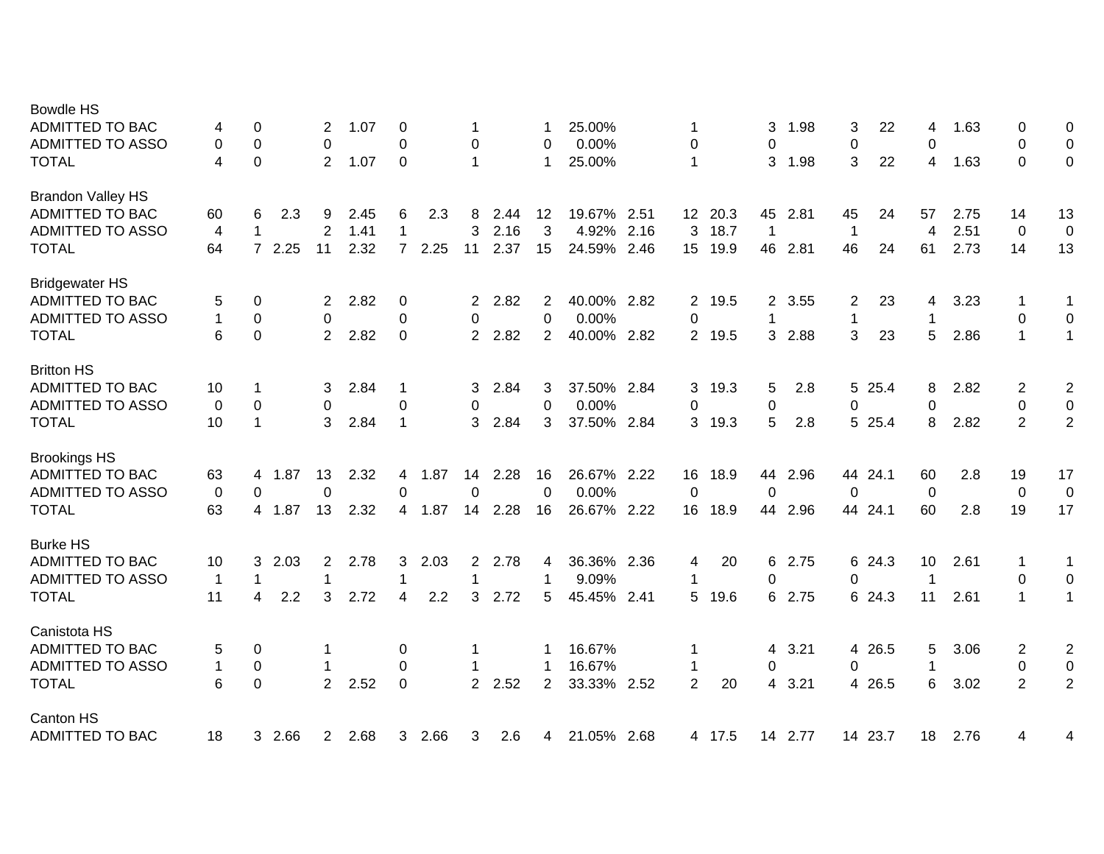| <b>Bowdle HS</b>         |              |              |        |                |      |             |      |                |      |                |             |      |                       |        |             |         |                |         |             |      |                  |                |
|--------------------------|--------------|--------------|--------|----------------|------|-------------|------|----------------|------|----------------|-------------|------|-----------------------|--------|-------------|---------|----------------|---------|-------------|------|------------------|----------------|
| ADMITTED TO BAC          | 4            | 0            |        | 2              | 1.07 | 0           |      |                |      |                | 25.00%      |      | 1                     |        | 3           | 1.98    | 3              | 22      | 4           | 1.63 | 0                | 0              |
| <b>ADMITTED TO ASSO</b>  | 0            | $\mathbf 0$  |        | 0              |      | 0           |      | 0              |      | 0              | 0.00%       |      | 0                     |        | 0           |         | 0              |         | 0           |      | 0                | $\mathbf 0$    |
| <b>TOTAL</b>             | 4            | $\mathbf 0$  |        | $\overline{2}$ | 1.07 | $\Omega$    |      | $\overline{1}$ |      | 1              | 25.00%      |      | $\mathbf 1$           |        | 3           | 1.98    | 3              | 22      | 4           | 1.63 | $\Omega$         | $\mathbf 0$    |
| <b>Brandon Valley HS</b> |              |              |        |                |      |             |      |                |      |                |             |      |                       |        |             |         |                |         |             |      |                  |                |
| ADMITTED TO BAC          | 60           | 6            | 2.3    | 9              | 2.45 | 6           | 2.3  | 8              | 2.44 | 12             | 19.67% 2.51 |      | 12 <sup>2</sup>       | 20.3   |             | 45 2.81 | 45             | 24      | 57          | 2.75 | 14               | 13             |
| <b>ADMITTED TO ASSO</b>  | 4            | 1            |        | 2              | 1.41 | 1           |      | 3              | 2.16 | 3              | 4.92%       | 2.16 | 3                     | 18.7   | $\mathbf 1$ |         | $\overline{1}$ |         | 4           | 2.51 | $\overline{0}$   | 0              |
| <b>TOTAL</b>             | 64           | $7^{\circ}$  | 2.25   | 11             | 2.32 | $7^{\circ}$ | 2.25 | 11             | 2.37 | 15             | 24.59% 2.46 |      | 15 <sub>1</sub>       | 19.9   |             | 46 2.81 | 46             | 24      | 61          | 2.73 | 14               | 13             |
| <b>Bridgewater HS</b>    |              |              |        |                |      |             |      |                |      |                |             |      |                       |        |             |         |                |         |             |      |                  |                |
| ADMITTED TO BAC          | 5            | 0            |        | $\overline{2}$ | 2.82 | 0           |      | $\mathbf{2}^-$ | 2.82 | 2              | 40.00% 2.82 |      | $\mathbf{2}^{\prime}$ | 19.5   |             | 2 3.55  | $\overline{2}$ | 23      | 4           | 3.23 | $\mathbf 1$      | $\mathbf 1$    |
| <b>ADMITTED TO ASSO</b>  | 1            | 0            |        | 0              |      | $\mathbf 0$ |      | 0              |      | 0              | 0.00%       |      | 0                     |        | 1           |         | 1              |         | 1           |      | $\boldsymbol{0}$ | $\pmb{0}$      |
| <b>TOTAL</b>             | 6            | $\mathbf 0$  |        | $\overline{2}$ | 2.82 | $\mathbf 0$ |      | $2^{\circ}$    | 2.82 | $\overline{2}$ | 40.00% 2.82 |      |                       | 2 19.5 |             | 3 2.88  | 3              | 23      | 5           | 2.86 | $\mathbf{1}$     | $\mathbf{1}$   |
| <b>Britton HS</b>        |              |              |        |                |      |             |      |                |      |                |             |      |                       |        |             |         |                |         |             |      |                  |                |
| <b>ADMITTED TO BAC</b>   | 10           | 1            |        | 3              | 2.84 | -1          |      | 3              | 2.84 | 3              | 37.50% 2.84 |      | 3                     | 19.3   | 5           | 2.8     |                | 5 25.4  | 8           | 2.82 | 2                | $\overline{c}$ |
| ADMITTED TO ASSO         | 0            | 0            |        | 0              |      | 0           |      | 0              |      | 0              | 0.00%       |      | 0                     |        | $\mathbf 0$ |         | 0              |         | 0           |      | $\mathbf 0$      | $\mathsf 0$    |
| <b>TOTAL</b>             | 10           | $\mathbf{1}$ |        | 3              | 2.84 | 1           |      | 3              | 2.84 | 3              | 37.50% 2.84 |      | 3                     | 19.3   | 5           | 2.8     |                | 5 25.4  | 8           | 2.82 | 2                | $\overline{2}$ |
| <b>Brookings HS</b>      |              |              |        |                |      |             |      |                |      |                |             |      |                       |        |             |         |                |         |             |      |                  |                |
| <b>ADMITTED TO BAC</b>   | 63           | 4            | 1.87   | 13             | 2.32 | 4           | 1.87 | 14             | 2.28 | 16             | 26.67% 2.22 |      | 16                    | 18.9   | 44          | 2.96    |                | 44 24.1 | 60          | 2.8  | 19               | 17             |
| ADMITTED TO ASSO         | $\mathbf 0$  | 0            |        | 0              |      | 0           |      | 0              |      | 0              | 0.00%       |      | 0                     |        | 0           |         | $\mathbf 0$    |         | $\mathbf 0$ |      | 0                | $\mathbf 0$    |
| <b>TOTAL</b>             | 63           |              | 4 1.87 | 13             | 2.32 | 4           | 1.87 | 14             | 2.28 | 16             | 26.67% 2.22 |      | 16                    | 18.9   | 44          | 2.96    |                | 44 24.1 | 60          | 2.8  | 19               | 17             |
| <b>Burke HS</b>          |              |              |        |                |      |             |      |                |      |                |             |      |                       |        |             |         |                |         |             |      |                  |                |
| ADMITTED TO BAC          | 10           | 3            | 2.03   | 2              | 2.78 | 3           | 2.03 | $\overline{2}$ | 2.78 | 4              | 36.36% 2.36 |      | 4                     | 20     |             | 6 2.75  |                | 6 24.3  | 10          | 2.61 | $\mathbf{1}$     | $\mathbf{1}$   |
| ADMITTED TO ASSO         | $\mathbf{1}$ | $\mathbf 1$  |        | 1              |      | 1           |      | 1              |      | -1             | 9.09%       |      | 1                     |        | 0           |         | $\mathbf 0$    |         | 1           |      | 0                | $\mathbf 0$    |
| <b>TOTAL</b>             | 11           | 4            | 2.2    | 3              | 2.72 | 4           | 2.2  | 3              | 2.72 | 5              | 45.45% 2.41 |      | 5                     | 19.6   |             | 6 2.75  |                | 6 24.3  | 11          | 2.61 | $\mathbf{1}$     | $\mathbf{1}$   |
| Canistota HS             |              |              |        |                |      |             |      |                |      |                |             |      |                       |        |             |         |                |         |             |      |                  |                |
| <b>ADMITTED TO BAC</b>   | 5            | 0            |        | 1              |      | 0           |      | 1              |      |                | 16.67%      |      |                       |        | 4           | 3.21    |                | 4 26.5  | 5           | 3.06 | 2                | $\overline{c}$ |
| <b>ADMITTED TO ASSO</b>  | $\mathbf 1$  | 0            |        | 1              |      | 0           |      | -1             |      |                | 16.67%      |      | $\mathbf 1$           |        | $\Omega$    |         | $\mathbf 0$    |         | 1           |      | $\mathbf 0$      | $\mathbf 0$    |
| <b>TOTAL</b>             | 6            | 0            |        | $\overline{2}$ | 2.52 | 0           |      | $\overline{2}$ | 2.52 | $\overline{2}$ | 33.33%      | 2.52 | $\overline{2}$        | 20     | 4           | 3.21    |                | 4 26.5  | 6           | 3.02 | 2                | $\overline{2}$ |
| Canton HS                |              |              |        |                |      |             |      |                |      |                |             |      |                       |        |             |         |                |         |             |      |                  |                |
| <b>ADMITTED TO BAC</b>   | 18           |              | 3 2.66 | $\mathbf{2}$   | 2.68 | 3           | 2.66 | 3              | 2.6  | 4              | 21.05% 2.68 |      |                       | 4 17.5 | 14          | 2.77    |                | 14 23.7 | 18          | 2.76 | 4                | 4              |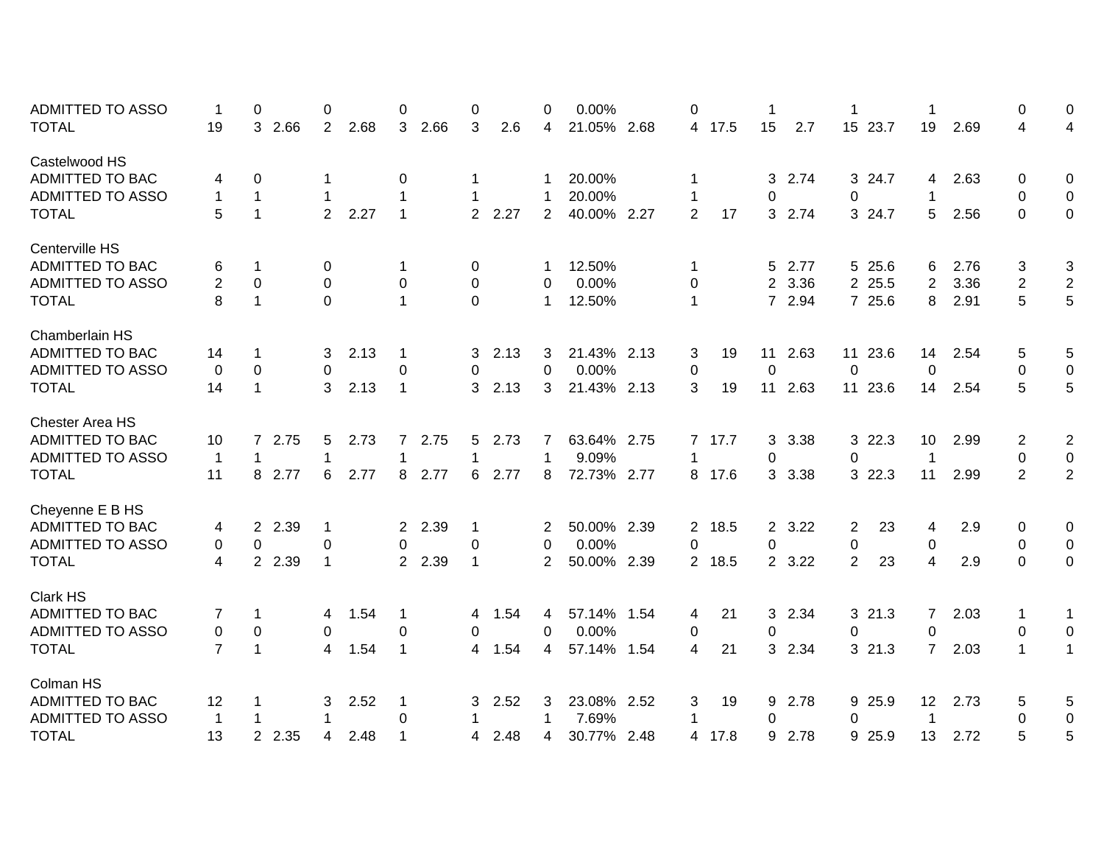| ADMITTED TO ASSO        | -1             | 0                      | 0              |      | 0                     |      | 0              |      | 0                     | 0.00%       |      | 0              |        |                |         |                |         | 1                       |      | $\pmb{0}$      | 0              |
|-------------------------|----------------|------------------------|----------------|------|-----------------------|------|----------------|------|-----------------------|-------------|------|----------------|--------|----------------|---------|----------------|---------|-------------------------|------|----------------|----------------|
| <b>TOTAL</b>            | 19             | 3<br>2.66              | $\overline{2}$ | 2.68 | 3                     | 2.66 | 3              | 2.6  | 4                     | 21.05% 2.68 |      | 4              | 17.5   | 15             | 2.7     |                | 15 23.7 | 19                      | 2.69 | 4              | $\overline{4}$ |
| Castelwood HS           |                |                        |                |      |                       |      |                |      |                       |             |      |                |        |                |         |                |         |                         |      |                |                |
| <b>ADMITTED TO BAC</b>  | 4              | 0                      |                |      | 0                     |      |                |      |                       | 20.00%      |      |                |        | 3              | 2.74    |                | 3 24.7  | 4                       | 2.63 | 0              | 0              |
| <b>ADMITTED TO ASSO</b> | 1              | $\mathbf{1}$           | 1              |      | $\mathbf 1$           |      |                |      |                       | 20.00%      |      | 1              |        | 0              |         | 0              |         | 1                       |      | $\pmb{0}$      | $\mathbf 0$    |
| <b>TOTAL</b>            | 5              | $\mathbf{1}$           | $\overline{2}$ | 2.27 | $\overline{1}$        |      | $\overline{2}$ | 2.27 | $\overline{2}$        | 40.00% 2.27 |      | $\overline{2}$ | 17     |                | 3 2.74  |                | 3 24.7  | 5                       | 2.56 | $\mathbf 0$    | $\mathbf 0$    |
| Centerville HS          |                |                        |                |      |                       |      |                |      |                       |             |      |                |        |                |         |                |         |                         |      |                |                |
| <b>ADMITTED TO BAC</b>  | 6              | $\mathbf 1$            | 0              |      | 1                     |      | 0              |      |                       | 12.50%      |      | 1              |        | 5              | 2.77    |                | 5 25.6  | 6                       | 2.76 | 3              | 3              |
| <b>ADMITTED TO ASSO</b> | $\overline{c}$ | 0                      | $\Omega$       |      | 0                     |      | 0              |      | $\Omega$              | 0.00%       |      | 0              |        | $\overline{2}$ | 3.36    |                | 2 25.5  | $\overline{2}$          | 3.36 | $\overline{2}$ |                |
| <b>TOTAL</b>            | 8              | $\mathbf{1}$           | $\mathbf 0$    |      | $\mathbf{1}$          |      | $\Omega$       |      | 1                     | 12.50%      |      | 1              |        |                | 7 2.94  |                | 7 25.6  | 8                       | 2.91 | 5              | $\frac{2}{5}$  |
| Chamberlain HS          |                |                        |                |      |                       |      |                |      |                       |             |      |                |        |                |         |                |         |                         |      |                |                |
| <b>ADMITTED TO BAC</b>  | 14             | 1                      | 3              | 2.13 |                       |      | 3              | 2.13 | 3                     | 21.43% 2.13 |      | 3              | 19     |                | 11 2.63 |                | 11 23.6 | 14                      | 2.54 | 5              | 5              |
| <b>ADMITTED TO ASSO</b> | $\mathbf{0}$   | 0                      | $\Omega$       |      | 0                     |      | $\Omega$       |      | $\Omega$              | 0.00%       |      | 0              |        | $\mathbf{0}$   |         | $\mathbf{0}$   |         | 0                       |      | $\Omega$       | $\pmb{0}$      |
| <b>TOTAL</b>            | 14             | $\mathbf{1}$           | 3              | 2.13 | $\mathbf 1$           |      | 3              | 2.13 | 3                     | 21.43% 2.13 |      | 3              | 19     |                | 11 2.63 |                | 11 23.6 | 14                      | 2.54 | 5              | 5              |
| <b>Chester Area HS</b>  |                |                        |                |      |                       |      |                |      |                       |             |      |                |        |                |         |                |         |                         |      |                |                |
| <b>ADMITTED TO BAC</b>  | 10             | 7 2.75                 | 5              | 2.73 | $7^{\circ}$           | 2.75 | 5              | 2.73 |                       | 63.64% 2.75 |      |                | 7 17.7 |                | 3 3.38  |                | 3 22.3  | 10                      | 2.99 | $\overline{2}$ | 2              |
| <b>ADMITTED TO ASSO</b> | $\mathbf 1$    |                        | 1              |      |                       |      |                |      |                       | 9.09%       |      |                |        | 0              |         | $\Omega$       |         | -1                      |      | 0              | $\pmb{0}$      |
| <b>TOTAL</b>            | 11             | 8 2.77                 | 6              | 2.77 | 8                     | 2.77 | 6              | 2.77 | 8                     | 72.73% 2.77 |      | 8              | 17.6   |                | 3 3.38  |                | 3 22.3  | 11                      | 2.99 | 2              | $\overline{2}$ |
| Cheyenne E B HS         |                |                        |                |      |                       |      |                |      |                       |             |      |                |        |                |         |                |         |                         |      |                |                |
| ADMITTED TO BAC         | 4              | 2 2.39                 | 1              |      | $\mathbf{2}^{\prime}$ | 2.39 | -1             |      | $\mathbf{2}^{\prime}$ | 50.00% 2.39 |      | $\overline{2}$ | 18.5   |                | 2 3.22  | 2              | 23      | 4                       | 2.9  | 0              | 0              |
| <b>ADMITTED TO ASSO</b> | 0              | 0                      | 0              |      | 0                     |      | 0              |      | 0                     | 0.00%       |      | 0              |        | 0              |         | 0              |         | $\mathbf 0$             |      | $\pmb{0}$      | 0              |
| <b>TOTAL</b>            | 4              | 2 2.39                 | $\mathbf 1$    |      | $\overline{2}$        | 2.39 | $\mathbf{1}$   |      | $\overline{2}$        | 50.00% 2.39 |      | $\overline{2}$ | 18.5   |                | 2 3.22  | $\overline{2}$ | 23      | $\overline{\mathbf{4}}$ | 2.9  | $\mathbf 0$    | $\mathbf 0$    |
| Clark HS                |                |                        |                |      |                       |      |                |      |                       |             |      |                |        |                |         |                |         |                         |      |                |                |
| <b>ADMITTED TO BAC</b>  | 7              | 1                      | 4              | 1.54 | 1                     |      | 4              | 1.54 | 4                     | 57.14%      | 1.54 | 4              | 21     | 3              | 2.34    |                | 3 21.3  | 7                       | 2.03 | 1              | $\mathbf 1$    |
| ADMITTED TO ASSO        | 0              | $\mathbf 0$            | 0              |      | $\mathbf 0$           |      | 0              |      | 0                     | 0.00%       |      | 0              |        | 0              |         | 0              |         | $\mathbf 0$             |      | $\mathbf 0$    | 0              |
| <b>TOTAL</b>            | $\overline{7}$ | $\mathbf{1}$           | 4              | 1.54 | 1                     |      | 4              | 1.54 | 4                     | 57.14%      | 1.54 | 4              | 21     | $\mathbf{3}$   | 2.34    |                | 3 21.3  | $\overline{7}$          | 2.03 | $\mathbf{1}$   | $\mathbf{1}$   |
| Colman HS               |                |                        |                |      |                       |      |                |      |                       |             |      |                |        |                |         |                |         |                         |      |                |                |
| <b>ADMITTED TO BAC</b>  | 12             |                        | 3              | 2.52 | -1                    |      | 3              | 2.52 | 3                     | 23.08% 2.52 |      | 3              | 19     | 9              | 2.78    |                | 9 25.9  | 12                      | 2.73 | 5              | 5              |
| <b>ADMITTED TO ASSO</b> | $\mathbf{1}$   | 1                      | 1              |      | 0                     |      |                |      |                       | 7.69%       |      | 1              |        | 0              |         | $\Omega$       |         | 1                       |      | 0              | 0              |
| <b>TOTAL</b>            | 13             | 2.35<br>$\overline{2}$ | 4              | 2.48 | $\mathbf 1$           |      | 4              | 2.48 | 4                     | 30.77%      | 2.48 | 4              | 17.8   | 9              | 2.78    |                | 9 25.9  | 13                      | 2.72 | 5              | 5              |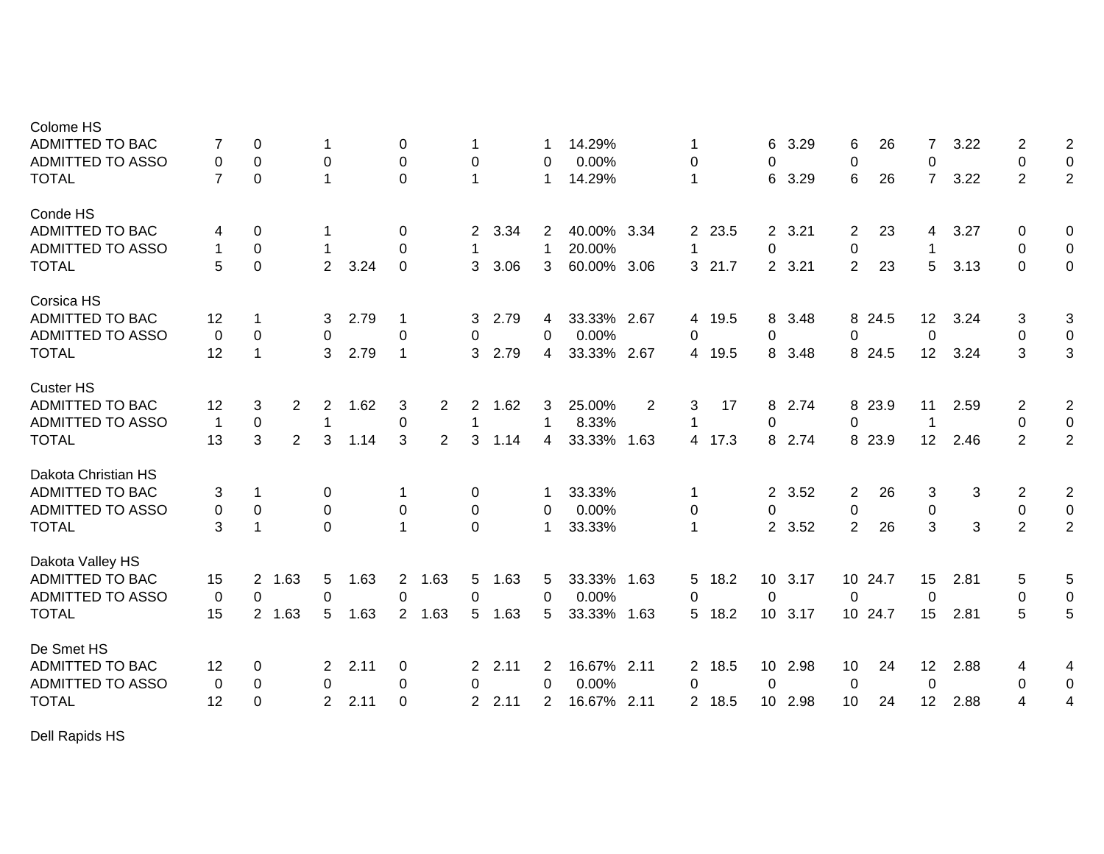| Colome HS               |                |                |                |                |      |                |                |                |      |          |             |                |                       |      |                 |        |                 |         |                |      |                |                     |
|-------------------------|----------------|----------------|----------------|----------------|------|----------------|----------------|----------------|------|----------|-------------|----------------|-----------------------|------|-----------------|--------|-----------------|---------|----------------|------|----------------|---------------------|
| ADMITTED TO BAC         |                | 0              |                |                |      | 0              |                |                |      |          | 14.29%      |                |                       |      | 6               | 3.29   | 6               | 26      | 7              | 3.22 | 2              | 2                   |
| <b>ADMITTED TO ASSO</b> | 0              | 0              |                | 0              |      | $\mathbf 0$    |                | 0              |      | 0        | 0.00%       |                | 0                     |      | 0               |        | 0               |         | 0              |      | $\pmb{0}$      | $\mathbf 0$         |
| <b>TOTAL</b>            | $\overline{7}$ | $\mathbf 0$    |                |                |      | $\mathbf 0$    |                |                |      | 1        | 14.29%      |                | 1                     |      | 6               | 3.29   | 6               | 26      | $\overline{7}$ | 3.22 | $\overline{2}$ | $\overline{2}$      |
| Conde HS                |                |                |                |                |      |                |                |                |      |          |             |                |                       |      |                 |        |                 |         |                |      |                |                     |
| ADMITTED TO BAC         | 4              | 0              |                |                |      | 0              |                | 2              | 3.34 |          | 40.00% 3.34 |                | $\overline{2}$        | 23.5 |                 | 2 3.21 | $\overline{2}$  | 23      | 4              | 3.27 | 0              | 0                   |
| <b>ADMITTED TO ASSO</b> | 1              | 0              |                |                |      | 0              |                |                |      | 1        | 20.00%      |                |                       |      | 0               |        | 0               |         | 1              |      | 0              | 0                   |
| <b>TOTAL</b>            | 5              | $\mathbf 0$    |                | $\overline{2}$ | 3.24 | $\mathbf 0$    |                | 3              | 3.06 | 3        | 60.00%      | 3.06           | 3                     | 21.7 |                 | 2 3.21 | $\overline{2}$  | 23      | 5              | 3.13 | $\mathbf 0$    | $\pmb{0}$           |
| Corsica HS              |                |                |                |                |      |                |                |                |      |          |             |                |                       |      |                 |        |                 |         |                |      |                |                     |
| ADMITTED TO BAC         | 12             | 1              |                | 3              | 2.79 |                |                | 3              | 2.79 | 4        | 33.33% 2.67 |                | 4                     | 19.5 | 8               | 3.48   |                 | 8 24.5  | 12             | 3.24 | 3              | 3                   |
| <b>ADMITTED TO ASSO</b> | 0              | 0              |                | 0              |      | 0              |                | 0              |      | $\Omega$ | 0.00%       |                | 0                     |      | 0               |        | 0               |         | 0              |      | 0              | $\boldsymbol{0}$    |
| <b>TOTAL</b>            | 12             | 1              |                | 3              | 2.79 | $\mathbf 1$    |                | 3              | 2.79 | 4        | 33.33% 2.67 |                | 4                     | 19.5 | 8               | 3.48   |                 | 8 24.5  | 12             | 3.24 | 3              | 3                   |
| <b>Custer HS</b>        |                |                |                |                |      |                |                |                |      |          |             |                |                       |      |                 |        |                 |         |                |      |                |                     |
| ADMITTED TO BAC         | 12             | 3              | $\overline{2}$ | $\overline{2}$ | 1.62 | 3              | $\overline{2}$ | 2              | 1.62 | 3        | 25.00%      | $\overline{2}$ | 3                     | 17   | 8               | 2.74   |                 | 8 23.9  | 11             | 2.59 | 2              | $\overline{c}$      |
| <b>ADMITTED TO ASSO</b> | $\mathbf 1$    | $\mathbf 0$    |                |                |      | 0              |                | 1              |      |          | 8.33%       |                | 1                     |      | 0               |        | $\mathbf 0$     |         | $\mathbf 1$    |      | $\mathbf 0$    | $\boldsymbol{0}$    |
| <b>TOTAL</b>            | 13             | 3              | $\overline{2}$ | 3              | 1.14 | 3              | $\overline{2}$ | 3              | 1.14 | 4        | 33.33%      | 1.63           | 4                     | 17.3 | 8               | 2.74   |                 | 8 23.9  | 12             | 2.46 | $\overline{2}$ | $\overline{2}$      |
| Dakota Christian HS     |                |                |                |                |      |                |                |                |      |          |             |                |                       |      |                 |        |                 |         |                |      |                |                     |
| ADMITTED TO BAC         | 3              | 1              |                | 0              |      |                |                | 0              |      | 1        | 33.33%      |                |                       |      | $\mathbf{2}$    | 3.52   | $\overline{2}$  | 26      | 3              | 3    | 2              | $\overline{2}$      |
| <b>ADMITTED TO ASSO</b> | 0              | 0              |                | $\mathbf 0$    |      | 0              |                | 0              |      | $\Omega$ | 0.00%       |                | 0                     |      | 0               |        | 0               |         | $\mathbf 0$    |      | $\pmb{0}$      | $\mathsf{O}\xspace$ |
| <b>TOTAL</b>            | 3              | $\mathbf{1}$   |                | $\Omega$       |      | $\mathbf{1}$   |                | $\Omega$       |      | 1        | 33.33%      |                | 1                     |      |                 | 2 3.52 | $\overline{2}$  | 26      | 3              | 3    | 2              | $\overline{2}$      |
| Dakota Valley HS        |                |                |                |                |      |                |                |                |      |          |             |                |                       |      |                 |        |                 |         |                |      |                |                     |
| <b>ADMITTED TO BAC</b>  | 15             | $\overline{2}$ | 1.63           | 5              | 1.63 | 2              | 1.63           | 5              | 1.63 | 5        | 33.33%      | 1.63           | 5                     | 18.2 | 10 <sup>°</sup> | 3.17   | 10 <sup>°</sup> | 24.7    | 15             | 2.81 | 5              | 5                   |
| <b>ADMITTED TO ASSO</b> | 0              | $\mathbf 0$    |                | 0              |      | 0              |                | 0              |      | 0        | 0.00%       |                | 0                     |      | 0               |        | 0               |         | 0              |      | $\mathbf 0$    | $\mathbf 0$         |
| <b>TOTAL</b>            | 15             | $\overline{2}$ | 1.63           | 5              | 1.63 | 2              | 1.63           | 5              | 1.63 | 5        | 33.33%      | 1.63           | 5                     | 18.2 | 10 <sup>1</sup> | 3.17   |                 | 10 24.7 | 15             | 2.81 | 5              | 5                   |
|                         |                |                |                |                |      |                |                |                |      |          |             |                |                       |      |                 |        |                 |         |                |      |                |                     |
| De Smet HS              |                |                |                |                |      |                |                |                |      |          |             |                |                       |      |                 |        |                 |         |                |      |                |                     |
| <b>ADMITTED TO BAC</b>  | 12             | 0              |                | $\overline{2}$ | 2.11 | 0              |                | $\overline{2}$ | 2.11 | 2        | 16.67% 2.11 |                | $\mathbf{2}^{\prime}$ | 18.5 | 10 <sup>°</sup> | 2.98   | 10              | 24      | 12             | 2.88 | 4              | 4                   |
| <b>ADMITTED TO ASSO</b> | $\mathbf 0$    | $\mathbf 0$    |                | 0              |      | 0              |                | 0              |      | 0        | 0.00%       |                | 0                     |      | $\mathbf 0$     |        | $\mathbf 0$     |         | $\mathbf 0$    |      | 0              | $\mathbf 0$         |
| <b>TOTAL</b>            | 12             | $\mathbf 0$    |                | $\overline{2}$ | 2.11 | $\overline{0}$ |                |                | 2.11 | 2        | 16.67%      | 2.11           | 2                     | 18.5 | 10 <sup>°</sup> | 2.98   | 10              | 24      | 12             | 2.88 | 4              | 4                   |

Dell Rapids HS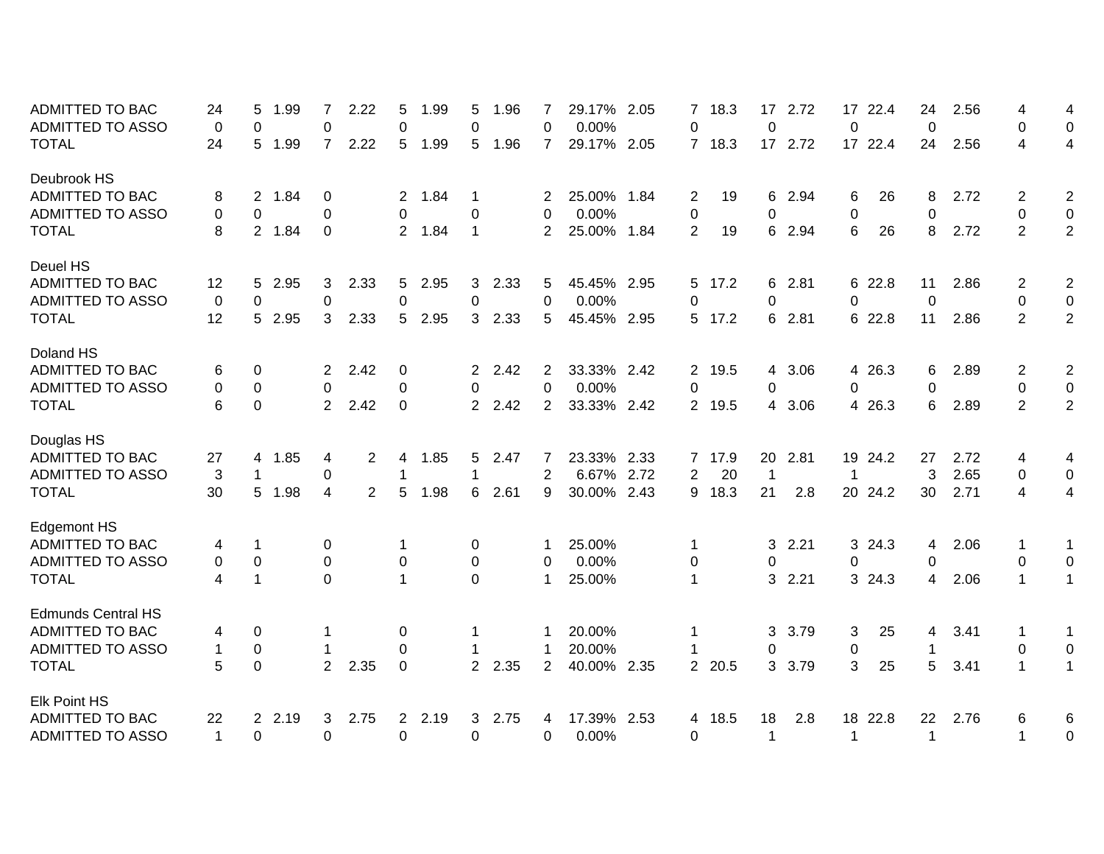| $\mathbf 0$<br><b>ADMITTED TO ASSO</b><br>0<br>0<br>$\Omega$<br>0.00%<br>$\Omega$<br>$\mathbf{0}$<br>$\mathbf 0$<br>0<br>$\Omega$<br>0<br>$\Omega$<br>0<br>4<br>4<br><b>TOTAL</b><br>1.99<br>$\overline{7}$<br>2.22<br>5<br>1.99<br>1.96<br>$\overline{7}$<br>29.17% 2.05<br>$\overline{7}$<br>18.3<br>17 2.72<br>17 22.4<br>2.56<br>24<br>5<br>5<br>24<br>Deubrook HS<br><b>ADMITTED TO BAC</b><br>$\overline{2}$<br>1.84<br>1.84<br>25.00%<br>6 2.94<br>26<br>2.72<br>$\Omega$<br>$\overline{2}$<br>1.84<br>2<br>19<br>6<br>8<br>2<br>$\overline{c}$<br>8<br>2<br>$\pmb{0}$<br><b>ADMITTED TO ASSO</b><br>0.00%<br>0<br>$\Omega$<br>$\Omega$<br>$\Omega$<br>0<br>0<br>$\mathbf 0$<br>0<br>0<br>0<br>0<br>$\overline{2}$<br>8<br>$2^{\circ}$<br>1.84<br>25.00% 1.84<br>$\overline{2}$<br>6 2.94<br>6<br>26<br>2.72<br>2<br><b>TOTAL</b><br>2 1.84<br>$\Omega$<br>$\overline{2}$<br>19<br>8<br>$\blacktriangleleft$<br>Deuel HS<br><b>ADMITTED TO BAC</b><br>2.33<br>6 22.8<br>$\overline{c}$<br>12<br>5.<br>2.95<br>3<br>2.33<br>5<br>2.95<br>3<br>45.45% 2.95<br>5<br>17.2<br>6 2.81<br>2.86<br>2<br>5<br>11<br>$\pmb{0}$<br><b>ADMITTED TO ASSO</b><br>0<br>$\Omega$<br>0.00%<br>0<br>0<br>0<br>$\Omega$<br>0<br>0<br>0<br>$\Omega$<br>0<br>5<br>$\overline{2}$<br>3<br>2.33<br>2.95<br>3<br>2.33<br>2<br><b>TOTAL</b><br>5<br>2.95<br>5<br>45.45% 2.95<br>5<br>17.2<br>6 2.81<br>6 22.8<br>11<br>12<br>2.86<br>Doland HS<br><b>ADMITTED TO BAC</b><br>0<br>$\mathbf{2}$<br>2.42<br>$\mathbf{2}^{\prime}$<br>2.42<br>33.33% 2.42<br>2 19.5<br>4 3.06<br>4 26.3<br>6<br>2.89<br>2<br>2<br>6<br>0<br>2<br>$\pmb{0}$<br><b>ADMITTED TO ASSO</b><br>0<br>0<br>0<br>0.00%<br>0<br>0<br>0<br>$\Omega$<br>$\Omega$<br>0<br>$\Omega$<br>0 |
|--------------------------------------------------------------------------------------------------------------------------------------------------------------------------------------------------------------------------------------------------------------------------------------------------------------------------------------------------------------------------------------------------------------------------------------------------------------------------------------------------------------------------------------------------------------------------------------------------------------------------------------------------------------------------------------------------------------------------------------------------------------------------------------------------------------------------------------------------------------------------------------------------------------------------------------------------------------------------------------------------------------------------------------------------------------------------------------------------------------------------------------------------------------------------------------------------------------------------------------------------------------------------------------------------------------------------------------------------------------------------------------------------------------------------------------------------------------------------------------------------------------------------------------------------------------------------------------------------------------------------------------------------------------------------------------------------------------------------------------|
|                                                                                                                                                                                                                                                                                                                                                                                                                                                                                                                                                                                                                                                                                                                                                                                                                                                                                                                                                                                                                                                                                                                                                                                                                                                                                                                                                                                                                                                                                                                                                                                                                                                                                                                                      |
|                                                                                                                                                                                                                                                                                                                                                                                                                                                                                                                                                                                                                                                                                                                                                                                                                                                                                                                                                                                                                                                                                                                                                                                                                                                                                                                                                                                                                                                                                                                                                                                                                                                                                                                                      |
|                                                                                                                                                                                                                                                                                                                                                                                                                                                                                                                                                                                                                                                                                                                                                                                                                                                                                                                                                                                                                                                                                                                                                                                                                                                                                                                                                                                                                                                                                                                                                                                                                                                                                                                                      |
|                                                                                                                                                                                                                                                                                                                                                                                                                                                                                                                                                                                                                                                                                                                                                                                                                                                                                                                                                                                                                                                                                                                                                                                                                                                                                                                                                                                                                                                                                                                                                                                                                                                                                                                                      |
|                                                                                                                                                                                                                                                                                                                                                                                                                                                                                                                                                                                                                                                                                                                                                                                                                                                                                                                                                                                                                                                                                                                                                                                                                                                                                                                                                                                                                                                                                                                                                                                                                                                                                                                                      |
|                                                                                                                                                                                                                                                                                                                                                                                                                                                                                                                                                                                                                                                                                                                                                                                                                                                                                                                                                                                                                                                                                                                                                                                                                                                                                                                                                                                                                                                                                                                                                                                                                                                                                                                                      |
|                                                                                                                                                                                                                                                                                                                                                                                                                                                                                                                                                                                                                                                                                                                                                                                                                                                                                                                                                                                                                                                                                                                                                                                                                                                                                                                                                                                                                                                                                                                                                                                                                                                                                                                                      |
|                                                                                                                                                                                                                                                                                                                                                                                                                                                                                                                                                                                                                                                                                                                                                                                                                                                                                                                                                                                                                                                                                                                                                                                                                                                                                                                                                                                                                                                                                                                                                                                                                                                                                                                                      |
|                                                                                                                                                                                                                                                                                                                                                                                                                                                                                                                                                                                                                                                                                                                                                                                                                                                                                                                                                                                                                                                                                                                                                                                                                                                                                                                                                                                                                                                                                                                                                                                                                                                                                                                                      |
|                                                                                                                                                                                                                                                                                                                                                                                                                                                                                                                                                                                                                                                                                                                                                                                                                                                                                                                                                                                                                                                                                                                                                                                                                                                                                                                                                                                                                                                                                                                                                                                                                                                                                                                                      |
|                                                                                                                                                                                                                                                                                                                                                                                                                                                                                                                                                                                                                                                                                                                                                                                                                                                                                                                                                                                                                                                                                                                                                                                                                                                                                                                                                                                                                                                                                                                                                                                                                                                                                                                                      |
|                                                                                                                                                                                                                                                                                                                                                                                                                                                                                                                                                                                                                                                                                                                                                                                                                                                                                                                                                                                                                                                                                                                                                                                                                                                                                                                                                                                                                                                                                                                                                                                                                                                                                                                                      |
|                                                                                                                                                                                                                                                                                                                                                                                                                                                                                                                                                                                                                                                                                                                                                                                                                                                                                                                                                                                                                                                                                                                                                                                                                                                                                                                                                                                                                                                                                                                                                                                                                                                                                                                                      |
| $\overline{2}$<br>6<br>2<br><b>TOTAL</b><br>$\mathbf{0}$<br>$\overline{2}$<br>2.42<br>0<br>2.42<br>$\overline{2}$<br>33.33% 2.42<br>4 26.3<br>$\mathbf{2}$<br>2 19.5<br>4 3.06<br>6<br>2.89                                                                                                                                                                                                                                                                                                                                                                                                                                                                                                                                                                                                                                                                                                                                                                                                                                                                                                                                                                                                                                                                                                                                                                                                                                                                                                                                                                                                                                                                                                                                          |
| Douglas HS                                                                                                                                                                                                                                                                                                                                                                                                                                                                                                                                                                                                                                                                                                                                                                                                                                                                                                                                                                                                                                                                                                                                                                                                                                                                                                                                                                                                                                                                                                                                                                                                                                                                                                                           |
| ADMITTED TO BAC<br>1.85<br>19 24.2<br>2.72<br>$\overline{2}$<br>1.85<br>2.47<br>23.33% 2.33<br>17.9<br>20 2.81<br>27<br>27<br>4<br>4<br>4<br>5<br>$7^{\circ}$<br>4<br>4<br>7                                                                                                                                                                                                                                                                                                                                                                                                                                                                                                                                                                                                                                                                                                                                                                                                                                                                                                                                                                                                                                                                                                                                                                                                                                                                                                                                                                                                                                                                                                                                                         |
| $\overline{2}$<br>2.72<br>20<br>2.65<br><b>ADMITTED TO ASSO</b><br>3<br>6.67%<br>3<br>$\mathbf 0$<br>$\overline{2}$<br>0<br>-1<br>0<br>-1<br>-1<br>1                                                                                                                                                                                                                                                                                                                                                                                                                                                                                                                                                                                                                                                                                                                                                                                                                                                                                                                                                                                                                                                                                                                                                                                                                                                                                                                                                                                                                                                                                                                                                                                 |
| 5<br>$\overline{4}$<br><b>TOTAL</b><br>5<br>1.98<br>4<br>$\overline{2}$<br>1.98<br>6<br>2.61<br>9<br>30.00% 2.43<br>9<br>18.3<br>2.8<br>20 24.2<br>30<br>2.71<br>4<br>30<br>21                                                                                                                                                                                                                                                                                                                                                                                                                                                                                                                                                                                                                                                                                                                                                                                                                                                                                                                                                                                                                                                                                                                                                                                                                                                                                                                                                                                                                                                                                                                                                       |
| <b>Edgemont HS</b>                                                                                                                                                                                                                                                                                                                                                                                                                                                                                                                                                                                                                                                                                                                                                                                                                                                                                                                                                                                                                                                                                                                                                                                                                                                                                                                                                                                                                                                                                                                                                                                                                                                                                                                   |
| <b>ADMITTED TO BAC</b><br>25.00%<br>3<br>2.21<br>3 24.3<br>4<br>2.06<br>0<br>0<br>$\mathbf 1$<br>$\mathbf 1$<br>4<br>-1<br>1<br>1<br>1                                                                                                                                                                                                                                                                                                                                                                                                                                                                                                                                                                                                                                                                                                                                                                                                                                                                                                                                                                                                                                                                                                                                                                                                                                                                                                                                                                                                                                                                                                                                                                                               |
| <b>ADMITTED TO ASSO</b><br>0<br>0.00%<br>0<br>0<br>0<br>0<br>0<br>0<br>0<br>$\Omega$<br>0<br>0<br>0                                                                                                                                                                                                                                                                                                                                                                                                                                                                                                                                                                                                                                                                                                                                                                                                                                                                                                                                                                                                                                                                                                                                                                                                                                                                                                                                                                                                                                                                                                                                                                                                                                  |
| $\Omega$<br><b>TOTAL</b><br>4<br>1<br>$\Omega$<br>25.00%<br>3 <sup>1</sup><br>2.21<br>$\mathbf{1}$<br>$\mathbf 1$<br>$\mathbf 1$<br>3 24.3<br>4<br>2.06<br>$\mathbf 1$<br>1                                                                                                                                                                                                                                                                                                                                                                                                                                                                                                                                                                                                                                                                                                                                                                                                                                                                                                                                                                                                                                                                                                                                                                                                                                                                                                                                                                                                                                                                                                                                                          |
|                                                                                                                                                                                                                                                                                                                                                                                                                                                                                                                                                                                                                                                                                                                                                                                                                                                                                                                                                                                                                                                                                                                                                                                                                                                                                                                                                                                                                                                                                                                                                                                                                                                                                                                                      |
| <b>Edmunds Central HS</b>                                                                                                                                                                                                                                                                                                                                                                                                                                                                                                                                                                                                                                                                                                                                                                                                                                                                                                                                                                                                                                                                                                                                                                                                                                                                                                                                                                                                                                                                                                                                                                                                                                                                                                            |
| <b>ADMITTED TO BAC</b><br>20.00%<br>3.79<br>3<br>0<br>3<br>25<br>3.41<br>4<br>0<br>4<br>$\mathbf 1$<br>1<br>1<br>1                                                                                                                                                                                                                                                                                                                                                                                                                                                                                                                                                                                                                                                                                                                                                                                                                                                                                                                                                                                                                                                                                                                                                                                                                                                                                                                                                                                                                                                                                                                                                                                                                   |
| <b>ADMITTED TO ASSO</b><br>20.00%<br>0<br>$\mathbf 0$<br>1<br>0<br>1<br>0<br>0<br>1<br>0<br>1                                                                                                                                                                                                                                                                                                                                                                                                                                                                                                                                                                                                                                                                                                                                                                                                                                                                                                                                                                                                                                                                                                                                                                                                                                                                                                                                                                                                                                                                                                                                                                                                                                        |
| $\overline{2}$<br>5<br>40.00%<br>3<br>5<br><b>TOTAL</b><br>$\Omega$<br>2.35<br>$\mathbf 0$<br>$\overline{2}$<br>2.35<br>2<br>2.35<br>$\overline{2}$<br>20.5<br>3<br>3.79<br>25<br>3.41<br>$\mathbf{1}$<br>$\mathbf{1}$                                                                                                                                                                                                                                                                                                                                                                                                                                                                                                                                                                                                                                                                                                                                                                                                                                                                                                                                                                                                                                                                                                                                                                                                                                                                                                                                                                                                                                                                                                               |
| Elk Point HS                                                                                                                                                                                                                                                                                                                                                                                                                                                                                                                                                                                                                                                                                                                                                                                                                                                                                                                                                                                                                                                                                                                                                                                                                                                                                                                                                                                                                                                                                                                                                                                                                                                                                                                         |
| <b>ADMITTED TO BAC</b><br>$\overline{2}$<br>2.19<br>18 22.8<br>22<br>2.19<br>3<br>2.75<br>$\overline{2}$<br>3<br>2.75<br>17.39% 2.53<br>18.5<br>18<br>2.8<br>22<br>2.76<br>6<br>6<br>4<br>4                                                                                                                                                                                                                                                                                                                                                                                                                                                                                                                                                                                                                                                                                                                                                                                                                                                                                                                                                                                                                                                                                                                                                                                                                                                                                                                                                                                                                                                                                                                                          |
| $\mathbf 0$<br><b>ADMITTED TO ASSO</b><br>1<br>$\Omega$<br>$\Omega$<br>$\Omega$<br>0<br>0.00%<br>$\Omega$<br>$\mathbf{1}$<br>1<br>1<br>$\mathbf 0$<br>1                                                                                                                                                                                                                                                                                                                                                                                                                                                                                                                                                                                                                                                                                                                                                                                                                                                                                                                                                                                                                                                                                                                                                                                                                                                                                                                                                                                                                                                                                                                                                                              |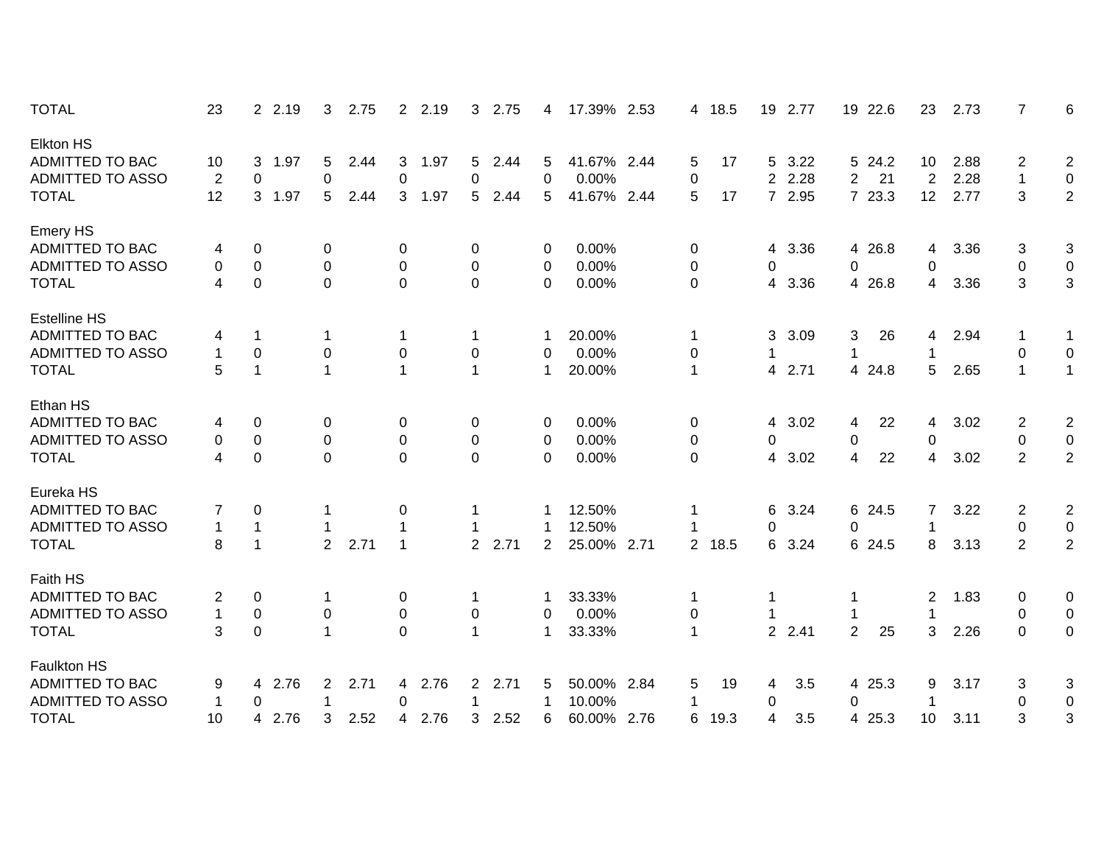| Elkton HS<br>1.97<br><b>ADMITTED TO BAC</b><br>3<br>5<br>2.44<br>3<br>1.97<br>5<br>2.44<br>41.67% 2.44<br>17<br>3.22<br>5 24.2<br>10 <sup>°</sup><br>2.88<br>$\overline{c}$<br>10<br>5<br>5 <sup>5</sup><br>5<br>2.28<br><b>ADMITTED TO ASSO</b><br>$\boldsymbol{2}$<br>0.00%<br>2.28<br>$\overline{2}$<br>21<br>$\overline{2}$<br>$\mathbf 1$<br>0<br>0<br>0<br>$\overline{2}$<br>0<br>0<br>0<br>7 23.3<br>2.77<br>3<br><b>TOTAL</b><br>12<br>1.97<br>5<br>2.44<br>3<br>1.97<br>5<br>2.44<br>41.67% 2.44<br>5<br>17<br>7 2.95<br>12 <sup>2</sup><br>3 <sup>1</sup><br>5<br><b>Emery HS</b><br><b>ADMITTED TO BAC</b><br>0.00%<br>3.36<br>4 26.8<br>3.36<br>$\mathbf 0$<br>3<br>0<br>0<br>0<br>0<br>0<br>4<br>4<br>4<br><b>ADMITTED TO ASSO</b><br>$\mathbf 0$<br>$\mathbf 0$<br>$\pmb{0}$<br>0.00%<br>0<br>$\pmb{0}$<br>0<br>0<br>0<br>0<br>0<br>0<br>$\mathbf 0$<br>3<br>$\mathbf 0$<br>0.00%<br>0<br><b>TOTAL</b><br>4<br>$\mathbf 0$<br>0<br>0<br>3.36<br>4 26.8<br>4<br>3.36<br>4 | 6                |
|----------------------------------------------------------------------------------------------------------------------------------------------------------------------------------------------------------------------------------------------------------------------------------------------------------------------------------------------------------------------------------------------------------------------------------------------------------------------------------------------------------------------------------------------------------------------------------------------------------------------------------------------------------------------------------------------------------------------------------------------------------------------------------------------------------------------------------------------------------------------------------------------------------------------------------------------------------------------------------------|------------------|
|                                                                                                                                                                                                                                                                                                                                                                                                                                                                                                                                                                                                                                                                                                                                                                                                                                                                                                                                                                                        |                  |
|                                                                                                                                                                                                                                                                                                                                                                                                                                                                                                                                                                                                                                                                                                                                                                                                                                                                                                                                                                                        | $\overline{c}$   |
|                                                                                                                                                                                                                                                                                                                                                                                                                                                                                                                                                                                                                                                                                                                                                                                                                                                                                                                                                                                        | $\pmb{0}$        |
|                                                                                                                                                                                                                                                                                                                                                                                                                                                                                                                                                                                                                                                                                                                                                                                                                                                                                                                                                                                        | $\overline{2}$   |
|                                                                                                                                                                                                                                                                                                                                                                                                                                                                                                                                                                                                                                                                                                                                                                                                                                                                                                                                                                                        |                  |
|                                                                                                                                                                                                                                                                                                                                                                                                                                                                                                                                                                                                                                                                                                                                                                                                                                                                                                                                                                                        | 3                |
|                                                                                                                                                                                                                                                                                                                                                                                                                                                                                                                                                                                                                                                                                                                                                                                                                                                                                                                                                                                        | $\mathbf 0$      |
|                                                                                                                                                                                                                                                                                                                                                                                                                                                                                                                                                                                                                                                                                                                                                                                                                                                                                                                                                                                        | 3                |
| <b>Estelline HS</b>                                                                                                                                                                                                                                                                                                                                                                                                                                                                                                                                                                                                                                                                                                                                                                                                                                                                                                                                                                    |                  |
| <b>ADMITTED TO BAC</b><br>20.00%<br>3.09<br>3<br>26<br>2.94<br>3<br>4<br>1<br>1<br>1<br>1<br>1<br>4<br>1                                                                                                                                                                                                                                                                                                                                                                                                                                                                                                                                                                                                                                                                                                                                                                                                                                                                               | 1                |
| <b>ADMITTED TO ASSO</b><br>$\pmb{0}$<br>$\mathbf 0$<br>0<br>0.00%<br>$\mathbf 0$<br>0<br>0<br>0<br>1<br>1<br>1                                                                                                                                                                                                                                                                                                                                                                                                                                                                                                                                                                                                                                                                                                                                                                                                                                                                         | $\mathbf 0$      |
| $\mathbf{1}$<br>5<br>20.00%<br>2.71<br>5<br>2.65<br>$\mathbf{1}$<br><b>TOTAL</b><br>1<br>1<br>$\mathbf 1$<br>4 24.8<br>1<br>$\mathbf 1$<br>4                                                                                                                                                                                                                                                                                                                                                                                                                                                                                                                                                                                                                                                                                                                                                                                                                                           | $\mathbf{1}$     |
| Ethan HS                                                                                                                                                                                                                                                                                                                                                                                                                                                                                                                                                                                                                                                                                                                                                                                                                                                                                                                                                                               |                  |
| ADMITTED TO BAC<br>0.00%<br>3.02<br>0<br>0<br>3.02<br>22<br>2<br>0<br>0<br>0<br>4<br>4<br>0<br>4<br>4                                                                                                                                                                                                                                                                                                                                                                                                                                                                                                                                                                                                                                                                                                                                                                                                                                                                                  | $\overline{c}$   |
| <b>ADMITTED TO ASSO</b><br>$\mathbf 0$<br>0.00%<br>$\mathbf 0$<br>0<br>0<br>0<br>0<br>0<br>0<br>0<br>0<br>0                                                                                                                                                                                                                                                                                                                                                                                                                                                                                                                                                                                                                                                                                                                                                                                                                                                                            | $\boldsymbol{0}$ |
| $\overline{0}$<br>$\overline{4}$<br>$\overline{2}$<br>$\mathbf 0$<br>$\mathbf 0$<br>0.00%<br>$\mathbf 0$<br>3.02<br>$\overline{4}$<br>22<br>3.02<br><b>TOTAL</b><br>4<br>$\Omega$<br>$\Omega$<br>$\overline{4}$                                                                                                                                                                                                                                                                                                                                                                                                                                                                                                                                                                                                                                                                                                                                                                        | $\overline{2}$   |
| Eureka HS                                                                                                                                                                                                                                                                                                                                                                                                                                                                                                                                                                                                                                                                                                                                                                                                                                                                                                                                                                              |                  |
| <b>ADMITTED TO BAC</b><br>12.50%<br>3.24<br>6 24.5<br>3.22<br>$\overline{2}$<br>0<br>6<br>7<br>0<br>7<br>1                                                                                                                                                                                                                                                                                                                                                                                                                                                                                                                                                                                                                                                                                                                                                                                                                                                                             | $\overline{c}$   |
| <b>ADMITTED TO ASSO</b><br>12.50%<br>$\pmb{0}$<br>0<br>0<br>1<br>1<br>1<br>1<br>1                                                                                                                                                                                                                                                                                                                                                                                                                                                                                                                                                                                                                                                                                                                                                                                                                                                                                                      | $\mathbf 0$      |
| $\overline{2}$<br>$\overline{2}$<br><b>TOTAL</b><br>8<br>$\mathbf{1}$<br>2.71<br>$\mathbf{1}$<br>$\overline{2}$<br>2.71<br>25.00% 2.71<br>3.24<br>6 24.5<br>3.13<br>$\overline{2}$<br>2 <sup>1</sup><br>18.5<br>6<br>8                                                                                                                                                                                                                                                                                                                                                                                                                                                                                                                                                                                                                                                                                                                                                                 | $\overline{2}$   |
| Faith HS                                                                                                                                                                                                                                                                                                                                                                                                                                                                                                                                                                                                                                                                                                                                                                                                                                                                                                                                                                               |                  |
| <b>ADMITTED TO BAC</b><br>33.33%<br>2<br>0<br>2<br>1.83<br>0<br>0<br>1<br>1<br>1                                                                                                                                                                                                                                                                                                                                                                                                                                                                                                                                                                                                                                                                                                                                                                                                                                                                                                       | 0                |
| <b>ADMITTED TO ASSO</b><br>0.00%<br>$\mathbf 0$<br>$\pmb{0}$<br>$\mathbf 0$<br>1<br>0<br>0<br>0<br>1<br>1<br>0                                                                                                                                                                                                                                                                                                                                                                                                                                                                                                                                                                                                                                                                                                                                                                                                                                                                         | $\pmb{0}$        |
| 3<br>$\mathbf 0$<br>$\Omega$<br>$\overline{2}$<br>3<br>$\mathbf{0}$<br><b>TOTAL</b><br>$\mathbf 1$<br>$\blacktriangleleft$<br>33.33%<br>2 2.41<br>25<br>2.26<br>1                                                                                                                                                                                                                                                                                                                                                                                                                                                                                                                                                                                                                                                                                                                                                                                                                      | $\mathbf 0$      |
| <b>Faulkton HS</b>                                                                                                                                                                                                                                                                                                                                                                                                                                                                                                                                                                                                                                                                                                                                                                                                                                                                                                                                                                     |                  |
| <b>ADMITTED TO BAC</b><br>4 2.76<br>2.76<br>2 2.71<br>50.00% 2.84<br>4 25.3<br>$\mathbf{2}^{\prime}$<br>2.71<br>4<br>5<br>19<br>3.5<br>9<br>3.17<br>9<br>5<br>4<br>3                                                                                                                                                                                                                                                                                                                                                                                                                                                                                                                                                                                                                                                                                                                                                                                                                   | 3                |
| <b>ADMITTED TO ASSO</b><br>10.00%<br>0<br>$\mathbf 0$<br>0<br>0<br>$\Omega$<br>1                                                                                                                                                                                                                                                                                                                                                                                                                                                                                                                                                                                                                                                                                                                                                                                                                                                                                                       | $\pmb{0}$        |
| <b>TOTAL</b><br>2.76<br>2.52<br>2.76<br>2.52<br>60.00% 2.76<br>3<br>10<br>3<br>3<br>6<br>6<br>19.3<br>3.5<br>4 25.3<br>10<br>3.11<br>4<br>4<br>4                                                                                                                                                                                                                                                                                                                                                                                                                                                                                                                                                                                                                                                                                                                                                                                                                                       | 3                |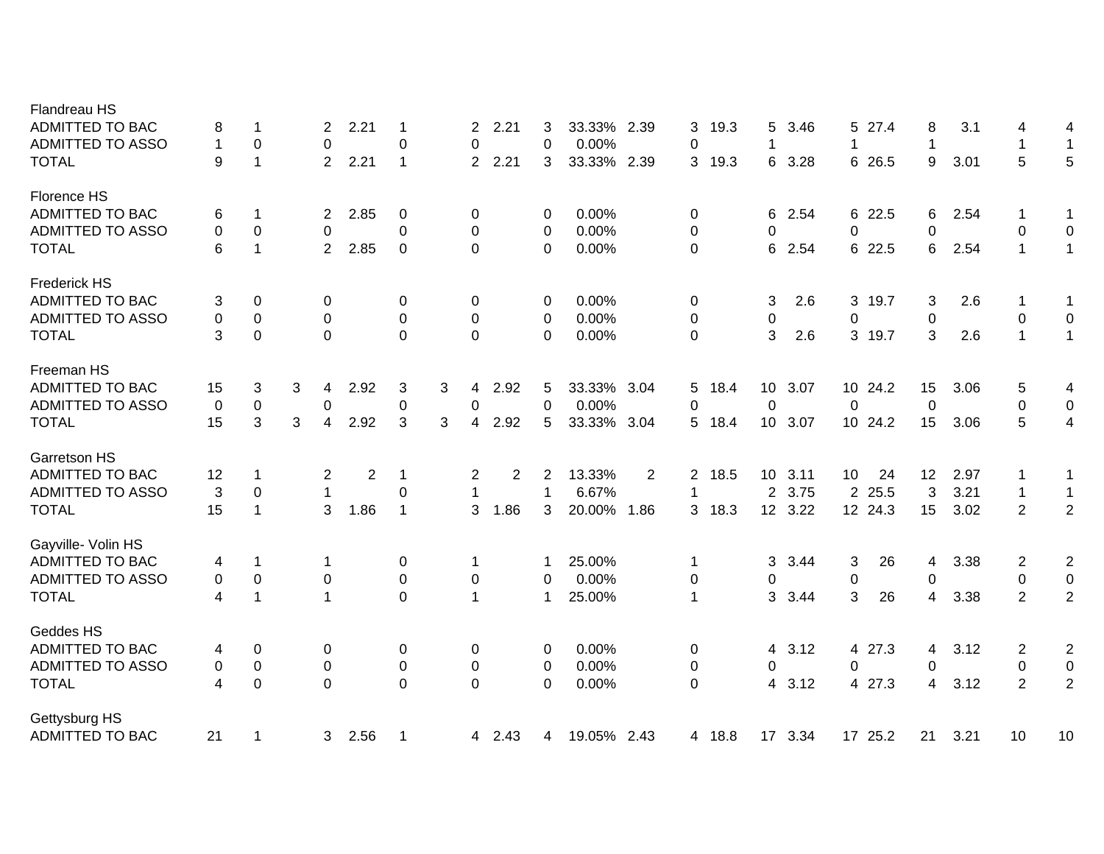| Flandreau HS            |           |              |   |                |                |                  |   |                       |                |          |             |                |                |        |                |         |                 |         |              |      |                  |                         |
|-------------------------|-----------|--------------|---|----------------|----------------|------------------|---|-----------------------|----------------|----------|-------------|----------------|----------------|--------|----------------|---------|-----------------|---------|--------------|------|------------------|-------------------------|
| <b>ADMITTED TO BAC</b>  | 8         | 1            |   | $\overline{2}$ | 2.21           | 1                |   | $\mathbf{2}^{\prime}$ | 2.21           | 3        | 33.33% 2.39 |                | 3              | 19.3   | 5              | 3.46    |                 | 5 27.4  | 8            | 3.1  | 4                | 4                       |
| <b>ADMITTED TO ASSO</b> | 1         | 0            |   | 0              |                | 0                |   | 0                     |                | 0        | 0.00%       |                | 0              |        | 1              |         | -1              |         | $\mathbf{1}$ |      | 1                | 1                       |
| <b>TOTAL</b>            | 9         | $\mathbf{1}$ |   | $\overline{2}$ | 2.21           | $\mathbf 1$      |   | 2 <sup>1</sup>        | 2.21           | 3        | 33.33% 2.39 |                | 3              | 19.3   | 6              | 3.28    |                 | 6 26.5  | 9            | 3.01 | 5                | 5                       |
| Florence HS             |           |              |   |                |                |                  |   |                       |                |          |             |                |                |        |                |         |                 |         |              |      |                  |                         |
| <b>ADMITTED TO BAC</b>  | 6         | $\mathbf{1}$ |   | $\overline{2}$ | 2.85           | 0                |   | 0                     |                | 0        | 0.00%       |                | 0              |        | 6              | 2.54    |                 | 6 22.5  | 6            | 2.54 | $\mathbf 1$      | 1                       |
| <b>ADMITTED TO ASSO</b> | 0         | $\mathbf 0$  |   | 0              |                | $\mathbf 0$      |   | $\Omega$              |                | 0        | 0.00%       |                | 0              |        | $\Omega$       |         | $\mathbf{0}$    |         | 0            |      | $\pmb{0}$        | $\boldsymbol{0}$        |
| <b>TOTAL</b>            | 6         | $\mathbf{1}$ |   | $\overline{2}$ | 2.85           | $\mathbf 0$      |   | $\Omega$              |                | $\Omega$ | 0.00%       |                | $\mathbf 0$    |        | 6              | 2.54    |                 | 6 22.5  | 6            | 2.54 | $\mathbf{1}$     | $\mathbf{1}$            |
| <b>Frederick HS</b>     |           |              |   |                |                |                  |   |                       |                |          |             |                |                |        |                |         |                 |         |              |      |                  |                         |
| <b>ADMITTED TO BAC</b>  | 3         | 0            |   | 0              |                | 0                |   | 0                     |                | 0        | 0.00%       |                | 0              |        | 3              | 2.6     |                 | 3 19.7  | 3            | 2.6  | 1                | 1                       |
| <b>ADMITTED TO ASSO</b> | 0         | 0            |   | $\mathbf 0$    |                | $\boldsymbol{0}$ |   | 0                     |                | 0        | 0.00%       |                | 0              |        | $\Omega$       |         | 0               |         | 0            |      | $\pmb{0}$        | $\mathbf 0$             |
| <b>TOTAL</b>            | 3         | $\mathbf 0$  |   | $\Omega$       |                | $\overline{0}$   |   | $\Omega$              |                | $\Omega$ | 0.00%       |                | $\Omega$       |        | 3              | 2.6     |                 | 3 19.7  | 3            | 2.6  | $\mathbf{1}$     | $\mathbf{1}$            |
| Freeman HS              |           |              |   |                |                |                  |   |                       |                |          |             |                |                |        |                |         |                 |         |              |      |                  |                         |
| <b>ADMITTED TO BAC</b>  | 15        | 3            | 3 | 4              | 2.92           | 3                | 3 | 4                     | 2.92           | 5        | 33.33% 3.04 |                | 5              | 18.4   |                | 10 3.07 |                 | 10 24.2 | 15           | 3.06 | $\sqrt{5}$       | 4                       |
| <b>ADMITTED TO ASSO</b> | $\pmb{0}$ | $\mathbf 0$  |   | 0              |                | 0                |   | 0                     |                | 0        | 0.00%       |                | 0              |        | 0              |         | 0               |         | 0            |      | $\boldsymbol{0}$ | $\pmb{0}$               |
| <b>TOTAL</b>            | 15        | 3            | 3 | 4              | 2.92           | 3                | 3 | $\overline{4}$        | 2.92           | 5        | 33.33% 3.04 |                | 5.             | 18.4   |                | 10 3.07 |                 | 10 24.2 | 15           | 3.06 | 5                | $\overline{4}$          |
| <b>Garretson HS</b>     |           |              |   |                |                |                  |   |                       |                |          |             |                |                |        |                |         |                 |         |              |      |                  |                         |
| <b>ADMITTED TO BAC</b>  | 12        | 1            |   | $\overline{2}$ | $\overline{c}$ | 1                |   | $\overline{2}$        | $\overline{2}$ | 2        | 13.33%      | $\overline{2}$ | $\overline{2}$ | 18.5   |                | 10 3.11 | 10 <sup>°</sup> | 24      | 12           | 2.97 | 1                | 1                       |
| <b>ADMITTED TO ASSO</b> | 3         | 0            |   | $\mathbf{1}$   |                | 0                |   | 1                     |                |          | 6.67%       |                | 1              |        | $\overline{2}$ | 3.75    |                 | 2 2 5.5 | 3            | 3.21 | $\mathbf{1}$     | $\mathbf{1}$            |
| <b>TOTAL</b>            | 15        | $\mathbf{1}$ |   | 3              | 1.86           | $\mathbf 1$      |   | 3                     | 1.86           | 3        | 20.00%      | 1.86           | 3              | 18.3   |                | 12 3.22 |                 | 12 24.3 | 15           | 3.02 | 2                | $\overline{2}$          |
| Gayville- Volin HS      |           |              |   |                |                |                  |   |                       |                |          |             |                |                |        |                |         |                 |         |              |      |                  |                         |
| <b>ADMITTED TO BAC</b>  | 4         | -1           |   | 1              |                | 0                |   | -1                    |                | 1        | 25.00%      |                | 1              |        | 3              | 3.44    | 3               | 26      | 4            | 3.38 | 2                | $\overline{c}$          |
| <b>ADMITTED TO ASSO</b> | 0         | 0            |   | 0              |                | 0                |   | 0                     |                | 0        | 0.00%       |                | 0              |        | 0              |         | 0               |         | 0            |      | $\pmb{0}$        | $\pmb{0}$               |
| <b>TOTAL</b>            | 4         | $\mathbf{1}$ |   | 1              |                | $\mathbf 0$      |   | $\mathbf 1$           |                | 1        | 25.00%      |                | $\mathbf 1$    |        | 3              | 3.44    | 3               | 26      | 4            | 3.38 | $\overline{2}$   | $\overline{c}$          |
| Geddes HS               |           |              |   |                |                |                  |   |                       |                |          |             |                |                |        |                |         |                 |         |              |      |                  |                         |
| <b>ADMITTED TO BAC</b>  | 4         | 0            |   | 0              |                | 0                |   | 0                     |                | 0        | 0.00%       |                | 0              |        |                | 4 3.12  |                 | 4 27.3  | 4            | 3.12 | $\overline{c}$   | $\overline{\mathbf{c}}$ |
| <b>ADMITTED TO ASSO</b> | 0         | $\mathbf 0$  |   | $\mathsf 0$    |                | $\,0\,$          |   | 0                     |                | 0        | 0.00%       |                | 0              |        | 0              |         | $\mathbf 0$     |         | 0            |      | $\pmb{0}$        | $\pmb{0}$               |
| <b>TOTAL</b>            | 4         | $\mathsf 0$  |   | $\overline{0}$ |                | $\overline{0}$   |   | 0                     |                | 0        | 0.00%       |                | $\mathbf 0$    |        | 4              | 3.12    |                 | 4 27.3  | 4            | 3.12 | $\overline{2}$   | $\overline{2}$          |
| Gettysburg HS           |           |              |   |                |                |                  |   |                       |                |          |             |                |                |        |                |         |                 |         |              |      |                  |                         |
| <b>ADMITTED TO BAC</b>  | 21        | $\mathbf 1$  |   | 3              | 2.56           | -1               |   |                       | 4 2.43         | 4        | 19.05% 2.43 |                |                | 4 18.8 |                | 17 3.34 |                 | 17 25.2 | 21           | 3.21 | 10               | 10                      |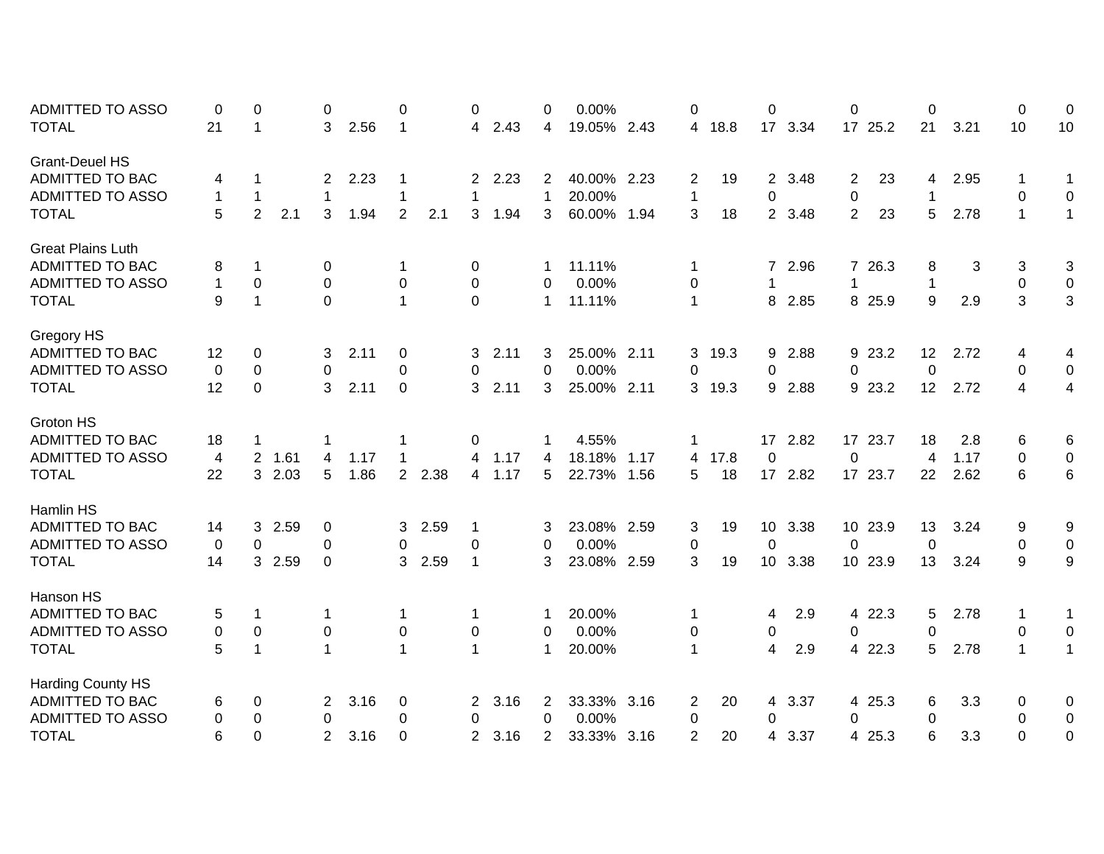| <b>ADMITTED TO ASSO</b>  | 0              | 0                      | 0              |      | $\Omega$       |        | 0              |      | 0              | 0.00%       |      | 0              |        | $\Omega$        |         | $\mathbf{0}$     |         | 0               |      | $\pmb{0}$    | 0                |
|--------------------------|----------------|------------------------|----------------|------|----------------|--------|----------------|------|----------------|-------------|------|----------------|--------|-----------------|---------|------------------|---------|-----------------|------|--------------|------------------|
| <b>TOTAL</b>             | 21             | $\mathbf{1}$           | 3              | 2.56 | $\mathbf 1$    |        | 4              | 2.43 | 4              | 19.05% 2.43 |      |                | 4 18.8 |                 | 17 3.34 |                  | 17 25.2 | 21              | 3.21 | 10           | 10               |
| <b>Grant-Deuel HS</b>    |                |                        |                |      |                |        |                |      |                |             |      |                |        |                 |         |                  |         |                 |      |              |                  |
| <b>ADMITTED TO BAC</b>   | 4              | 1                      | $\overline{2}$ | 2.23 |                |        | $\mathbf{2}$   | 2.23 | 2              | 40.00% 2.23 |      | $\overline{c}$ | 19     |                 | 2 3.48  | $\overline{2}$   | 23      | 4               | 2.95 | 1            | 1                |
| <b>ADMITTED TO ASSO</b>  | 1              | $\mathbf 1$            | $\mathbf 1$    |      | 1              |        | 1              |      | $\mathbf 1$    | 20.00%      |      | 1              |        | 0               |         | $\boldsymbol{0}$ |         | 1               |      | $\pmb{0}$    | $\boldsymbol{0}$ |
| <b>TOTAL</b>             | 5              | $\overline{2}$<br>2.1  | 3              | 1.94 | $\overline{2}$ | 2.1    | 3              | 1.94 | 3              | 60.00% 1.94 |      | 3              | 18     |                 | 2 3.48  | 2                | 23      | 5               | 2.78 | $\mathbf{1}$ | $\mathbf{1}$     |
| <b>Great Plains Luth</b> |                |                        |                |      |                |        |                |      |                |             |      |                |        |                 |         |                  |         |                 |      |              |                  |
| <b>ADMITTED TO BAC</b>   | 8              | $\mathbf 1$            | 0              |      | 1              |        | 0              |      | 1              | 11.11%      |      | 1              |        |                 | 7 2.96  |                  | 7 26.3  | 8               | 3    | 3            | 3                |
| <b>ADMITTED TO ASSO</b>  | $\mathbf 1$    | 0                      | $\Omega$       |      | $\mathbf 0$    |        | 0              |      | $\Omega$       | 0.00%       |      | 0              |        |                 |         |                  |         | $\mathbf 1$     |      | $\pmb{0}$    | $\boldsymbol{0}$ |
| <b>TOTAL</b>             | 9              | $\mathbf{1}$           | $\mathbf 0$    |      | $\mathbf{1}$   |        | $\mathbf 0$    |      | $\mathbf 1$    | 11.11%      |      | $\mathbf{1}$   |        | 8               | 2.85    |                  | 8 25.9  | 9               | 2.9  | 3            | $\mathbf{3}$     |
| Gregory HS               |                |                        |                |      |                |        |                |      |                |             |      |                |        |                 |         |                  |         |                 |      |              |                  |
| ADMITTED TO BAC          | 12             | 0                      | 3              | 2.11 | 0              |        | 3.             | 2.11 | 3              | 25.00% 2.11 |      | 3.             | 19.3   | 9               | 2.88    |                  | 9 23.2  | 12              | 2.72 | 4            | 4                |
| <b>ADMITTED TO ASSO</b>  | 0              | 0                      | 0              |      | 0              |        | 0              |      | 0              | 0.00%       |      | 0              |        | 0               |         | $\mathbf 0$      |         | 0               |      | $\mathbf 0$  | $\pmb{0}$        |
| <b>TOTAL</b>             | 12             | 0                      | 3              | 2.11 | $\mathbf 0$    |        | 3              | 2.11 | 3              | 25.00% 2.11 |      | 3.             | 19.3   | 9               | 2.88    |                  | 9 23.2  | 12 <sup>°</sup> | 2.72 | 4            | $\overline{4}$   |
| Groton HS                |                |                        |                |      |                |        |                |      |                |             |      |                |        |                 |         |                  |         |                 |      |              |                  |
| <b>ADMITTED TO BAC</b>   | 18             | 1                      | 1              |      |                |        | 0              |      |                | 4.55%       |      | 1              |        |                 | 17 2.82 |                  | 17 23.7 | 18              | 2.8  | 6            | 6                |
| <b>ADMITTED TO ASSO</b>  | $\overline{4}$ | $\overline{2}$<br>1.61 | 4              | 1.17 | 1              |        | 4              | 1.17 | 4              | 18.18%      | 1.17 | 4              | 17.8   | 0               |         | $\mathbf{0}$     |         | 4               | 1.17 | $\mathbf 0$  | $\pmb{0}$        |
| <b>TOTAL</b>             | 22             | 3 2.03                 | 5              | 1.86 |                | 2 2.38 | 4              | 1.17 | 5              | 22.73%      | 1.56 | 5              | 18     |                 | 17 2.82 |                  | 17 23.7 | 22              | 2.62 | 6            | $\,6$            |
| Hamlin HS                |                |                        |                |      |                |        |                |      |                |             |      |                |        |                 |         |                  |         |                 |      |              |                  |
| <b>ADMITTED TO BAC</b>   | 14             | 2.59<br>3              | 0              |      | 3              | 2.59   | -1             |      | 3              | 23.08% 2.59 |      | 3              | 19     | 10 <sup>°</sup> | 3.38    |                  | 10 23.9 | 13              | 3.24 | 9            | 9                |
| <b>ADMITTED TO ASSO</b>  | 0              | 0                      | 0              |      | 0              |        | 0              |      | 0              | 0.00%       |      | 0              |        | 0               |         | 0                |         | 0               |      | $\mathbf 0$  | $\mathbf 0$      |
| <b>TOTAL</b>             | 14             | 3 2.59                 | $\mathbf 0$    |      | 3              | 2.59   | $\mathbf{1}$   |      | 3              | 23.08% 2.59 |      | 3              | 19     | 10 <sup>1</sup> | 3.38    |                  | 10 23.9 | 13              | 3.24 | 9            | $\boldsymbol{9}$ |
| Hanson HS                |                |                        |                |      |                |        |                |      |                |             |      |                |        |                 |         |                  |         |                 |      |              |                  |
| <b>ADMITTED TO BAC</b>   | 5              | -1                     | 1              |      | 1              |        | 1              |      | 1              | 20.00%      |      | 1              |        | 4               | 2.9     |                  | 4 22.3  | 5               | 2.78 | 1            | $\mathbf{1}$     |
| ADMITTED TO ASSO         | 0              | $\mathbf 0$            | $\mathbf 0$    |      | 0              |        | 0              |      | 0              | 0.00%       |      | 0              |        | 0               |         | 0                |         | 0               |      | $\pmb{0}$    | $\pmb{0}$        |
| <b>TOTAL</b>             | 5              | $\mathbf{1}$           |                |      | 1              |        | $\mathbf{1}$   |      | $\mathbf 1$    | 20.00%      |      |                |        | 4               | 2.9     |                  | 4 22.3  | 5               | 2.78 | 1            | $\mathbf{1}$     |
| Harding County HS        |                |                        |                |      |                |        |                |      |                |             |      |                |        |                 |         |                  |         |                 |      |              |                  |
| <b>ADMITTED TO BAC</b>   | 6              | 0                      | $\overline{2}$ | 3.16 | 0              |        | $\overline{2}$ | 3.16 | $\overline{2}$ | 33.33% 3.16 |      | 2              | 20     |                 | 4 3.37  |                  | 4 25.3  | 6               | 3.3  | 0            | 0                |
| <b>ADMITTED TO ASSO</b>  | 0              | $\overline{0}$         | 0              |      | 0              |        | 0              |      | 0              | 0.00%       |      | 0              |        | 0               |         | 0                |         | 0               |      | 0            | $\pmb{0}$        |
| <b>TOTAL</b>             | 6              | $\Omega$               | $\overline{2}$ | 3.16 | 0              |        | 2              | 3.16 | 2              | 33.33% 3.16 |      | 2              | 20     | 4               | 3.37    |                  | 4 25.3  | 6               | 3.3  | $\Omega$     | 0                |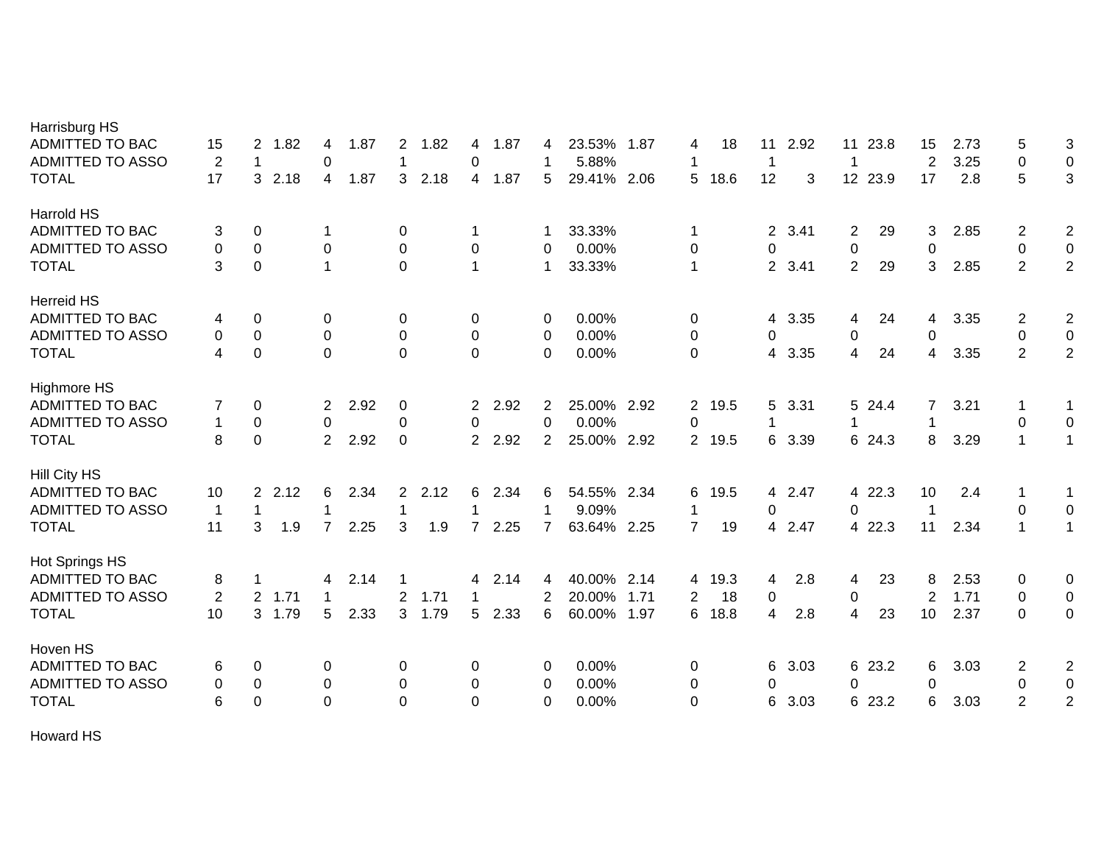| Harrisburg HS           |                  |                |                       |                        |                |      |                |        |                |             |      |                |      |              |        |                |         |             |      |                |                         |
|-------------------------|------------------|----------------|-----------------------|------------------------|----------------|------|----------------|--------|----------------|-------------|------|----------------|------|--------------|--------|----------------|---------|-------------|------|----------------|-------------------------|
| <b>ADMITTED TO BAC</b>  | 15               | $\overline{2}$ | 1.82<br>4             | 1.87                   | $\overline{2}$ | 1.82 | 4              | 1.87   | 4              | 23.53%      | 1.87 | 4              | 18   | 11           | 2.92   |                | 11 23.8 | 15          | 2.73 | 5              | 3                       |
| <b>ADMITTED TO ASSO</b> | 2                | 1              | 0                     |                        | 1              |      | 0              |        |                | 5.88%       |      | 1              |      |              |        | -1             |         | 2           | 3.25 | $\mathbf 0$    | $\pmb{0}$               |
| <b>TOTAL</b>            | 17               | 3              | 2.18<br>4             | 1.87                   | 3              | 2.18 | 4              | 1.87   | 5              | 29.41%      | 2.06 | 5              | 18.6 | 12           | 3      |                | 12 23.9 | 17          | 2.8  | 5              | $\mathbf{3}$            |
| Harrold HS              |                  |                |                       |                        |                |      |                |        |                |             |      |                |      |              |        |                |         |             |      |                |                         |
| ADMITTED TO BAC         | 3                | 0              | 1                     |                        | 0              |      |                |        |                | 33.33%      |      | 1              |      | $\mathbf{2}$ | 3.41   | $\overline{2}$ | 29      | 3           | 2.85 | 2              | $\overline{\mathbf{c}}$ |
| <b>ADMITTED TO ASSO</b> | 0                | $\mathbf 0$    | $\pmb{0}$             |                        | $\mathbf 0$    |      | $\mathbf 0$    |        | 0              | 0.00%       |      | 0              |      | 0            |        | $\mathbf 0$    |         | $\mathbf 0$ |      | $\mathbf 0$    | $\pmb{0}$               |
| <b>TOTAL</b>            | 3                | $\mathbf 0$    | 1                     |                        | $\Omega$       |      | 1              |        | 1              | 33.33%      |      | $\mathbf 1$    |      |              | 2 3.41 | $\overline{2}$ | 29      | 3           | 2.85 | 2              | $\overline{2}$          |
| <b>Herreid HS</b>       |                  |                |                       |                        |                |      |                |        |                |             |      |                |      |              |        |                |         |             |      |                |                         |
| <b>ADMITTED TO BAC</b>  | 4                | 0              | 0                     |                        | 0              |      | 0              |        | 0              | 0.00%       |      | 0              |      |              | 4 3.35 | 4              | 24      | 4           | 3.35 | 2              | $\overline{2}$          |
| <b>ADMITTED TO ASSO</b> | 0                | 0              | $\mathbf 0$           |                        | $\mathbf 0$    |      | 0              |        | 0              | 0.00%       |      | 0              |      | 0            |        | 0              |         | 0           |      | $\mathbf 0$    | $\pmb{0}$               |
| <b>TOTAL</b>            | 4                | 0              | $\Omega$              |                        | $\mathbf 0$    |      | $\Omega$       |        | $\Omega$       | 0.00%       |      | $\mathbf 0$    |      | 4            | 3.35   | 4              | 24      | 4           | 3.35 | 2              | $\overline{2}$          |
| <b>Highmore HS</b>      |                  |                |                       |                        |                |      |                |        |                |             |      |                |      |              |        |                |         |             |      |                |                         |
| <b>ADMITTED TO BAC</b>  | 7                | $\mathbf 0$    |                       | 2.92<br>$\overline{2}$ | $\mathbf 0$    |      | $\overline{2}$ | 2.92   | 2              | 25.00% 2.92 |      | $\overline{2}$ | 19.5 | 5            | 3.31   |                | 5 24.4  | 7           | 3.21 | 1              | 1                       |
| <b>ADMITTED TO ASSO</b> | $\mathbf{1}$     | $\mathbf 0$    | 0                     |                        | 0              |      | 0              |        | 0              | 0.00%       |      | 0              |      | 1            |        | 1              |         | 1           |      | 0              | 0                       |
| <b>TOTAL</b>            | 8                | $\mathbf 0$    | $\overline{2}$        | 2.92                   | $\mathbf 0$    |      | $\overline{2}$ | 2.92   | $\overline{2}$ | 25.00% 2.92 |      | $\overline{2}$ | 19.5 | 6            | 3.39   |                | 6 24.3  | 8           | 3.29 | $\mathbf{1}$   | $\mathbf{1}$            |
| Hill City HS            |                  |                |                       |                        |                |      |                |        |                |             |      |                |      |              |        |                |         |             |      |                |                         |
| ADMITTED TO BAC         | 10               | $\overline{2}$ | 2.12<br>6             | 2.34                   | 2              | 2.12 | 6              | 2.34   | 6              | 54.55%      | 2.34 | 6              | 19.5 |              | 4 2.47 |                | 4 22.3  | 10          | 2.4  | 1              | 1                       |
| <b>ADMITTED TO ASSO</b> | $\mathbf 1$      | 1              | 1                     |                        | $\mathbf 1$    |      | 1              |        | 1              | 9.09%       |      | 1              |      | 0            |        | $\mathbf 0$    |         | $\mathbf 1$ |      | 0              | $\pmb{0}$               |
| <b>TOTAL</b>            | 11               | 3              | 1.9<br>$\overline{7}$ | 2.25                   | 3              | 1.9  | 7              | 2.25   | $\overline{7}$ | 63.64% 2.25 |      | $\overline{7}$ | 19   |              | 4 2.47 |                | 4 22.3  | 11          | 2.34 | $\mathbf{1}$   | $\mathbf{1}$            |
| <b>Hot Springs HS</b>   |                  |                |                       |                        |                |      |                |        |                |             |      |                |      |              |        |                |         |             |      |                |                         |
| <b>ADMITTED TO BAC</b>  | 8                | 1              |                       | 2.14<br>4              |                |      |                | 4 2.14 | 4              | 40.00% 2.14 |      | 4              | 19.3 | 4            | 2.8    | 4              | 23      | 8           | 2.53 | 0              | 0                       |
| <b>ADMITTED TO ASSO</b> | $\boldsymbol{2}$ | $\overline{2}$ | 1.71<br>$\mathbf 1$   |                        | $\overline{2}$ | 1.71 |                |        | $\overline{2}$ | 20.00%      | 1.71 | 2              | 18   | 0            |        | 0              |         | 2           | 1.71 | 0              | $\mathbf 0$             |
| <b>TOTAL</b>            | 10               | 3              | 1.79<br>5             | 2.33                   | 3              | 1.79 | 5              | 2.33   | 6              | 60.00%      | 1.97 | 6              | 18.8 | 4            | 2.8    | $\overline{4}$ | 23      | 10          | 2.37 | $\Omega$       | $\pmb{0}$               |
| Hoven HS                |                  |                |                       |                        |                |      |                |        |                |             |      |                |      |              |        |                |         |             |      |                |                         |
| <b>ADMITTED TO BAC</b>  | 6                | 0              | 0                     |                        | 0              |      | 0              |        | 0              | 0.00%       |      | 0              |      | 6            | 3.03   |                | 6 23.2  | 6           | 3.03 | $\overline{2}$ | $\overline{2}$          |
| <b>ADMITTED TO ASSO</b> | 0                | 0              | 0                     |                        | 0              |      | 0              |        | 0              | 0.00%       |      | 0              |      | 0            |        | 0              |         | 0           |      | 0              | $\pmb{0}$               |
| <b>TOTAL</b>            | 6                | 0              | $\overline{0}$        |                        | $\mathbf 0$    |      | $\Omega$       |        | $\Omega$       | 0.00%       |      | $\Omega$       |      | 6            | 3.03   |                | 6 23.2  | 6           | 3.03 | $\overline{2}$ | $\overline{2}$          |
|                         |                  |                |                       |                        |                |      |                |        |                |             |      |                |      |              |        |                |         |             |      |                |                         |

Howard HS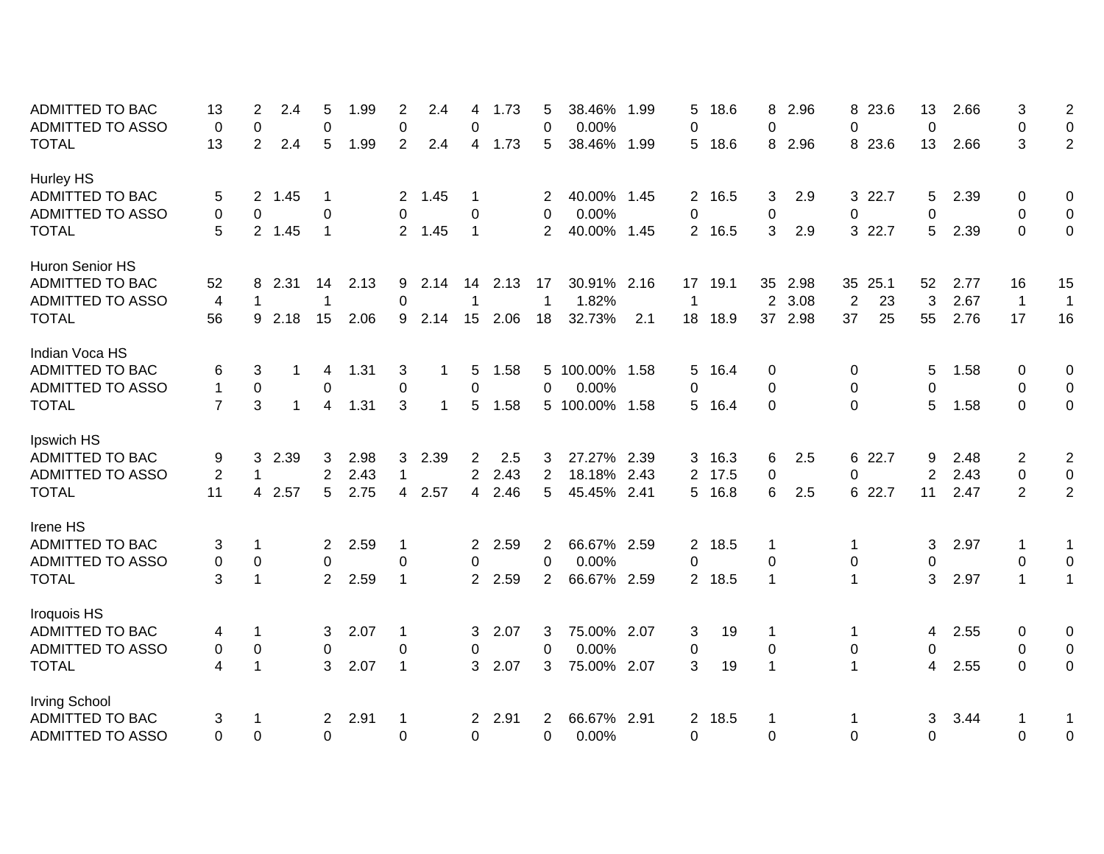| <b>ADMITTED TO BAC</b>  | 13             | 2              | 2.4         | 5              | 1.99 | 2                     | 2.4         | 4                     | 1.73 | 5        | 38.46%         | 1.99 | 5                    | 18.6    | 8              | 2.96    |                | 8 23.6 | 13             | 2.66 | 3              | $\overline{2}$ |
|-------------------------|----------------|----------------|-------------|----------------|------|-----------------------|-------------|-----------------------|------|----------|----------------|------|----------------------|---------|----------------|---------|----------------|--------|----------------|------|----------------|----------------|
| <b>ADMITTED TO ASSO</b> | 0              | $\Omega$       |             | 0              |      | $\mathbf 0$           |             | 0                     |      | $\Omega$ | 0.00%          |      | 0                    |         | 0              |         | $\Omega$       |        | 0              |      | 0              | $\mathsf 0$    |
| <b>TOTAL</b>            | 13             | $\overline{2}$ | 2.4         | 5              | 1.99 | $\overline{2}$        | 2.4         | 4                     | 1.73 | 5        | 38.46%         | 1.99 | 5                    | 18.6    |                | 8 2.96  |                | 8 23.6 | 13             | 2.66 | 3              | $\overline{2}$ |
| <b>Hurley HS</b>        |                |                |             |                |      |                       |             |                       |      |          |                |      |                      |         |                |         |                |        |                |      |                |                |
| ADMITTED TO BAC         | 5              | $\mathbf{2}$   | 1.45        | $\mathbf 1$    |      | $\mathbf{2}^{\prime}$ | 1.45        | 1                     |      | 2        | 40.00% 1.45    |      | $\overline{2}$       | 16.5    | 3              | 2.9     |                | 3 22.7 | 5              | 2.39 | 0              | 0              |
| <b>ADMITTED TO ASSO</b> | 0              | $\Omega$       |             | 0              |      | 0                     |             | 0                     |      | $\Omega$ | 0.00%          |      | 0                    |         | 0              |         | 0              |        | 0              |      | 0              | $\mathbf 0$    |
| <b>TOTAL</b>            | 5              |                | 2 1.45      | $\mathbf{1}$   |      |                       | 2 1.45      | 1                     |      | 2        | 40.00% 1.45    |      |                      | 2 16.5  | 3              | 2.9     |                | 3 22.7 | 5              | 2.39 | $\Omega$       | $\mathbf 0$    |
| Huron Senior HS         |                |                |             |                |      |                       |             |                       |      |          |                |      |                      |         |                |         |                |        |                |      |                |                |
| <b>ADMITTED TO BAC</b>  | 52             | 8              | 2.31        | 14             | 2.13 | 9                     | 2.14        | 14                    | 2.13 | 17       | 30.91% 2.16    |      |                      | 17 19.1 |                | 35 2.98 | 35             | 25.1   | 52             | 2.77 | 16             | 15             |
| <b>ADMITTED TO ASSO</b> | 4              | 1              |             | 1              |      | $\mathbf{0}$          |             |                       |      |          | 1.82%          |      | 1                    |         | $\overline{2}$ | 3.08    | $\overline{2}$ | 23     | 3              | 2.67 | $\overline{1}$ | $\mathbf{1}$   |
| <b>TOTAL</b>            | 56             |                | 92.18       | 15             | 2.06 | 9                     | 2.14        | 15                    | 2.06 | 18       | 32.73%         | 2.1  | 18                   | 18.9    |                | 37 2.98 | 37             | 25     | 55             | 2.76 | 17             | 16             |
| Indian Voca HS          |                |                |             |                |      |                       |             |                       |      |          |                |      |                      |         |                |         |                |        |                |      |                |                |
| <b>ADMITTED TO BAC</b>  | 6              | 3              | 1.          | 4              | 1.31 | 3                     | 1           | 5                     | 1.58 |          | 5 100.00% 1.58 |      | 5                    | 16.4    | 0              |         | 0              |        | 5              | 1.58 | 0              | $\pmb{0}$      |
| <b>ADMITTED TO ASSO</b> | 1              | $\mathbf 0$    |             | 0              |      | $\mathbf 0$           |             | 0                     |      | $\Omega$ | 0.00%          |      | 0                    |         | $\Omega$       |         | 0              |        | 0              |      | 0              | $\mathbf 0$    |
| <b>TOTAL</b>            | $\overline{7}$ | 3              | $\mathbf 1$ | 4              | 1.31 | 3                     | $\mathbf 1$ | 5                     | 1.58 |          | 5 100.00% 1.58 |      | 5                    | 16.4    | $\Omega$       |         | $\Omega$       |        | 5              | 1.58 | $\overline{0}$ | $\overline{0}$ |
| Ipswich HS              |                |                |             |                |      |                       |             |                       |      |          |                |      |                      |         |                |         |                |        |                |      |                |                |
| <b>ADMITTED TO BAC</b>  | 9              | 3              | 2.39        | 3              | 2.98 | 3 <sup>1</sup>        | 2.39        | $\overline{2}$        | 2.5  | 3        | 27.27% 2.39    |      | 3 <sup>1</sup>       | 16.3    | 6              | 2.5     |                | 6 22.7 | 9              | 2.48 | 2              | $\overline{2}$ |
| <b>ADMITTED TO ASSO</b> | $\overline{2}$ | 1              |             | $\overline{2}$ | 2.43 | 1                     |             | $\overline{2}$        | 2.43 | 2        | 18.18% 2.43    |      | $\overline{2}$       | 17.5    | 0              |         | 0              |        | $\overline{2}$ | 2.43 | 0              | $\mathbf 0$    |
| <b>TOTAL</b>            | 11             |                | 4 2.57      | 5              | 2.75 | 4                     | 2.57        | $\overline{4}$        | 2.46 | 5        | 45.45% 2.41    |      | 5                    | 16.8    | 6              | 2.5     |                | 6 22.7 | 11             | 2.47 | 2              | $\overline{2}$ |
| Irene HS                |                |                |             |                |      |                       |             |                       |      |          |                |      |                      |         |                |         |                |        |                |      |                |                |
| <b>ADMITTED TO BAC</b>  | 3              | -1             |             | $\overline{2}$ | 2.59 | 1                     |             | $\mathbf{2}$          | 2.59 | 2        | 66.67% 2.59    |      | $\mathbf{2}$         | 18.5    | 1              |         |                |        | 3              | 2.97 | $\mathbf 1$    | $\mathbf 1$    |
| <b>ADMITTED TO ASSO</b> | 0              | $\mathbf 0$    |             | 0              |      | 0                     |             | 0                     |      | 0        | 0.00%          |      | 0                    |         | 0              |         | 0              |        | 0              |      | $\mathbf 0$    | $\pmb{0}$      |
| <b>TOTAL</b>            | 3              | $\mathbf{1}$   |             | $\overline{2}$ | 2.59 | $\mathbf{1}$          |             | $\overline{2}$        | 2.59 | 2        | 66.67% 2.59    |      | $\mathbf{2}^{\circ}$ | 18.5    | 1              |         |                |        | 3              | 2.97 | $\mathbf 1$    | $\mathbf{1}$   |
| Iroquois HS             |                |                |             |                |      |                       |             |                       |      |          |                |      |                      |         |                |         |                |        |                |      |                |                |
| <b>ADMITTED TO BAC</b>  | 4              | $\mathbf 1$    |             | 3              | 2.07 | $\mathbf 1$           |             | 3                     | 2.07 | 3        | 75.00% 2.07    |      | 3                    | 19      | 1              |         | 1              |        | 4              | 2.55 | 0              | 0              |
| <b>ADMITTED TO ASSO</b> | $\mathbf 0$    | $\mathbf{0}$   |             | 0              |      | 0                     |             | 0                     |      | $\Omega$ | 0.00%          |      | 0                    |         | 0              |         | 0              |        | 0              |      | 0              | $\mathbf 0$    |
| <b>TOTAL</b>            | 4              | $\mathbf{1}$   |             | 3              | 2.07 | $\mathbf{1}$          |             | 3                     | 2.07 | 3        | 75.00% 2.07    |      | 3                    | 19      | 1              |         |                |        | 4              | 2.55 | $\Omega$       | $\mathbf 0$    |
| <b>Irving School</b>    |                |                |             |                |      |                       |             |                       |      |          |                |      |                      |         |                |         |                |        |                |      |                |                |
| <b>ADMITTED TO BAC</b>  | 3              | 1              |             | $\overline{2}$ | 2.91 | $\mathbf 1$           |             | $\mathbf{2}^{\prime}$ | 2.91 | 2        | 66.67% 2.91    |      | $\mathbf{2}$         | 18.5    | 1              |         | 1              |        | 3              | 3.44 | 1              | 1              |
| <b>ADMITTED TO ASSO</b> | 0              | $\Omega$       |             | 0              |      | $\mathbf 0$           |             | $\Omega$              |      | $\Omega$ | 0.00%          |      | $\Omega$             |         | $\Omega$       |         | $\Omega$       |        | $\Omega$       |      | 0              | 0              |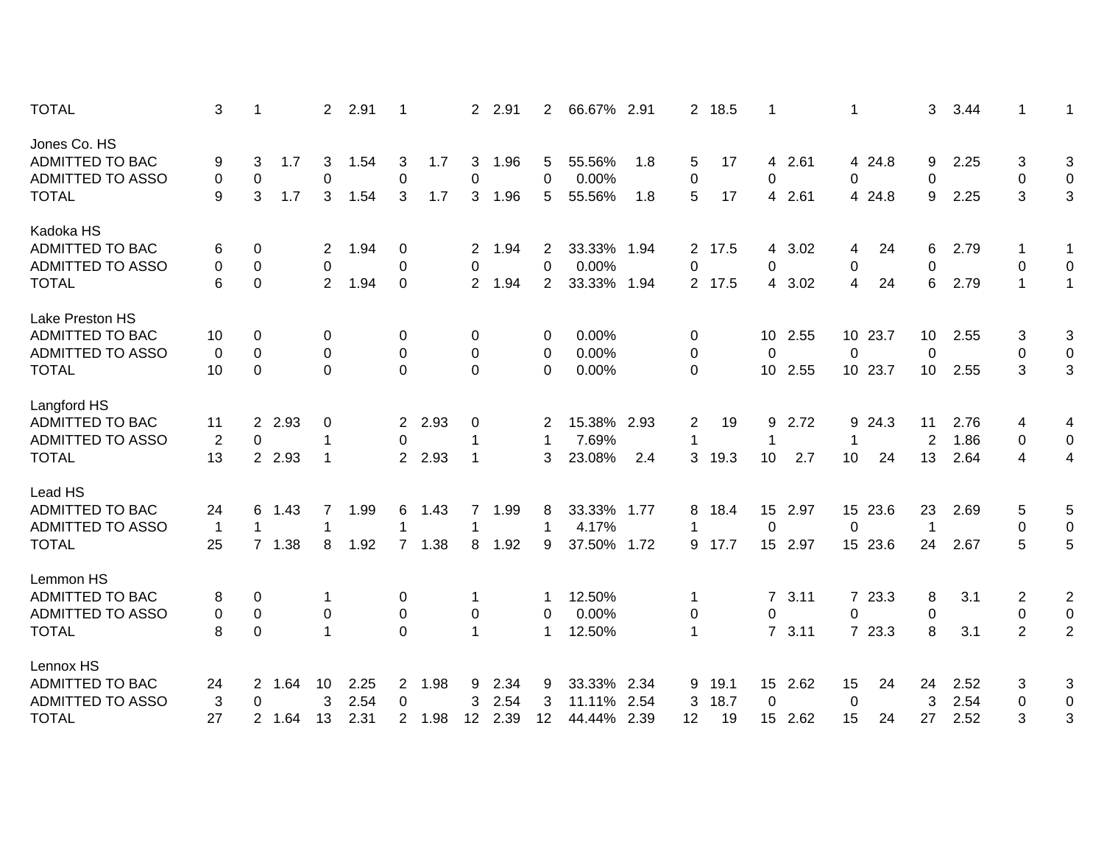| <b>TOTAL</b>            | 3              | -1                    |        | $\overline{2}$       | 2.91 |                |      | $\overline{2}$       | 2.91 | 2              | 66.67% 2.91 |      | $\mathbf{2}$   | 18.5 |                 |         | -1             |         | 3               | 3.44 | -1             | 1                       |
|-------------------------|----------------|-----------------------|--------|----------------------|------|----------------|------|----------------------|------|----------------|-------------|------|----------------|------|-----------------|---------|----------------|---------|-----------------|------|----------------|-------------------------|
| Jones Co. HS            |                |                       |        |                      |      |                |      |                      |      |                |             |      |                |      |                 |         |                |         |                 |      |                |                         |
| <b>ADMITTED TO BAC</b>  | 9              | 3                     | 1.7    | 3                    | 1.54 | 3              | 1.7  | 3                    | 1.96 | 5              | 55.56%      | 1.8  | 5              | 17   |                 | 4 2.61  |                | 4 24.8  | 9               | 2.25 | 3              | 3                       |
| <b>ADMITTED TO ASSO</b> | 0              | 0                     |        | 0                    |      | 0              |      | 0                    |      | 0              | 0.00%       |      | 0              |      | $\Omega$        |         | 0              |         | 0               |      | $\pmb{0}$      | $\pmb{0}$               |
| <b>TOTAL</b>            | 9              | 3                     | 1.7    | 3                    | 1.54 | 3              | 1.7  | 3                    | 1.96 | 5              | 55.56%      | 1.8  | 5              | 17   |                 | 4 2.61  |                | 4 24.8  | 9               | 2.25 | 3              | 3                       |
| Kadoka HS               |                |                       |        |                      |      |                |      |                      |      |                |             |      |                |      |                 |         |                |         |                 |      |                |                         |
| <b>ADMITTED TO BAC</b>  | 6              | 0                     |        | $\overline{2}$       | 1.94 | 0              |      | 2                    | 1.94 | 2              | 33.33%      | 1.94 | $\mathbf{2}^-$ | 17.5 |                 | 4 3.02  | 4              | 24      | 6               | 2.79 | 1              | 1                       |
| <b>ADMITTED TO ASSO</b> | 0              | $\mathbf 0$           |        | $\mathbf 0$          |      | 0              |      | 0                    |      | 0              | 0.00%       |      | 0              |      | 0               |         | $\mathbf 0$    |         | 0               |      | $\pmb{0}$      | $\mathbf 0$             |
| <b>TOTAL</b>            | 6              | $\mathbf 0$           |        | $\overline{2}$       | 1.94 | $\mathbf 0$    |      | $\overline{2}$       | 1.94 | $\overline{2}$ | 33.33%      | 1.94 | $\overline{2}$ | 17.5 |                 | 4 3.02  | $\overline{4}$ | 24      | 6               | 2.79 | $\mathbf{1}$   | $\mathbf{1}$            |
| Lake Preston HS         |                |                       |        |                      |      |                |      |                      |      |                |             |      |                |      |                 |         |                |         |                 |      |                |                         |
| <b>ADMITTED TO BAC</b>  | 10             | 0                     |        | 0                    |      | 0              |      | 0                    |      | 0              | 0.00%       |      | 0              |      | 10              | 2.55    |                | 10 23.7 | 10 <sup>°</sup> | 2.55 | 3              | 3                       |
| <b>ADMITTED TO ASSO</b> | 0              | $\mathbf 0$           |        | $\Omega$             |      | 0              |      | $\Omega$             |      | 0              | 0.00%       |      | $\Omega$       |      | $\mathbf 0$     |         | 0              |         | 0               |      | $\mathbf 0$    | $\mathbf 0$             |
| <b>TOTAL</b>            | 10             | $\mathbf 0$           |        | $\Omega$             |      | $\Omega$       |      | $\Omega$             |      | $\Omega$       | 0.00%       |      | $\mathbf 0$    |      | 10 <sup>°</sup> | 2.55    |                | 10 23.7 | 10 <sup>°</sup> | 2.55 | 3              | $\mathbf{3}$            |
| Langford HS             |                |                       |        |                      |      |                |      |                      |      |                |             |      |                |      |                 |         |                |         |                 |      |                |                         |
| <b>ADMITTED TO BAC</b>  | 11             |                       | 2 2.93 | 0                    |      | $\overline{2}$ | 2.93 | 0                    |      | 2              | 15.38%      | 2.93 | $\overline{c}$ | 19   | 9               | 2.72    |                | 9 24.3  | 11              | 2.76 | 4              | 4                       |
| <b>ADMITTED TO ASSO</b> | $\overline{2}$ | $\Omega$              |        | 1                    |      | 0              |      | 1                    |      | -1             | 7.69%       |      | 1              |      | -1              |         | -1             |         | $\overline{2}$  | 1.86 | $\mathbf 0$    | $\mathbf 0$             |
| <b>TOTAL</b>            | 13             |                       | 2 2.93 | 1                    |      | $\overline{2}$ | 2.93 | $\mathbf 1$          |      | 3              | 23.08%      | 2.4  | 3              | 19.3 | 10              | 2.7     | 10             | 24      | 13              | 2.64 | 4              | 4                       |
| Lead HS                 |                |                       |        |                      |      |                |      |                      |      |                |             |      |                |      |                 |         |                |         |                 |      |                |                         |
| <b>ADMITTED TO BAC</b>  | 24             | 6                     | 1.43   | 7                    | 1.99 | 6              | 1.43 |                      | 1.99 | 8              | 33.33%      | 1.77 | 8              | 18.4 | 15              | 2.97    |                | 15 23.6 | 23              | 2.69 | 5              | 5                       |
| <b>ADMITTED TO ASSO</b> | $\mathbf 1$    | 1                     |        | 1                    |      |                |      | 1                    |      |                | 4.17%       |      |                |      | 0               |         | 0              |         | $\mathbf 1$     |      | $\mathbf 0$    | $\mathbf 0$             |
| <b>TOTAL</b>            | 25             | $7^{\circ}$           | 1.38   | 8                    | 1.92 | $\overline{7}$ | 1.38 | 8                    | 1.92 | 9              | 37.50%      | 1.72 | 9              | 17.7 | 15              | 2.97    |                | 15 23.6 | 24              | 2.67 | 5              | 5                       |
| Lemmon HS               |                |                       |        |                      |      |                |      |                      |      |                |             |      |                |      |                 |         |                |         |                 |      |                |                         |
| <b>ADMITTED TO BAC</b>  | 8              | 0                     |        | 1                    |      | 0              |      |                      |      |                | 12.50%      |      | 1              |      | $7^{\circ}$     | 3.11    |                | 7 23.3  | 8               | 3.1  | 2              | $\overline{\mathbf{c}}$ |
| <b>ADMITTED TO ASSO</b> | 0              | 0                     |        | 0                    |      | 0              |      | 0                    |      | 0              | 0.00%       |      | 0              |      | 0               |         | 0              |         | 0               |      | $\mathbf 0$    | $\pmb{0}$               |
| <b>TOTAL</b>            | 8              | $\mathbf 0$           |        | $\blacktriangleleft$ |      | $\Omega$       |      | $\blacktriangleleft$ |      | 1              | 12.50%      |      | 1              |      |                 | 7, 3.11 |                | 7 23.3  | 8               | 3.1  | $\overline{2}$ | $\overline{2}$          |
| Lennox HS               |                |                       |        |                      |      |                |      |                      |      |                |             |      |                |      |                 |         |                |         |                 |      |                |                         |
| <b>ADMITTED TO BAC</b>  | 24             | $\overline{2}$        | 1.64   | 10                   | 2.25 | $\overline{2}$ | 1.98 | 9                    | 2.34 | 9              | 33.33%      | 2.34 | 9              | 19.1 |                 | 15 2.62 | 15             | 24      | 24              | 2.52 | 3              | 3                       |
| <b>ADMITTED TO ASSO</b> | 3              | 0                     |        | 3                    | 2.54 | 0              |      | 3                    | 2.54 | 3              | 11.11%      | 2.54 | 3              | 18.7 | $\mathbf 0$     |         | $\mathbf 0$    |         | 3               | 2.54 | 0              | $\pmb{0}$               |
| <b>TOTAL</b>            | 27             | $\mathbf{2}^{\prime}$ | 1.64   | 13                   | 2.31 | $\overline{2}$ | 1.98 | 12                   | 2.39 | 12             | 44.44%      | 2.39 | 12             | 19   | 15              | 2.62    | 15             | 24      | 27              | 2.52 | 3              | 3                       |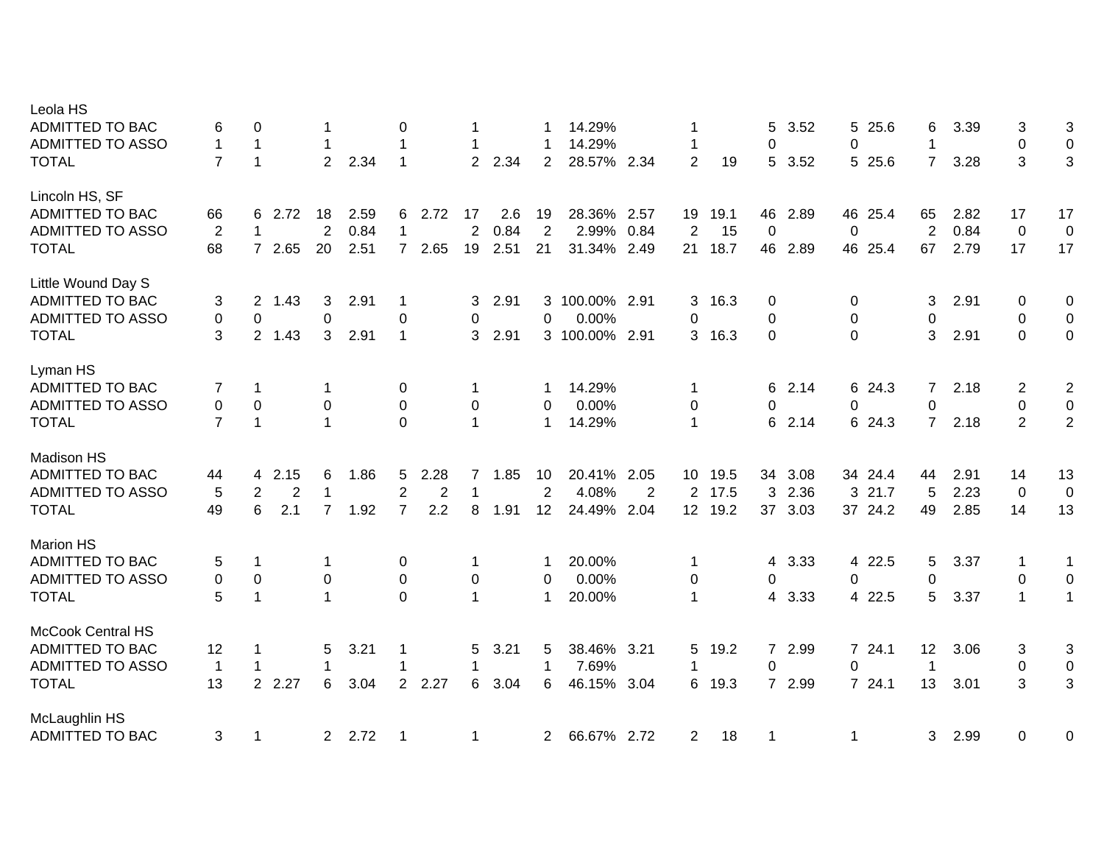| Leola HS                 |                |                               |                |      |                         |      |                |      |                |                |      |                |         |              |         |                |         |                |      |                |                     |
|--------------------------|----------------|-------------------------------|----------------|------|-------------------------|------|----------------|------|----------------|----------------|------|----------------|---------|--------------|---------|----------------|---------|----------------|------|----------------|---------------------|
| ADMITTED TO BAC          | 6              | 0                             |                |      | 0                       |      |                |      |                | 14.29%         |      |                |         | 5            | 3.52    |                | 5 25.6  | 6              | 3.39 | 3              | 3                   |
| <b>ADMITTED TO ASSO</b>  | 1              | 1                             |                |      | -1                      |      |                |      | -1             | 14.29%         |      | 1              |         | 0            |         | 0              |         | 1              |      | 0              | $\mathsf{O}\xspace$ |
| <b>TOTAL</b>             | $\overline{7}$ | $\mathbf{1}$                  | $\overline{2}$ | 2.34 | $\overline{1}$          |      | $\overline{2}$ | 2.34 | $\overline{2}$ | 28.57% 2.34    |      | 2              | 19      | 5            | 3.52    |                | 5 25.6  | $\overline{7}$ | 3.28 | 3              | 3                   |
| Lincoln HS, SF           |                |                               |                |      |                         |      |                |      |                |                |      |                |         |              |         |                |         |                |      |                |                     |
| ADMITTED TO BAC          | 66             | 2.72<br>6                     | 18             | 2.59 | 6                       | 2.72 | 17             | 2.6  | 19             | 28.36%         | 2.57 | 19             | 19.1    |              | 46 2.89 |                | 46 25.4 | 65             | 2.82 | 17             | 17                  |
| <b>ADMITTED TO ASSO</b>  | 2              |                               | $\overline{2}$ | 0.84 | -1                      |      | 2              | 0.84 | $\overline{2}$ | 2.99%          | 0.84 | $\overline{2}$ | 15      | 0            |         | $\overline{0}$ |         | $\overline{2}$ | 0.84 | $\mathbf 0$    | $\pmb{0}$           |
| <b>TOTAL</b>             | 68             | 7 2.65                        | 20             | 2.51 | $7^{\circ}$             | 2.65 | 19             | 2.51 | 21             | 31.34%         | 2.49 | 21             | 18.7    |              | 46 2.89 |                | 46 25.4 | 67             | 2.79 | 17             | 17                  |
| Little Wound Day S       |                |                               |                |      |                         |      |                |      |                |                |      |                |         |              |         |                |         |                |      |                |                     |
| ADMITTED TO BAC          | 3              | $\mathbf{2}^{\prime}$<br>1.43 | 3              | 2.91 | -1                      |      | 3              | 2.91 |                | 3 100.00% 2.91 |      | 3              | 16.3    | 0            |         | 0              |         | 3              | 2.91 | 0              | 0                   |
| <b>ADMITTED TO ASSO</b>  | 0              | 0                             | 0              |      | 0                       |      | 0              |      | 0              | 0.00%          |      | 0              |         | $\Omega$     |         | $\Omega$       |         | 0              |      | 0              | 0                   |
| <b>TOTAL</b>             | 3              | 2 1.43                        | 3              | 2.91 | $\overline{1}$          |      | 3              | 2.91 |                | 3 100.00% 2.91 |      | 3              | 16.3    | $\Omega$     |         | $\Omega$       |         | 3              | 2.91 | $\Omega$       | $\mathbf 0$         |
| Lyman HS                 |                |                               |                |      |                         |      |                |      |                |                |      |                |         |              |         |                |         |                |      |                |                     |
| ADMITTED TO BAC          | 7              | 1                             | 1              |      | 0                       |      |                |      |                | 14.29%         |      | 1              |         |              | 6 2.14  |                | 6 24.3  | $\overline{7}$ | 2.18 | $\overline{2}$ | $\overline{c}$      |
| <b>ADMITTED TO ASSO</b>  | 0              | 0                             | 0              |      | $\mathbf 0$             |      | 0              |      | 0              | 0.00%          |      | 0              |         | 0            |         | 0              |         | 0              |      | 0              | $\pmb{0}$           |
| <b>TOTAL</b>             | $\overline{7}$ | $\mathbf{1}$                  | $\overline{1}$ |      | $\mathbf 0$             |      | $\mathbf{1}$   |      | $\mathbf 1$    | 14.29%         |      | $\mathbf{1}$   |         |              | 6 2.14  |                | 6 24.3  | $\overline{7}$ | 2.18 | $\overline{2}$ | $\overline{2}$      |
| <b>Madison HS</b>        |                |                               |                |      |                         |      |                |      |                |                |      |                |         |              |         |                |         |                |      |                |                     |
| ADMITTED TO BAC          | 44             | 2.15<br>4                     | 6              | 1.86 | 5                       | 2.28 | $\overline{7}$ | 1.85 | 10             | 20.41% 2.05    |      |                | 10 19.5 | 34           | 3.08    |                | 34 24.4 | 44             | 2.91 | 14             | 13                  |
| <b>ADMITTED TO ASSO</b>  | 5              | $\overline{2}$                | $\overline{2}$ |      | 2                       | 2    |                |      | $\overline{2}$ | 4.08%          | 2    |                | 2 17.5  | $\mathbf{3}$ | 2.36    |                | 3 21.7  | 5              | 2.23 | 0              | $\mathbf 0$         |
| <b>TOTAL</b>             | 49             | 6<br>2.1                      | $\overline{7}$ | 1.92 | $\overline{7}$          | 2.2  | 8              | 1.91 | 12             | 24.49%         | 2.04 |                | 12 19.2 |              | 37 3.03 |                | 37 24.2 | 49             | 2.85 | 14             | 13                  |
| <b>Marion HS</b>         |                |                               |                |      |                         |      |                |      |                |                |      |                |         |              |         |                |         |                |      |                |                     |
| ADMITTED TO BAC          | 5              | 1                             | 1              |      | 0                       |      |                |      | 1              | 20.00%         |      | 1              |         |              | 4 3.33  |                | 4 22.5  | 5              | 3.37 | -1             | $\mathbf 1$         |
| <b>ADMITTED TO ASSO</b>  | 0              | 0                             | 0              |      | $\mathbf 0$             |      | 0              |      | 0              | 0.00%          |      | 0              |         | 0            |         | $\Omega$       |         | 0              |      | $\mathbf 0$    | $\mathbf 0$         |
| <b>TOTAL</b>             | 5              | $\mathbf{1}$                  |                |      | $\mathbf 0$             |      |                |      | $\mathbf 1$    | 20.00%         |      | 1              |         |              | 4 3.33  |                | 4 22.5  | 5              | 3.37 | $\mathbf{1}$   | $\mathbf{1}$        |
| <b>McCook Central HS</b> |                |                               |                |      |                         |      |                |      |                |                |      |                |         |              |         |                |         |                |      |                |                     |
| <b>ADMITTED TO BAC</b>   | 12             |                               | 5              | 3.21 | 1                       |      | 5              | 3.21 | 5              | 38.46% 3.21    |      | 5              | 19.2    |              | 7 2.99  |                | 7 24.1  | 12             | 3.06 | 3              | 3                   |
| <b>ADMITTED TO ASSO</b>  | $\mathbf{1}$   | 1                             | $\mathbf 1$    |      | $\mathbf 1$             |      |                |      | $\mathbf{1}$   | 7.69%          |      | 1              |         | 0            |         | 0              |         | $\mathbf 1$    |      | $\mathbf 0$    | $\overline{0}$      |
| <b>TOTAL</b>             | 13             | $\overline{2}$<br>2.27        | 6              | 3.04 | 2                       | 2.27 | 6              | 3.04 | 6              | 46.15%         | 3.04 | 6              | 19.3    |              | 7 2.99  |                | 7 24.1  | 13             | 3.01 | 3              | 3                   |
| McLaughlin HS            |                |                               |                |      |                         |      |                |      |                |                |      |                |         |              |         |                |         |                |      |                |                     |
| <b>ADMITTED TO BAC</b>   | 3              | 1                             | $\mathbf{2}$   | 2.72 | $\overline{\mathbf{1}}$ |      | 1              |      | $\overline{2}$ | 66.67% 2.72    |      | 2              | 18      | -1           |         | 1              |         | 3              | 2.99 | $\mathbf 0$    | 0                   |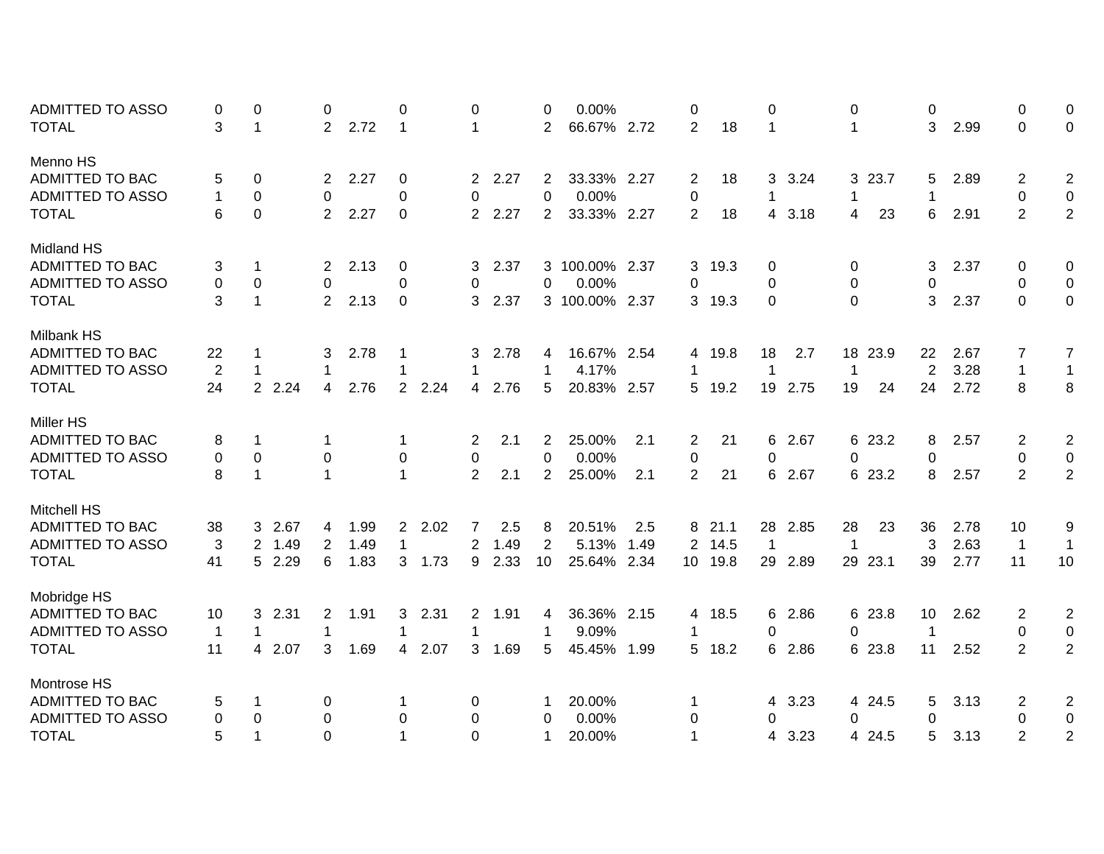| <b>ADMITTED TO ASSO</b> | 0              | $\Omega$            | 0              |      | 0              |        | 0              |      | 0              | 0.00%          |      | 0               |      | 0              |         | 0              |         | 0              |      | $\mathbf 0$      | 0                       |
|-------------------------|----------------|---------------------|----------------|------|----------------|--------|----------------|------|----------------|----------------|------|-----------------|------|----------------|---------|----------------|---------|----------------|------|------------------|-------------------------|
| <b>TOTAL</b>            | 3              | $\mathbf{1}$        | $\overline{2}$ | 2.72 | $\overline{1}$ |        | $\mathbf 1$    |      | $\overline{2}$ | 66.67% 2.72    |      | 2               | 18   | 1              |         | 1              |         | 3              | 2.99 | $\mathbf 0$      | $\mathbf 0$             |
| Menno HS                |                |                     |                |      |                |        |                |      |                |                |      |                 |      |                |         |                |         |                |      |                  |                         |
| <b>ADMITTED TO BAC</b>  | 5              | 0                   | $\overline{c}$ | 2.27 | 0              |        | $\overline{2}$ | 2.27 | 2              | 33.33% 2.27    |      | 2               | 18   | 3 <sup>1</sup> | 3.24    |                | 3 23.7  | 5              | 2.89 | 2                | $\overline{\mathbf{c}}$ |
| <b>ADMITTED TO ASSO</b> | 1              | 0                   | 0              |      | $\Omega$       |        | $\Omega$       |      | 0              | 0.00%          |      | 0               |      | 1              |         | $\mathbf 1$    |         | 1              |      | $\boldsymbol{0}$ | $\,0\,$                 |
| <b>TOTAL</b>            | 6              | $\mathbf 0$         | $\overline{2}$ | 2.27 | 0              |        | $\overline{2}$ | 2.27 | $\overline{2}$ | 33.33% 2.27    |      | $\overline{c}$  | 18   | 4              | 3.18    | 4              | 23      | 6              | 2.91 | 2                | $\overline{2}$          |
| Midland HS              |                |                     |                |      |                |        |                |      |                |                |      |                 |      |                |         |                |         |                |      |                  |                         |
| <b>ADMITTED TO BAC</b>  | 3              | 1                   | $\overline{2}$ | 2.13 | 0              |        | 3              | 2.37 |                | 3 100.00% 2.37 |      | 3               | 19.3 | 0              |         | 0              |         | 3              | 2.37 | 0                | 0                       |
| <b>ADMITTED TO ASSO</b> | 0              | $\mathbf 0$         | 0              |      | 0              |        | 0              |      | 0              | 0.00%          |      | 0               |      | $\Omega$       |         | $\mathbf{0}$   |         | 0              |      | 0                | $\pmb{0}$               |
| <b>TOTAL</b>            | 3              | $\mathbf{1}$        | $\overline{2}$ | 2.13 | 0              |        | 3              | 2.37 |                | 3 100.00% 2.37 |      | 3               | 19.3 | $\Omega$       |         | $\Omega$       |         | 3              | 2.37 | $\mathbf 0$      | $\pmb{0}$               |
| <b>Milbank HS</b>       |                |                     |                |      |                |        |                |      |                |                |      |                 |      |                |         |                |         |                |      |                  |                         |
| <b>ADMITTED TO BAC</b>  | 22             | 1                   | 3              | 2.78 |                |        | 3              | 2.78 | 4              | 16.67% 2.54    |      | 4               | 19.8 | 18             | 2.7     |                | 18 23.9 | 22             | 2.67 | $\overline{7}$   | $\overline{7}$          |
| <b>ADMITTED TO ASSO</b> | $\overline{2}$ | 1                   | 1              |      | 1              |        |                |      |                | 4.17%          |      | 1               |      |                |         | $\overline{1}$ |         | $\overline{2}$ | 3.28 | $\mathbf{1}$     | $\mathbf{1}$            |
| <b>TOTAL</b>            | 24             | 2 2.24              | 4              | 2.76 |                | 2 2.24 | 4              | 2.76 | 5              | 20.83% 2.57    |      | 5               | 19.2 |                | 19 2.75 | 19             | 24      | 24             | 2.72 | 8                | $\,8\,$                 |
| <b>Miller HS</b>        |                |                     |                |      |                |        |                |      |                |                |      |                 |      |                |         |                |         |                |      |                  |                         |
| <b>ADMITTED TO BAC</b>  | 8              | 1                   | 1              |      |                |        | $\overline{2}$ | 2.1  | 2              | 25.00%         | 2.1  | 2               | 21   | 6              | 2.67    |                | 6 23.2  | 8              | 2.57 | $\overline{c}$   | $\overline{c}$          |
| <b>ADMITTED TO ASSO</b> | 0              | $\mathbf 0$         | 0              |      | 0              |        | 0              |      | 0              | 0.00%          |      | 0               |      | 0              |         | $\mathbf 0$    |         | 0              |      | $\pmb{0}$        | $\pmb{0}$               |
| <b>TOTAL</b>            | 8              | $\mathbf{1}$        | $\mathbf{1}$   |      | $\mathbf 1$    |        | $\overline{2}$ | 2.1  | $\overline{2}$ | 25.00%         | 2.1  | $\overline{2}$  | 21   |                | 6 2.67  |                | 6 23.2  | 8              | 2.57 | $\overline{2}$   | $\overline{2}$          |
| <b>Mitchell HS</b>      |                |                     |                |      |                |        |                |      |                |                |      |                 |      |                |         |                |         |                |      |                  |                         |
| <b>ADMITTED TO BAC</b>  | 38             | 3 2.67              | 4              | 1.99 |                | 2 2.02 |                | 2.5  | 8              | 20.51%         | 2.5  | 8               | 21.1 |                | 28 2.85 | 28             | 23      | 36             | 2.78 | 10               | 9                       |
| <b>ADMITTED TO ASSO</b> | 3              | 1.49<br>$2^{\circ}$ | $\overline{c}$ | 1.49 | 1              |        | $\overline{2}$ | 1.49 | $\overline{2}$ | 5.13%          | 1.49 | $\overline{2}$  | 14.5 | $\mathbf 1$    |         | $\mathbf{1}$   |         | 3              | 2.63 | $\overline{1}$   | $\mathbf{1}$            |
| <b>TOTAL</b>            | 41             | 5 2.29              | 6              | 1.83 | 3              | 1.73   | 9              | 2.33 | 10             | 25.64% 2.34    |      | 10 <sup>1</sup> | 19.8 |                | 29 2.89 |                | 29 23.1 | 39             | 2.77 | 11               | 10                      |
| Mobridge HS             |                |                     |                |      |                |        |                |      |                |                |      |                 |      |                |         |                |         |                |      |                  |                         |
| <b>ADMITTED TO BAC</b>  | 10             | 2.31<br>3           | 2              | 1.91 | 3              | 2.31   | $\overline{2}$ | 1.91 | 4              | 36.36% 2.15    |      | 4               | 18.5 | 6              | 2.86    |                | 6 23.8  | 10             | 2.62 | $\overline{2}$   | $\overline{\mathbf{c}}$ |
| <b>ADMITTED TO ASSO</b> | $\overline{1}$ | 1                   | 1              |      | 1              |        | -1             |      | -1             | 9.09%          |      | 1               |      | 0              |         | 0              |         | -1             |      | $\pmb{0}$        | $\mathbf 0$             |
| <b>TOTAL</b>            | 11             | 2.07<br>4           | 3              | 1.69 | 4              | 2.07   | 3              | 1.69 | 5              | 45.45%         | 1.99 | 5               | 18.2 | 6              | 2.86    |                | 6 23.8  | 11             | 2.52 | $\overline{2}$   | $\overline{2}$          |
| Montrose HS             |                |                     |                |      |                |        |                |      |                |                |      |                 |      |                |         |                |         |                |      |                  |                         |
| <b>ADMITTED TO BAC</b>  | 5              | 1                   | 0              |      | 1              |        | 0              |      | 1              | 20.00%         |      | 1               |      | 4              | 3.23    |                | 4 24.5  | 5              | 3.13 | 2                | 2                       |
| <b>ADMITTED TO ASSO</b> | 0              | 0                   | 0              |      | 0              |        | 0              |      | 0              | 0.00%          |      | 0               |      | 0              |         | $\Omega$       |         | 0              |      | $\mathbf 0$      | $\mathbf 0$             |
| <b>TOTAL</b>            | 5              | $\mathbf{1}$        | $\Omega$       |      | 1              |        | $\Omega$       |      | -1             | 20.00%         |      |                 |      | 4              | 3.23    |                | 4 24.5  | 5              | 3.13 | $\overline{2}$   | $\overline{2}$          |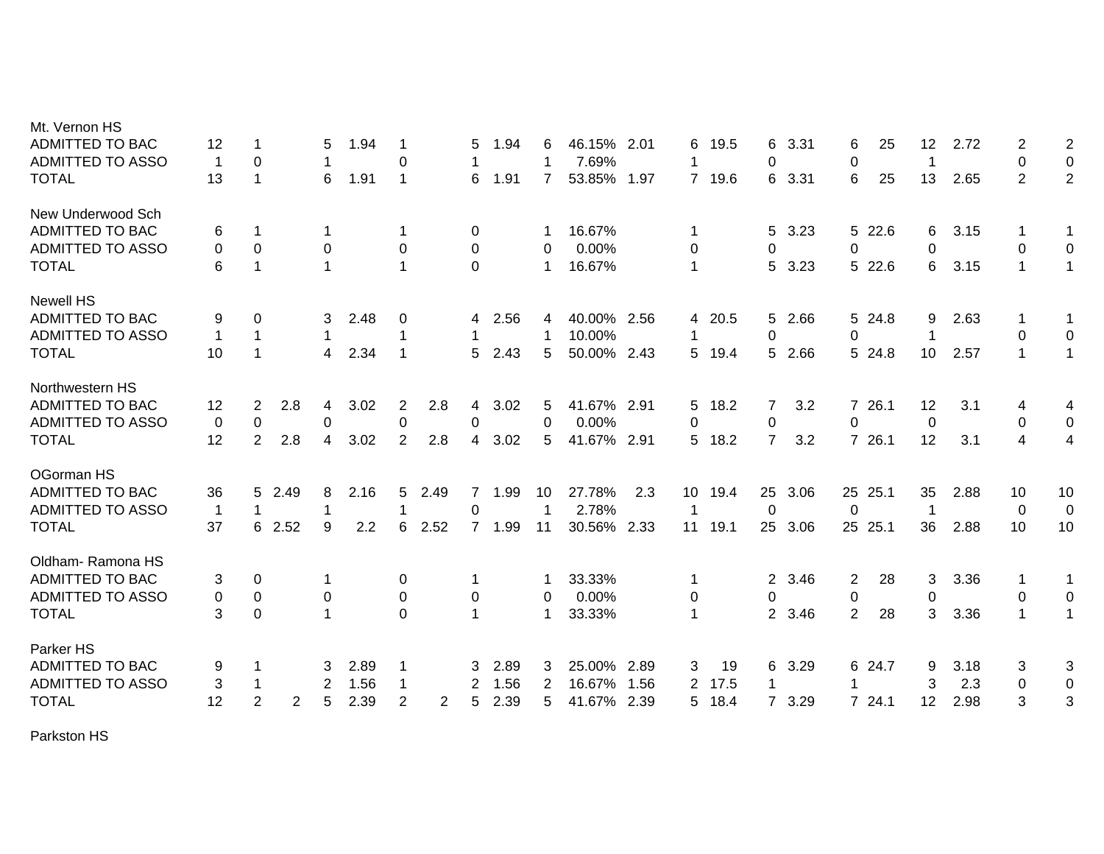| Mt. Vernon HS           |             |                |      |                |      |                |      |             |      |                |             |      |             |      |                |        |                |         |                 |      |                |                |
|-------------------------|-------------|----------------|------|----------------|------|----------------|------|-------------|------|----------------|-------------|------|-------------|------|----------------|--------|----------------|---------|-----------------|------|----------------|----------------|
| <b>ADMITTED TO BAC</b>  | 12          | 1              |      | 5              | 1.94 |                |      | 5           | 1.94 | 6              | 46.15%      | 2.01 | 6           | 19.5 |                | 6 3.31 | 6              | 25      | 12 <sub>2</sub> | 2.72 | 2              | 2              |
| <b>ADMITTED TO ASSO</b> | -1          | 0              |      |                |      | 0              |      |             |      |                | 7.69%       |      |             |      | 0              |        | 0              |         |                 |      | $\mathbf 0$    | $\pmb{0}$      |
| <b>TOTAL</b>            | 13          | $\mathbf{1}$   |      | 6              | 1.91 | 1              |      | 6           | 1.91 | $\overline{7}$ | 53.85%      | 1.97 | $7^{\circ}$ | 19.6 |                | 6 3.31 | 6              | 25      | 13              | 2.65 | 2              | $\overline{2}$ |
| New Underwood Sch       |             |                |      |                |      |                |      |             |      |                |             |      |             |      |                |        |                |         |                 |      |                |                |
| ADMITTED TO BAC         | 6           |                |      |                |      |                |      | 0           |      |                | 16.67%      |      |             |      | 5              | 3.23   |                | 5 22.6  | 6               | 3.15 | -1             | 1              |
| <b>ADMITTED TO ASSO</b> | 0           | 0              |      | 0              |      | 0              |      | $\mathbf 0$ |      | 0              | 0.00%       |      | 0           |      | 0              |        | 0              |         | 0               |      | 0              | 0              |
| <b>TOTAL</b>            | 6           | 1              |      |                |      | 1              |      | $\Omega$    |      | 1              | 16.67%      |      |             |      | 5              | 3.23   |                | 5 22.6  | 6               | 3.15 | $\mathbf{1}$   | $\mathbf{1}$   |
| Newell HS               |             |                |      |                |      |                |      |             |      |                |             |      |             |      |                |        |                |         |                 |      |                |                |
| ADMITTED TO BAC         | 9           | 0              |      | 3              | 2.48 | 0              |      | 4           | 2.56 | 4              | 40.00% 2.56 |      | 4           | 20.5 | 5              | 2.66   |                | 5 24.8  | 9               | 2.63 | -1             | 1              |
| <b>ADMITTED TO ASSO</b> |             | $\mathbf{1}$   |      |                |      | 1              |      |             |      |                | 10.00%      |      |             |      | $\Omega$       |        | $\Omega$       |         | $\mathbf 1$     |      | 0              | 0              |
| <b>TOTAL</b>            | 10          | $\mathbf{1}$   |      | $\overline{4}$ | 2.34 | $\mathbf{1}$   |      | 5           | 2.43 | 5              | 50.00% 2.43 |      | 5           | 19.4 | $5^{\circ}$    | 2.66   |                | 5 24.8  | 10              | 2.57 | $\mathbf{1}$   | $\mathbf 1$    |
| Northwestern HS         |             |                |      |                |      |                |      |             |      |                |             |      |             |      |                |        |                |         |                 |      |                |                |
| ADMITTED TO BAC         | 12          | $\overline{2}$ | 2.8  | 4              | 3.02 | 2              | 2.8  | 4           | 3.02 | 5              | 41.67% 2.91 |      | 5           | 18.2 | $\overline{7}$ | 3.2    |                | 7 26.1  | 12              | 3.1  | 4              | 4              |
| <b>ADMITTED TO ASSO</b> | 0           | 0              |      | 0              |      | 0              |      | 0           |      | 0              | 0.00%       |      | 0           |      | 0              |        | 0              |         | $\mathbf 0$     |      | 0              | $\mathbf 0$    |
| <b>TOTAL</b>            | 12          | $\overline{2}$ | 2.8  | 4              | 3.02 | $\overline{2}$ | 2.8  | 4           | 3.02 | 5              | 41.67% 2.91 |      | 5           | 18.2 | $\overline{7}$ | 3.2    |                | 7 26.1  | 12              | 3.1  | 4              | $\overline{4}$ |
| OGorman HS              |             |                |      |                |      |                |      |             |      |                |             |      |             |      |                |        |                |         |                 |      |                |                |
| <b>ADMITTED TO BAC</b>  | 36          | 5              | 2.49 | 8              | 2.16 | 5              | 2.49 |             | 1.99 | 10             | 27.78%      | 2.3  | 10          | 19.4 | 25             | 3.06   |                | 25 25.1 | 35              | 2.88 | 10             | 10             |
| <b>ADMITTED TO ASSO</b> | $\mathbf 1$ | 1              |      |                |      | 1              |      | $\Omega$    |      |                | 2.78%       |      | 1           |      | 0              |        | 0              |         | 1               |      | 0              | $\mathbf 0$    |
| <b>TOTAL</b>            | 37          | 6              | 2.52 | 9              | 2.2  | 6              | 2.52 | $7^{\circ}$ | 1.99 | 11             | 30.56%      | 2.33 | 11          | 19.1 | 25             | 3.06   |                | 25 25.1 | 36              | 2.88 | 10             | 10             |
| Oldham-Ramona HS        |             |                |      |                |      |                |      |             |      |                |             |      |             |      |                |        |                |         |                 |      |                |                |
| ADMITTED TO BAC         | 3           | 0              |      |                |      | 0              |      |             |      |                | 33.33%      |      | -1          |      |                | 2 3.46 | $\overline{2}$ | 28      | 3               | 3.36 | 1              | $\mathbf{1}$   |
| <b>ADMITTED TO ASSO</b> | $\mathbf 0$ | 0              |      | $\pmb{0}$      |      | $\mathbf 0$    |      | 0           |      | 0              | 0.00%       |      | 0           |      | 0              |        | 0              |         | 0               |      | 0              | 0              |
| <b>TOTAL</b>            | 3           | $\mathbf 0$    |      |                |      | $\overline{0}$ |      |             |      |                | 33.33%      |      | 1           |      |                | 2 3.46 | $\overline{2}$ | 28      | 3               | 3.36 | $\overline{1}$ | $\mathbf{1}$   |
| Parker HS               |             |                |      |                |      |                |      |             |      |                |             |      |             |      |                |        |                |         |                 |      |                |                |
| ADMITTED TO BAC         | 9           |                |      | 3              | 2.89 |                |      | 3           | 2.89 | 3              | 25.00%      | 2.89 | 3           | 19   |                | 6 3.29 |                | 6 24.7  | 9               | 3.18 | 3              | 3              |
| <b>ADMITTED TO ASSO</b> | 3           | 1              |      | $\overline{2}$ | 1.56 | 1              |      | 2           | 1.56 | 2              | 16.67%      | 1.56 | 2           | 17.5 |                |        |                |         | 3               | 2.3  | 0              | $\mathbf 0$    |
| <b>TOTAL</b>            | 12          | $\overline{2}$ | 2    | 5              | 2.39 | $\overline{2}$ | 2    | 5           | 2.39 | 5              | 41.67%      | 2.39 | 5           | 18.4 | $7^{\circ}$    | 3.29   |                | 7 24.1  | 12              | 2.98 | 3              | 3              |
|                         |             |                |      |                |      |                |      |             |      |                |             |      |             |      |                |        |                |         |                 |      |                |                |

Parkston HS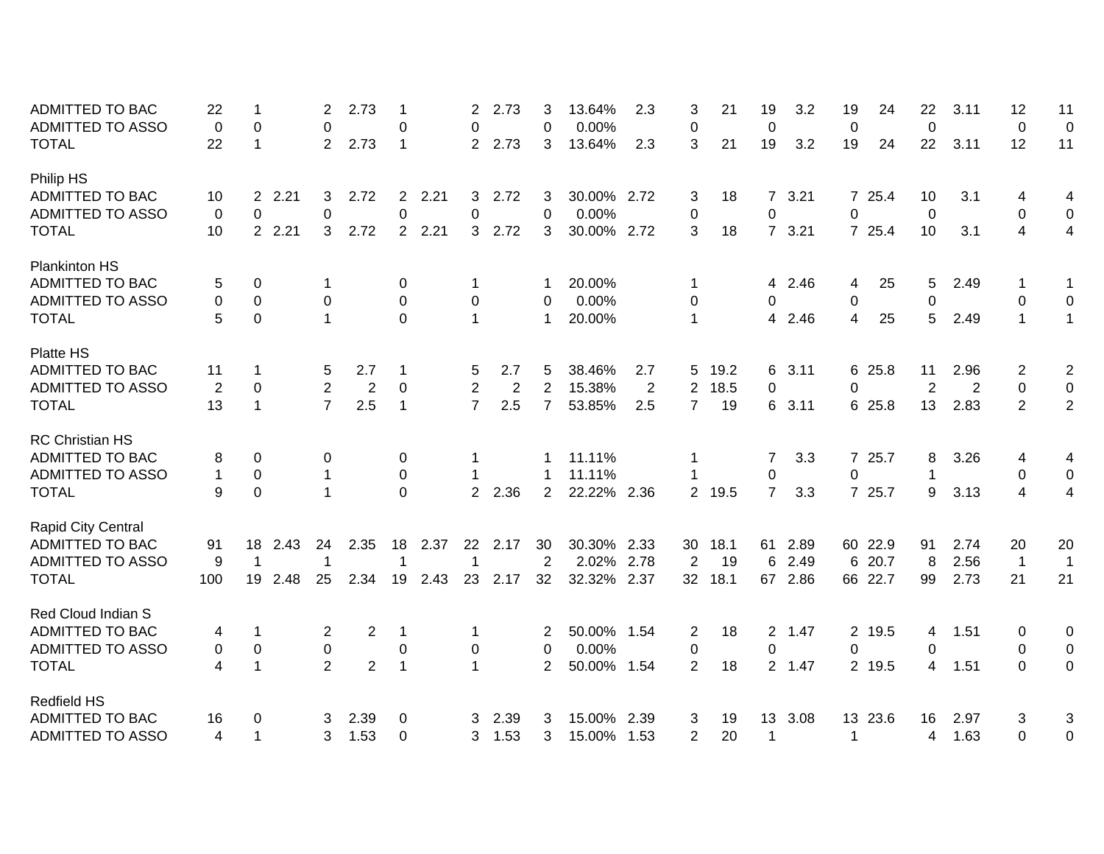| <b>ADMITTED TO BAC</b>  | 22             | 1              |        | 2              | 2.73           |                |      | 2                    | 2.73 | 3              | 13.64%      | 2.3  | 3                   | 21   | 19             | 3.2    | 19             | 24      | 22             | 3.11 | 12             | 11             |
|-------------------------|----------------|----------------|--------|----------------|----------------|----------------|------|----------------------|------|----------------|-------------|------|---------------------|------|----------------|--------|----------------|---------|----------------|------|----------------|----------------|
| <b>ADMITTED TO ASSO</b> | 0              | 0              |        | 0              |                | 0              |      | $\Omega$             |      | $\mathbf{0}$   | 0.00%       |      | 0                   |      | $\mathbf 0$    |        | $\mathbf 0$    |         | $\mathbf 0$    |      | 0              | $\mathbf 0$    |
| <b>TOTAL</b>            | 22             | $\mathbf{1}$   |        | $\overline{2}$ | 2.73           | $\mathbf{1}$   |      | $\mathbf{2}^{\circ}$ | 2.73 | 3              | 13.64%      | 2.3  | 3                   | 21   | 19             | 3.2    | 19             | 24      | 22             | 3.11 | 12             | 11             |
| Philip HS               |                |                |        |                |                |                |      |                      |      |                |             |      |                     |      |                |        |                |         |                |      |                |                |
| ADMITTED TO BAC         | 10             | $\overline{2}$ | 2.21   | 3              | 2.72           | $\overline{2}$ | 2.21 | 3                    | 2.72 | 3              | 30.00% 2.72 |      | 3                   | 18   |                | 7 3.21 |                | 7 25.4  | 10             | 3.1  | 4              | 4              |
| <b>ADMITTED TO ASSO</b> | $\Omega$       | 0              |        | 0              |                | 0              |      | 0                    |      | $\Omega$       | 0.00%       |      | 0                   |      | $\Omega$       |        | $\Omega$       |         | 0              |      | $\mathbf{0}$   | $\pmb{0}$      |
| <b>TOTAL</b>            | 10             |                | 2 2.21 | 3              | 2.72           | $2^{\circ}$    | 2.21 | 3                    | 2.72 | 3              | 30.00% 2.72 |      | 3                   | 18   |                | 7 3.21 |                | 7 25.4  | 10             | 3.1  | 4              | $\overline{4}$ |
| <b>Plankinton HS</b>    |                |                |        |                |                |                |      |                      |      |                |             |      |                     |      |                |        |                |         |                |      |                |                |
| <b>ADMITTED TO BAC</b>  | 5              | 0              |        | 1              |                | 0              |      |                      |      |                | 20.00%      |      | 1                   |      | 4              | 2.46   | 4              | 25      | 5              | 2.49 | -1             | 1              |
| <b>ADMITTED TO ASSO</b> | 0              | 0              |        | 0              |                | $\mathbf 0$    |      | 0                    |      | $\Omega$       | 0.00%       |      | 0                   |      | $\Omega$       |        | 0              |         | 0              |      | $\mathbf 0$    | $\pmb{0}$      |
| <b>TOTAL</b>            | 5              | $\mathbf 0$    |        | $\mathbf{1}$   |                | $\Omega$       |      | $\mathbf{1}$         |      | 1              | 20.00%      |      | $\mathbf{1}$        |      | 4              | 2.46   | $\overline{4}$ | 25      | 5              | 2.49 | $\overline{1}$ | $\mathbf{1}$   |
| Platte HS               |                |                |        |                |                |                |      |                      |      |                |             |      |                     |      |                |        |                |         |                |      |                |                |
| <b>ADMITTED TO BAC</b>  | 11             | 1              |        | 5              | 2.7            | 1              |      | 5                    | 2.7  | 5              | 38.46%      | 2.7  | 5                   | 19.2 |                | 6 3.11 |                | 6 25.8  | 11             | 2.96 | 2              | 2              |
| <b>ADMITTED TO ASSO</b> | $\overline{2}$ | 0              |        | $\overline{2}$ | $\overline{2}$ | 0              |      | 2                    | 2    | 2              | 15.38%      | 2    | 2                   | 18.5 | 0              |        | 0              |         | $\overline{2}$ | 2    | 0              | $\pmb{0}$      |
| <b>TOTAL</b>            | 13             | $\mathbf{1}$   |        | $\overline{7}$ | 2.5            | $\mathbf 1$    |      | $\overline{7}$       | 2.5  | $\overline{7}$ | 53.85%      | 2.5  | $\overline{7}$      | 19   |                | 6 3.11 |                | 6 25.8  | 13             | 2.83 | 2              | $\overline{2}$ |
| <b>RC Christian HS</b>  |                |                |        |                |                |                |      |                      |      |                |             |      |                     |      |                |        |                |         |                |      |                |                |
| <b>ADMITTED TO BAC</b>  | 8              | $\mathbf 0$    |        | 0              |                | 0              |      |                      |      |                | 11.11%      |      | 1                   |      | $\mathbf{7}$   | 3.3    |                | 7 25.7  | 8              | 3.26 | 4              | 4              |
| <b>ADMITTED TO ASSO</b> | 1              | $\mathbf 0$    |        | $\mathbf 1$    |                | 0              |      |                      |      |                | 11.11%      |      | 1                   |      | 0              |        | 0              |         | 1              |      | 0              | $\pmb{0}$      |
| <b>TOTAL</b>            | 9              | 0              |        | 1              |                | $\mathbf 0$    |      | $\overline{2}$       | 2.36 | $\overline{2}$ | 22.22% 2.36 |      | $\mathbf{2}$        | 19.5 | $\overline{7}$ | 3.3    |                | 7 25.7  | 9              | 3.13 | 4              | $\overline{4}$ |
| Rapid City Central      |                |                |        |                |                |                |      |                      |      |                |             |      |                     |      |                |        |                |         |                |      |                |                |
| ADMITTED TO BAC         | 91             | 18             | 2.43   | 24             | 2.35           | 18             | 2.37 | 22                   | 2.17 | 30             | 30.30%      | 2.33 | 30                  | 18.1 | 61             | 2.89   |                | 60 22.9 | 91             | 2.74 | 20             | 20             |
| <b>ADMITTED TO ASSO</b> | 9              | -1             |        | $\mathbf 1$    |                | 1              |      | 1                    |      | $\overline{2}$ | 2.02%       | 2.78 | 2                   | 19   | 6              | 2.49   |                | 6 20.7  | 8              | 2.56 | $\overline{1}$ | $\overline{1}$ |
| <b>TOTAL</b>            | 100            | 19             | 2.48   | 25             | 2.34           | 19             | 2.43 | 23                   | 2.17 | 32             | 32.32%      | 2.37 | 32                  | 18.1 | 67             | 2.86   |                | 66 22.7 | 99             | 2.73 | 21             | 21             |
| Red Cloud Indian S      |                |                |        |                |                |                |      |                      |      |                |             |      |                     |      |                |        |                |         |                |      |                |                |
| <b>ADMITTED TO BAC</b>  | 4              | -1             |        | $\overline{2}$ | $\overline{2}$ | 1              |      | 1                    |      | 2              | 50.00%      | 1.54 | 2                   | 18   | $2^{\circ}$    | 1.47   |                | 2 19.5  | 4              | 1.51 | 0              | 0              |
| <b>ADMITTED TO ASSO</b> | 0              | 0              |        | $\mathbf 0$    |                | 0              |      | 0                    |      | $\overline{0}$ | 0.00%       |      | 0                   |      | 0              |        | $\Omega$       |         | 0              |      | $\mathbf 0$    | $\mathbf 0$    |
| <b>TOTAL</b>            | 4              | $\mathbf{1}$   |        | $\overline{2}$ | 2              | $\mathbf{1}$   |      | $\mathbf 1$          |      | 2              | 50.00%      | 1.54 | $\overline{2}$      | 18   | $\overline{2}$ | 1.47   |                | 2 19.5  | 4              | 1.51 | $\Omega$       | 0              |
| <b>Redfield HS</b>      |                |                |        |                |                |                |      |                      |      |                |             |      |                     |      |                |        |                |         |                |      |                |                |
| <b>ADMITTED TO BAC</b>  | 16             | 0              |        | 3              | 2.39           | 0              |      | 3                    | 2.39 | 3              | 15.00%      | 2.39 |                     | 19   | 13             | 3.08   |                | 13 23.6 | 16             | 2.97 | 3              | 3              |
| <b>ADMITTED TO ASSO</b> | 4              | 1              |        | 3              | 1.53           | $\mathbf{0}$   |      | 3                    | 1.53 | 3              | 15.00%      | 1.53 | 3<br>$\overline{2}$ | 20   | $\mathbf 1$    |        | $\mathbf{1}$   |         | 4              | 1.63 | $\Omega$       | $\mathbf 0$    |
|                         |                |                |        |                |                |                |      |                      |      |                |             |      |                     |      |                |        |                |         |                |      |                |                |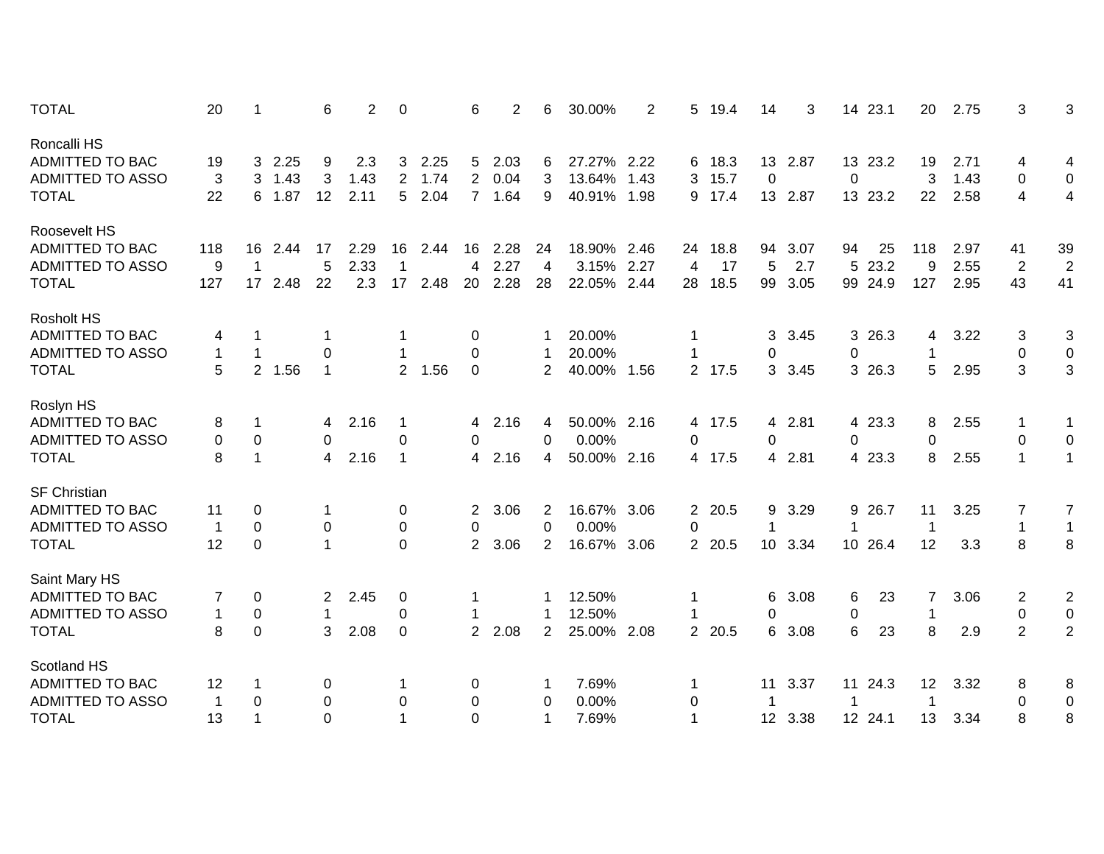| <b>TOTAL</b>            | 20           | $\mathbf 1$    |        | 6              | $\overline{2}$ | 0              |      | 6              | 2    | 6              | 30.00%      | $\overline{2}$ | 5              | 19.4 | 14              | 3       |             | 14 23.1 | 20          | 2.75 | 3              | 3                |
|-------------------------|--------------|----------------|--------|----------------|----------------|----------------|------|----------------|------|----------------|-------------|----------------|----------------|------|-----------------|---------|-------------|---------|-------------|------|----------------|------------------|
| Roncalli HS             |              |                |        |                |                |                |      |                |      |                |             |                |                |      |                 |         |             |         |             |      |                |                  |
| ADMITTED TO BAC         | 19           | 3              | 2.25   | 9              | 2.3            | 3              | 2.25 | 5              | 2.03 | 6              | 27.27% 2.22 |                | 6              | 18.3 |                 | 13 2.87 |             | 13 23.2 | 19          | 2.71 | 4              | 4                |
| <b>ADMITTED TO ASSO</b> | 3            | 3              | 1.43   | 3              | 1.43           | $\overline{2}$ | 1.74 | $\overline{2}$ | 0.04 | 3              | 13.64%      | 1.43           | 3              | 15.7 | 0               |         | 0           |         | 3           | 1.43 | 0              | $\pmb{0}$        |
| <b>TOTAL</b>            | 22           |                | 6 1.87 | 12             | 2.11           | 5              | 2.04 | $7^{\circ}$    | 1.64 | 9              | 40.91%      | 1.98           | 9              | 17.4 |                 | 13 2.87 |             | 13 23.2 | 22          | 2.58 | $\overline{4}$ | $\overline{4}$   |
| Roosevelt HS            |              |                |        |                |                |                |      |                |      |                |             |                |                |      |                 |         |             |         |             |      |                |                  |
| ADMITTED TO BAC         | 118          | 16             | 2.44   | -17            | 2.29           | 16             | 2.44 | 16             | 2.28 | 24             | 18.90% 2.46 |                | 24             | 18.8 | 94              | 3.07    | 94          | 25      | 118         | 2.97 | 41             | 39               |
| <b>ADMITTED TO ASSO</b> | 9            | $\mathbf 1$    |        | 5              | 2.33           | 1              |      | 4              | 2.27 | $\overline{4}$ | 3.15%       | 2.27           | 4              | 17   | 5               | 2.7     | 5           | 23.2    | 9           | 2.55 | $\overline{2}$ | $\overline{2}$   |
| <b>TOTAL</b>            | 127          | 17             | 2.48   | 22             | 2.3            | 17             | 2.48 | 20             | 2.28 | 28             | 22.05%      | 2.44           | 28             | 18.5 | 99              | 3.05    |             | 99 24.9 | 127         | 2.95 | 43             | 41               |
| <b>Rosholt HS</b>       |              |                |        |                |                |                |      |                |      |                |             |                |                |      |                 |         |             |         |             |      |                |                  |
| <b>ADMITTED TO BAC</b>  | 4            |                |        | 1              |                | 1              |      | 0              |      |                | 20.00%      |                |                |      | 3               | 3.45    |             | 3 26.3  | 4           | 3.22 | 3              | 3                |
| <b>ADMITTED TO ASSO</b> | 1            | $\mathbf{1}$   |        | 0              |                |                |      | 0              |      | -1             | 20.00%      |                |                |      | 0               |         | $\mathbf 0$ |         | $\mathbf 1$ |      | $\pmb{0}$      | $\mathbf 0$      |
| <b>TOTAL</b>            | 5            | 2 <sup>1</sup> | 1.56   | $\mathbf{1}$   |                | $\overline{2}$ | 1.56 | 0              |      | 2              | 40.00%      | 1.56           | $\overline{2}$ | 17.5 | 3 <sup>1</sup>  | 3.45    |             | 3 26.3  | 5           | 2.95 | 3              | 3                |
| Roslyn HS               |              |                |        |                |                |                |      |                |      |                |             |                |                |      |                 |         |             |         |             |      |                |                  |
| <b>ADMITTED TO BAC</b>  | 8            | 1              |        | 4              | 2.16           | 1              |      | 4              | 2.16 | 4              | 50.00% 2.16 |                | 4              | 17.5 |                 | 4 2.81  |             | 4 23.3  | 8           | 2.55 | 1              | 1                |
| <b>ADMITTED TO ASSO</b> | 0            | $\mathbf 0$    |        | 0              |                | 0              |      | $\Omega$       |      | 0              | 0.00%       |                | 0              |      | 0               |         | $\mathbf 0$ |         | 0           |      | $\pmb{0}$      | $\pmb{0}$        |
| <b>TOTAL</b>            | 8            | $\mathbf{1}$   |        | $\overline{4}$ | 2.16           | $\mathbf 1$    |      | 4              | 2.16 | 4              | 50.00% 2.16 |                | 4              | 17.5 |                 | 4 2.81  |             | 4 23.3  | 8           | 2.55 | $\mathbf{1}$   | $\mathbf{1}$     |
| <b>SF Christian</b>     |              |                |        |                |                |                |      |                |      |                |             |                |                |      |                 |         |             |         |             |      |                |                  |
| <b>ADMITTED TO BAC</b>  | 11           | 0              |        | 1              |                | 0              |      | $\overline{2}$ | 3.06 | 2              | 16.67% 3.06 |                | $\overline{2}$ | 20.5 | 9               | 3.29    |             | 9 26.7  | 11          | 3.25 | 7              | 7                |
| <b>ADMITTED TO ASSO</b> | $\mathbf{1}$ | 0              |        | 0              |                | 0              |      | 0              |      | $\Omega$       | 0.00%       |                | 0              |      | -1              |         | 1           |         | 1           |      | $\mathbf 1$    | $\mathbf{1}$     |
| <b>TOTAL</b>            | 12           | $\mathbf 0$    |        | $\mathbf{1}$   |                | $\overline{0}$ |      | $\overline{2}$ | 3.06 | $\overline{2}$ | 16.67% 3.06 |                | $\overline{2}$ | 20.5 | 10 <sup>1</sup> | 3.34    |             | 10 26.4 | 12          | 3.3  | 8              | 8                |
| Saint Mary HS           |              |                |        |                |                |                |      |                |      |                |             |                |                |      |                 |         |             |         |             |      |                |                  |
| <b>ADMITTED TO BAC</b>  | 7            | $\mathbf 0$    |        | 2              | 2.45           | 0              |      |                |      |                | 12.50%      |                |                |      | 6               | 3.08    | 6           | 23      | 7           | 3.06 | $\overline{2}$ | $\overline{2}$   |
| <b>ADMITTED TO ASSO</b> | 1            | $\mathbf 0$    |        | 1              |                | 0              |      |                |      |                | 12.50%      |                |                |      | 0               |         | 0           |         | $\mathbf 1$ |      | $\mathbf 0$    | $\boldsymbol{0}$ |
| <b>TOTAL</b>            | 8            | $\mathbf 0$    |        | 3              | 2.08           | $\mathbf 0$    |      | 2              | 2.08 | $\overline{2}$ | 25.00% 2.08 |                | $\overline{2}$ | 20.5 | 6               | 3.08    | 6           | 23      | 8           | 2.9  | $\overline{2}$ | $\overline{2}$   |
| Scotland HS             |              |                |        |                |                |                |      |                |      |                |             |                |                |      |                 |         |             |         |             |      |                |                  |
| <b>ADMITTED TO BAC</b>  | 12           | 1              |        | 0              |                | -1             |      | 0              |      |                | 7.69%       |                | 1              |      | 11              | 3.37    |             | 11 24.3 | 12          | 3.32 | 8              | 8                |
| <b>ADMITTED TO ASSO</b> | $\mathbf 1$  | 0              |        | $\Omega$       |                | 0              |      | 0              |      | 0              | 0.00%       |                | 0              |      |                 |         | -1          |         | 1           |      | $\mathbf 0$    | $\pmb{0}$        |
| <b>TOTAL</b>            | 13           | 1              |        | $\Omega$       |                |                |      | $\Omega$       |      | 1              | 7.69%       |                |                |      | 12 <sup>7</sup> | 3.38    |             | 12 24.1 | 13          | 3.34 | 8              | 8                |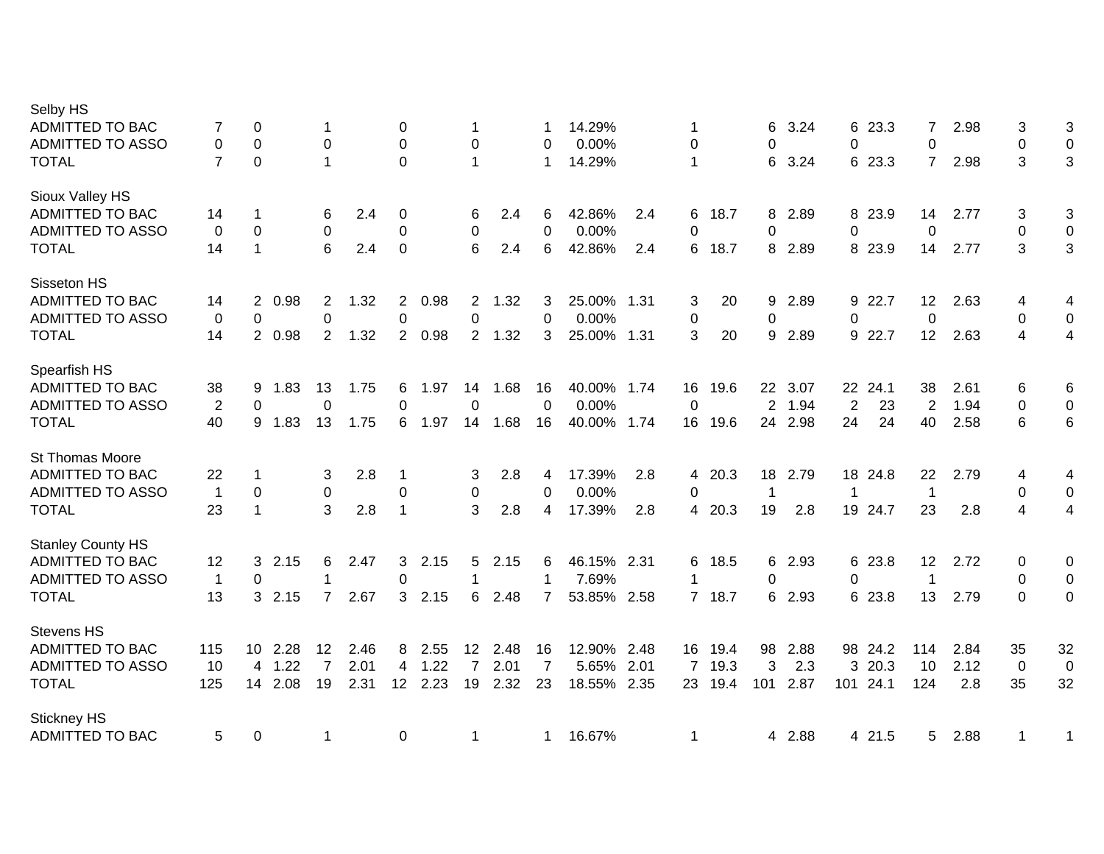| Selby HS<br>ADMITTED TO BAC |                |                  |        |                |      |                |      |                       |        |                |                 |      |                |      |                |         |             | 6 23.3  |                 | 2.98 |                |                          |
|-----------------------------|----------------|------------------|--------|----------------|------|----------------|------|-----------------------|--------|----------------|-----------------|------|----------------|------|----------------|---------|-------------|---------|-----------------|------|----------------|--------------------------|
| ADMITTED TO ASSO            | 7<br>0         | 0<br>$\mathbf 0$ |        | 0              |      | 0<br>0         |      | 0                     |        | $\Omega$       | 14.29%<br>0.00% |      | 1<br>0         |      | 6<br>$\Omega$  | 3.24    | 0           |         | 7<br>0          |      | 3<br>$\pmb{0}$ | 3<br>$\pmb{0}$           |
| <b>TOTAL</b>                | $\overline{7}$ | $\mathbf 0$      |        | $\overline{1}$ |      | $\mathbf 0$    |      | $\mathbf 1$           |        | $\mathbf 1$    | 14.29%          |      | $\mathbf{1}$   |      | 6              | 3.24    |             | 6 23.3  | $\overline{7}$  | 2.98 | 3              | $\sqrt{3}$               |
| Sioux Valley HS             |                |                  |        |                |      |                |      |                       |        |                |                 |      |                |      |                |         |             |         |                 |      |                |                          |
| ADMITTED TO BAC             | 14             | -1               |        | 6              | 2.4  | 0              |      | 6                     | 2.4    | 6              | 42.86%          | 2.4  | 6              | 18.7 |                | 8 2.89  |             | 8 23.9  | 14              | 2.77 | 3              | 3                        |
| <b>ADMITTED TO ASSO</b>     | 0              | 0                |        | 0              |      | 0              |      | 0                     |        | 0              | 0.00%           |      | 0              |      | 0              |         | 0           |         | 0               |      | $\pmb{0}$      | 0                        |
| <b>TOTAL</b>                | 14             | 1                |        | 6              | 2.4  | 0              |      | 6                     | 2.4    | 6              | 42.86%          | 2.4  | 6              | 18.7 |                | 8 2.89  |             | 8 23.9  | 14              | 2.77 | 3              | $\mathfrak{S}$           |
| Sisseton HS                 |                |                  |        |                |      |                |      |                       |        |                |                 |      |                |      |                |         |             |         |                 |      |                |                          |
| <b>ADMITTED TO BAC</b>      | 14             |                  | 2 0.98 | $\overline{2}$ | 1.32 | $\mathbf{2}$   | 0.98 |                       | 2 1.32 | 3              | 25.00%          | 1.31 | 3              | 20   | 9              | 2.89    |             | 9 22.7  | 12 <sup>2</sup> | 2.63 | 4              | 4                        |
| <b>ADMITTED TO ASSO</b>     | 0              | 0                |        | $\Omega$       |      | $\mathbf 0$    |      | $\Omega$              |        | $\Omega$       | 0.00%           |      | 0              |      | 0              |         | 0           |         | 0               |      | $\pmb{0}$      | $\mathbf 0$              |
| <b>TOTAL</b>                | 14             |                  | 2 0.98 | $\overline{2}$ | 1.32 | $\overline{2}$ | 0.98 | $\mathbf{2}^{\prime}$ | 1.32   | 3              | 25.00% 1.31     |      | 3              | 20   | 9              | 2.89    |             | 9 22.7  | 12              | 2.63 | 4              | $\overline{\mathcal{A}}$ |
| Spearfish HS                |                |                  |        |                |      |                |      |                       |        |                |                 |      |                |      |                |         |             |         |                 |      |                |                          |
| ADMITTED TO BAC             | 38             | 9                | 1.83   | 13             | 1.75 | 6              | 1.97 | 14                    | 1.68   | 16             | 40.00%          | 1.74 | 16             | 19.6 |                | 22 3.07 |             | 22 24.1 | 38              | 2.61 | 6              | 6                        |
| ADMITTED TO ASSO            | 2              | 0                |        | 0              |      | 0              |      | $\Omega$              |        | 0              | 0.00%           |      | 0              |      | $\overline{2}$ | 1.94    | 2           | 23      | 2               | 1.94 | 0              | 0                        |
| <b>TOTAL</b>                | 40             | 9                | 1.83   | 13             | 1.75 | 6              | 1.97 | 14                    | 1.68   | 16             | 40.00%          | 1.74 | 16             | 19.6 | 24             | 2.98    | 24          | 24      | 40              | 2.58 | 6              | 6                        |
| <b>St Thomas Moore</b>      |                |                  |        |                |      |                |      |                       |        |                |                 |      |                |      |                |         |             |         |                 |      |                |                          |
| <b>ADMITTED TO BAC</b>      | 22             | 1                |        | 3              | 2.8  | -1             |      | 3                     | 2.8    | 4              | 17.39%          | 2.8  | 4              | 20.3 | 18             | 2.79    |             | 18 24.8 | 22              | 2.79 | 4              | 4                        |
| <b>ADMITTED TO ASSO</b>     | $\overline{1}$ | $\overline{0}$   |        | $\mathbf 0$    |      | $\mathbf 0$    |      | 0                     |        | $\Omega$       | 0.00%           |      | 0              |      | -1             |         | $\mathbf 1$ |         | $\mathbf{1}$    |      | 0              | $\mathbf 0$              |
| <b>TOTAL</b>                | 23             | $\mathbf{1}$     |        | 3              | 2.8  | $\mathbf 1$    |      | 3                     | 2.8    | 4              | 17.39%          | 2.8  | 4              | 20.3 | 19             | 2.8     |             | 19 24.7 | 23              | 2.8  | 4              | $\overline{\mathcal{A}}$ |
| <b>Stanley County HS</b>    |                |                  |        |                |      |                |      |                       |        |                |                 |      |                |      |                |         |             |         |                 |      |                |                          |
| <b>ADMITTED TO BAC</b>      | 12             | 3                | 2.15   | 6              | 2.47 | 3              | 2.15 | 5                     | 2.15   | 6              | 46.15% 2.31     |      | 6              | 18.5 |                | 6 2.93  |             | 6 23.8  | 12              | 2.72 | 0              | 0                        |
| <b>ADMITTED TO ASSO</b>     | $\overline{1}$ | 0                |        | 1              |      | 0              |      | 1                     |        | -1             | 7.69%           |      | 1              |      | 0              |         | 0           |         | $\mathbf 1$     |      | $\pmb{0}$      | $\mathsf 0$              |
| <b>TOTAL</b>                | 13             | 3                | 2.15   | $\overline{7}$ | 2.67 | 3              | 2.15 | 6                     | 2.48   | $\overline{7}$ | 53.85% 2.58     |      | $\mathbf{7}$   | 18.7 |                | 6 2.93  |             | 6 23.8  | 13              | 2.79 | $\mathbf 0$    | $\mathbf 0$              |
| <b>Stevens HS</b>           |                |                  |        |                |      |                |      |                       |        |                |                 |      |                |      |                |         |             |         |                 |      |                |                          |
| ADMITTED TO BAC             | 115            | 10               | 2.28   | 12             | 2.46 | 8              | 2.55 | 12                    | 2.48   | 16             | 12.90%          | 2.48 | 16             | 19.4 | 98             | 2.88    |             | 98 24.2 | 114             | 2.84 | 35             | 32                       |
| <b>ADMITTED TO ASSO</b>     | 10             | 4                | 1.22   | 7              | 2.01 | 4              | 1.22 | $\overline{7}$        | 2.01   | 7              | 5.65%           | 2.01 | $\overline{7}$ | 19.3 | 3              | 2.3     |             | 3 20.3  | 10              | 2.12 | $\mathbf 0$    | $\overline{0}$           |
| <b>TOTAL</b>                | 125            | 14               | 2.08   | 19             | 2.31 | 12             | 2.23 | 19                    | 2.32   | 23             | 18.55%          | 2.35 | 23             | 19.4 | 101            | 2.87    | 101         | 24.1    | 124             | 2.8  | 35             | 32                       |
| <b>Stickney HS</b>          |                |                  |        |                |      |                |      |                       |        |                |                 |      |                |      |                |         |             |         |                 |      |                |                          |
| <b>ADMITTED TO BAC</b>      | 5              | 0                |        | 1              |      | 0              |      | 1                     |        | 1              | 16.67%          |      | $\mathbf{1}$   |      |                | 4 2.88  |             | 4 21.5  | 5               | 2.88 | $\mathbf 1$    | 1                        |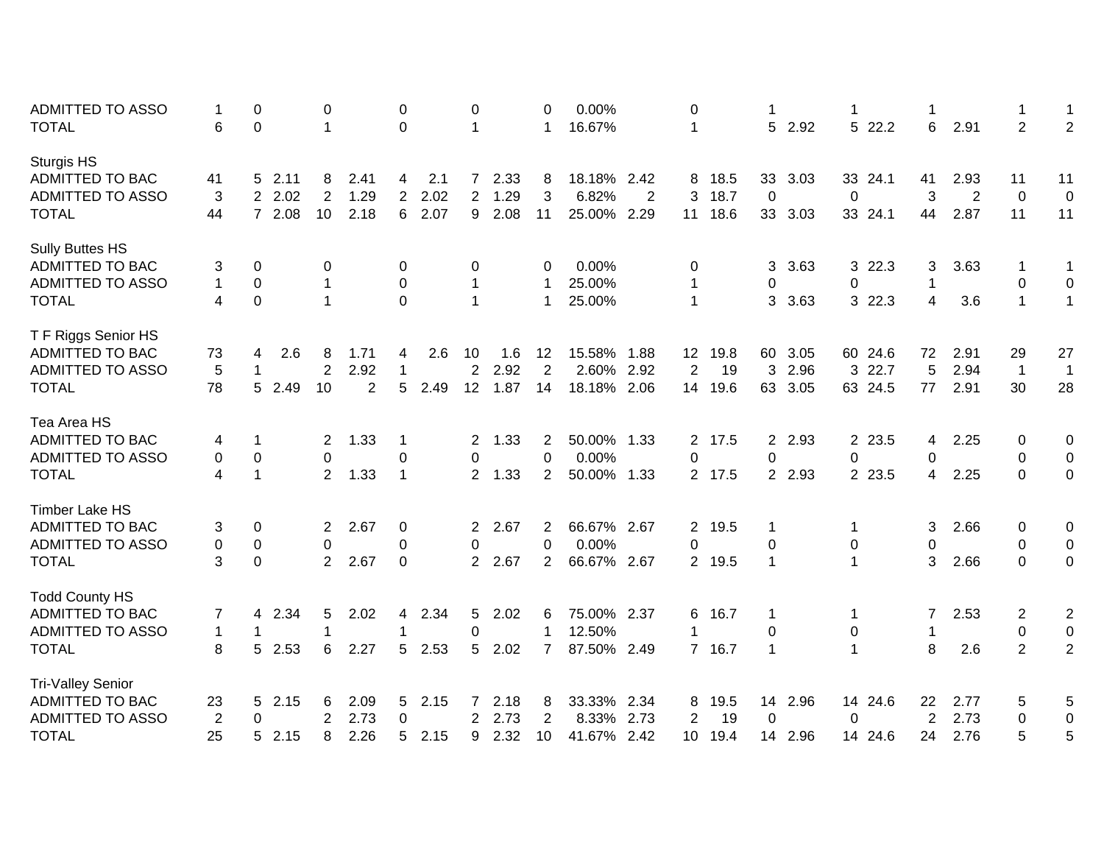| <b>ADMITTED TO ASSO</b>  | -1             | 0            |        | 0              |                | 0           |      | $\pmb{0}$       |      | 0              | 0.00%       |      | 0                     |        |             |         | 1              |         | 1              |      | -1             | -1             |
|--------------------------|----------------|--------------|--------|----------------|----------------|-------------|------|-----------------|------|----------------|-------------|------|-----------------------|--------|-------------|---------|----------------|---------|----------------|------|----------------|----------------|
| <b>TOTAL</b>             | 6              | 0            |        | $\mathbf 1$    |                | $\Omega$    |      | $\overline{1}$  |      | 1              | 16.67%      |      | 1                     |        | 5.          | 2.92    |                | 5 22.2  | 6              | 2.91 | 2              | $\overline{2}$ |
| Sturgis HS               |                |              |        |                |                |             |      |                 |      |                |             |      |                       |        |             |         |                |         |                |      |                |                |
| ADMITTED TO BAC          | 41             | 5.           | 2.11   | 8              | 2.41           | 4           | 2.1  |                 | 2.33 | 8              | 18.18% 2.42 |      | 8                     | 18.5   | 33          | 3.03    |                | 33 24.1 | 41             | 2.93 | 11             | 11             |
| <b>ADMITTED TO ASSO</b>  | 3              | 2            | 2.02   | 2              | 1.29           | 2           | 2.02 | 2               | 1.29 | 3              | 6.82%       | 2    | 3                     | 18.7   | $\mathbf 0$ |         | 0              |         | 3              | 2    | $\mathbf 0$    | $\mathbf 0$    |
| <b>TOTAL</b>             | 44             |              | 7 2.08 | 10             | 2.18           | 6           | 2.07 | 9               | 2.08 | 11             | 25.00% 2.29 |      | 11                    | 18.6   |             | 33 3.03 |                | 33 24.1 | 44             | 2.87 | 11             | 11             |
| Sully Buttes HS          |                |              |        |                |                |             |      |                 |      |                |             |      |                       |        |             |         |                |         |                |      |                |                |
| <b>ADMITTED TO BAC</b>   | 3              | 0            |        | 0              |                | 0           |      | 0               |      | 0              | 0.00%       |      | 0                     |        | 3           | 3.63    |                | 3 22.3  | 3              | 3.63 | -1             | 1              |
| <b>ADMITTED TO ASSO</b>  | 1              | $\pmb{0}$    |        | 1              |                | 0           |      | 1               |      |                | 25.00%      |      | 1                     |        | 0           |         | 0              |         | $\mathbf 1$    |      | $\pmb{0}$      | $\pmb{0}$      |
| <b>TOTAL</b>             | 4              | $\mathbf{0}$ |        | $\overline{1}$ |                | $\Omega$    |      | $\mathbf{1}$    |      | 1              | 25.00%      |      | 1                     |        | 3           | 3.63    |                | 3 22.3  | 4              | 3.6  | $\mathbf{1}$   | $\mathbf{1}$   |
| T F Riggs Senior HS      |                |              |        |                |                |             |      |                 |      |                |             |      |                       |        |             |         |                |         |                |      |                |                |
| <b>ADMITTED TO BAC</b>   | 73             | 4            | 2.6    | 8              | 1.71           | 4           | 2.6  | 10              | 1.6  | 12             | 15.58%      | 1.88 | 12 <sup>7</sup>       | 19.8   | 60          | 3.05    |                | 60 24.6 | 72             | 2.91 | 29             | 27             |
| <b>ADMITTED TO ASSO</b>  | 5              | $\mathbf{1}$ |        | $\overline{2}$ | 2.92           | 1           |      | $\overline{2}$  | 2.92 | $\overline{2}$ | 2.60%       | 2.92 | $\overline{c}$        | 19     | 3           | 2.96    |                | 3 22.7  | 5              | 2.94 | $\overline{1}$ | $\mathbf{1}$   |
| <b>TOTAL</b>             | 78             |              | 5 2.49 | 10             | $\overline{2}$ | 5           | 2.49 | 12 <sup>2</sup> | 1.87 | 14             | 18.18% 2.06 |      | 14                    | 19.6   | 63          | 3.05    |                | 63 24.5 | 77             | 2.91 | 30             | 28             |
| Tea Area HS              |                |              |        |                |                |             |      |                 |      |                |             |      |                       |        |             |         |                |         |                |      |                |                |
| <b>ADMITTED TO BAC</b>   | 4              | -1           |        | 2              | 1.33           | -1          |      | $\overline{2}$  | 1.33 | 2              | 50.00% 1.33 |      |                       | 2 17.5 |             | 2 2.93  |                | 2 2 3.5 | 4              | 2.25 | 0              | 0              |
| <b>ADMITTED TO ASSO</b>  | 0              | $\mathbf 0$  |        | 0              |                | 0           |      | 0               |      | 0              | 0.00%       |      | 0                     |        | 0           |         | 0              |         | 0              |      | $\pmb{0}$      | 0              |
| <b>TOTAL</b>             | 4              | $\mathbf{1}$ |        | $\overline{2}$ | 1.33           | $\mathbf 1$ |      | 2               | 1.33 | $\overline{2}$ | 50.00% 1.33 |      | $\overline{2}$        | 17.5   |             | 2 2.93  |                | 2 2 3.5 | $\overline{4}$ | 2.25 | $\mathbf 0$    | $\mathbf 0$    |
| <b>Timber Lake HS</b>    |                |              |        |                |                |             |      |                 |      |                |             |      |                       |        |             |         |                |         |                |      |                |                |
| <b>ADMITTED TO BAC</b>   | 3              | 0            |        | $\overline{2}$ | 2.67           | 0           |      | $\overline{2}$  | 2.67 | 2              | 66.67% 2.67 |      |                       | 2 19.5 | 1           |         | -1             |         | 3              | 2.66 | 0              | 0              |
| <b>ADMITTED TO ASSO</b>  | $\pmb{0}$      | 0            |        | 0              |                | 0           |      | 0               |      | 0              | 0.00%       |      | 0                     |        | 0           |         | 0              |         | 0              |      | $\pmb{0}$      | 0              |
| <b>TOTAL</b>             | 3              | $\mathbf 0$  |        | $\overline{2}$ | 2.67           | 0           |      | $\overline{2}$  | 2.67 | $\overline{2}$ | 66.67% 2.67 |      | $\mathbf{2}^{\prime}$ | 19.5   | $\mathbf 1$ |         | $\overline{1}$ |         | 3              | 2.66 | 0              | 0              |
| <b>Todd County HS</b>    |                |              |        |                |                |             |      |                 |      |                |             |      |                       |        |             |         |                |         |                |      |                |                |
| <b>ADMITTED TO BAC</b>   | 7              | 4            | 2.34   | 5              | 2.02           | 4           | 2.34 | 5               | 2.02 | 6              | 75.00% 2.37 |      | 6                     | 16.7   | 1           |         | -1             |         | 7              | 2.53 | 2              | 2              |
| <b>ADMITTED TO ASSO</b>  | $\mathbf{1}$   | $\mathbf{1}$ |        | 1              |                | 1           |      | $\Omega$        |      | -1             | 12.50%      |      | 1                     |        | 0           |         | 0              |         | 1              |      | 0              | $\pmb{0}$      |
| <b>TOTAL</b>             | 8              | 5            | 2.53   | 6              | 2.27           | 5           | 2.53 | 5               | 2.02 | $\overline{7}$ | 87.50% 2.49 |      | $7^{\circ}$           | 16.7   | 1           |         | -1             |         | 8              | 2.6  | 2              | $\overline{2}$ |
| <b>Tri-Valley Senior</b> |                |              |        |                |                |             |      |                 |      |                |             |      |                       |        |             |         |                |         |                |      |                |                |
| <b>ADMITTED TO BAC</b>   | 23             | 5            | 2.15   | 6              | 2.09           | 5           | 2.15 |                 | 2.18 | 8              | 33.33%      | 2.34 | 8                     | 19.5   | 14          | 2.96    |                | 14 24.6 | 22             | 2.77 | 5              | 5              |
| <b>ADMITTED TO ASSO</b>  | $\overline{2}$ | $\Omega$     |        | 2              | 2.73           | 0           |      | 2               | 2.73 | $\overline{2}$ | 8.33%       | 2.73 | 2                     | 19     | $\Omega$    |         | $\mathbf{0}$   |         | $\overline{2}$ | 2.73 | $\pmb{0}$      | 0              |
| <b>TOTAL</b>             | 25             | 5.           | 2.15   | 8              | 2.26           | 5           | 2.15 | 9               | 2.32 | 10             | 41.67%      | 2.42 | 10                    | 19.4   | 14          | 2.96    | 14             | 24.6    | 24             | 2.76 | 5              | 5              |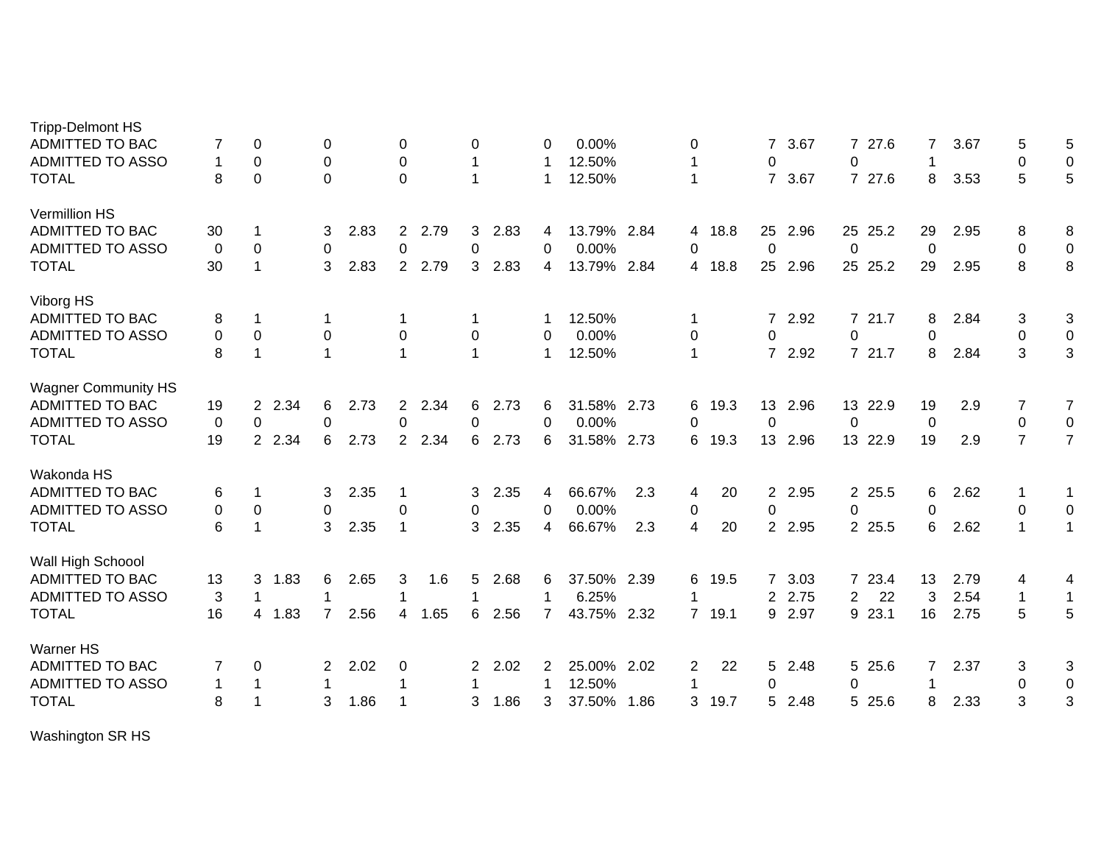| <b>Tripp-Delmont HS</b>    |             |                        |                |      |              |           |                |      |                |             |      |                |      |                 |        |                |         |             |      |                |                  |
|----------------------------|-------------|------------------------|----------------|------|--------------|-----------|----------------|------|----------------|-------------|------|----------------|------|-----------------|--------|----------------|---------|-------------|------|----------------|------------------|
| ADMITTED TO BAC            | 7           | 0                      | 0              |      | 0            |           | 0              |      | 0              | 0.00%       |      | 0              |      | $7^{\circ}$     | 3.67   |                | 7 27.6  | 7           | 3.67 | 5              | 5                |
| <b>ADMITTED TO ASSO</b>    | 1           | 0                      | $\pmb{0}$      |      | 0            |           | 1              |      | -1             | 12.50%      |      | 1              |      | $\Omega$        |        | $\Omega$       |         | 1           |      | 0              | $\mathbf 0$      |
| <b>TOTAL</b>               | 8           | $\mathbf 0$            | $\mathbf 0$    |      | $\mathbf 0$  |           |                |      | -1             | 12.50%      |      | 1              |      | $7^{\circ}$     | 3.67   |                | 7 27.6  | 8           | 3.53 | 5              | $\sqrt{5}$       |
| <b>Vermillion HS</b>       |             |                        |                |      |              |           |                |      |                |             |      |                |      |                 |        |                |         |             |      |                |                  |
| <b>ADMITTED TO BAC</b>     | 30          | 1                      | 3              | 2.83 | 2            | 2.79      | 3              | 2.83 | 4              | 13.79% 2.84 |      | 4              | 18.8 | 25              | 2.96   |                | 25 25.2 | 29          | 2.95 | 8              | 8                |
| <b>ADMITTED TO ASSO</b>    | $\mathbf 0$ | 0                      | 0              |      | 0            |           | $\Omega$       |      | $\Omega$       | 0.00%       |      | 0              |      | 0               |        | $\Omega$       |         | $\mathbf 0$ |      | $\mathbf 0$    | $\mathbf 0$      |
| <b>TOTAL</b>               | 30          | $\mathbf{1}$           | 3              | 2.83 | 2            | 2.79      | 3              | 2.83 | 4              | 13.79%      | 2.84 | 4              | 18.8 | 25              | 2.96   |                | 25 25.2 | 29          | 2.95 | 8              | 8                |
| Viborg HS                  |             |                        |                |      |              |           |                |      |                |             |      |                |      |                 |        |                |         |             |      |                |                  |
| <b>ADMITTED TO BAC</b>     | 8           | 1                      |                |      |              |           |                |      | -1             | 12.50%      |      | 1              |      | $7^{\circ}$     | 2.92   |                | 7 21.7  | 8           | 2.84 | 3              | 3                |
| <b>ADMITTED TO ASSO</b>    | 0           | 0                      | 0              |      | 0            |           | 0              |      | 0              | 0.00%       |      | 0              |      | $\Omega$        |        | 0              |         | 0           |      | $\mathbf 0$    | $\pmb{0}$        |
| <b>TOTAL</b>               | 8           | 1                      |                |      | 1            |           |                |      | -1             | 12.50%      |      | $\mathbf 1$    |      |                 | 7 2.92 |                | 7 21.7  | 8           | 2.84 | 3              | $\sqrt{3}$       |
| <b>Wagner Community HS</b> |             |                        |                |      |              |           |                |      |                |             |      |                |      |                 |        |                |         |             |      |                |                  |
| <b>ADMITTED TO BAC</b>     | 19          | 2.34<br>$\overline{2}$ | 6              | 2.73 | 2            | 2.34      | 6              | 2.73 | 6              | 31.58% 2.73 |      | 6              | 19.3 | 13              | 2.96   |                | 13 22.9 | 19          | 2.9  | $\overline{7}$ | $\overline{7}$   |
| <b>ADMITTED TO ASSO</b>    | 0           | 0                      | 0              |      | 0            |           | 0              |      | $\Omega$       | 0.00%       |      | 0              |      | 0               |        | $\overline{0}$ |         | $\mathbf 0$ |      | 0              | $\mathbf 0$      |
| <b>TOTAL</b>               | 19          | 2 2.34                 | 6              | 2.73 | $2^{\circ}$  | 2.34      | 6              | 2.73 | 6              | 31.58% 2.73 |      | 6              | 19.3 | 13 <sup>°</sup> | 2.96   |                | 13 22.9 | 19          | 2.9  | $\overline{7}$ | $\overline{7}$   |
| Wakonda HS                 |             |                        |                |      |              |           |                |      |                |             |      |                |      |                 |        |                |         |             |      |                |                  |
| <b>ADMITTED TO BAC</b>     | 6           |                        | 3              | 2.35 |              |           | 3              | 2.35 | 4              | 66.67%      | 2.3  | 4              | 20   | $\overline{2}$  | 2.95   |                | 2 25.5  | 6           | 2.62 | $\mathbf 1$    |                  |
| <b>ADMITTED TO ASSO</b>    | 0           | 0                      | 0              |      | 0            |           | 0              |      | 0              | 0.00%       |      | 0              |      | 0               |        | 0              |         | 0           |      | 0              | $\mathbf 0$      |
| <b>TOTAL</b>               | 6           | $\mathbf{1}$           | 3              | 2.35 | $\mathbf{1}$ |           | 3              | 2.35 | 4              | 66.67%      | 2.3  | 4              | 20   |                 | 2 2.95 |                | 2 25.5  | 6           | 2.62 | $\mathbf{1}$   | $\mathbf{1}$     |
| Wall High Schoool          |             |                        |                |      |              |           |                |      |                |             |      |                |      |                 |        |                |         |             |      |                |                  |
| ADMITTED TO BAC            | 13          | 1.83<br>3              | 6              | 2.65 | 3            | 1.6       | 5              | 2.68 | 6              | 37.50%      | 2.39 | 6              | 19.5 | $7^{\circ}$     | 3.03   |                | 7 23.4  | 13          | 2.79 | 4              | 4                |
| <b>ADMITTED TO ASSO</b>    | 3           | 1                      |                |      | 1            |           | 1              |      |                | 6.25%       |      | 1              |      |                 | 2 2.75 | $\overline{2}$ | 22      | 3           | 2.54 | $\mathbf 1$    | $\mathbf{1}$     |
| <b>TOTAL</b>               | 16          | 1.83<br>$\overline{4}$ | $\overline{7}$ | 2.56 | 4            | .65<br>-1 | 6              | 2.56 | $\overline{7}$ | 43.75%      | 2.32 | $\overline{7}$ | 19.1 | 9               | 2.97   |                | 9 23.1  | 16          | 2.75 | 5              | 5                |
| <b>Warner HS</b>           |             |                        |                |      |              |           |                |      |                |             |      |                |      |                 |        |                |         |             |      |                |                  |
| <b>ADMITTED TO BAC</b>     | 7           | 0                      | $\mathbf{2}$   | 2.02 | 0            |           | $\overline{2}$ | 2.02 | 2              | 25.00%      | 2.02 | $\overline{c}$ | 22   | 5               | 2.48   |                | 5 25.6  | 7           | 2.37 | 3              | 3                |
| <b>ADMITTED TO ASSO</b>    | 1           | 1                      | -1             |      | 1            |           | 1              |      | 1              | 12.50%      |      | 1              |      | 0               |        | 0              |         | 1           |      | 0              | $\boldsymbol{0}$ |
| <b>TOTAL</b>               | 8           | 1                      | 3              | 1.86 |              |           | 3              | 1.86 | 3              | 37.50%      | 1.86 | 3              | 19.7 | 5               | 2.48   |                | 5 25.6  | 8           | 2.33 | 3              | 3                |
|                            |             |                        |                |      |              |           |                |      |                |             |      |                |      |                 |        |                |         |             |      |                |                  |

Washington SR HS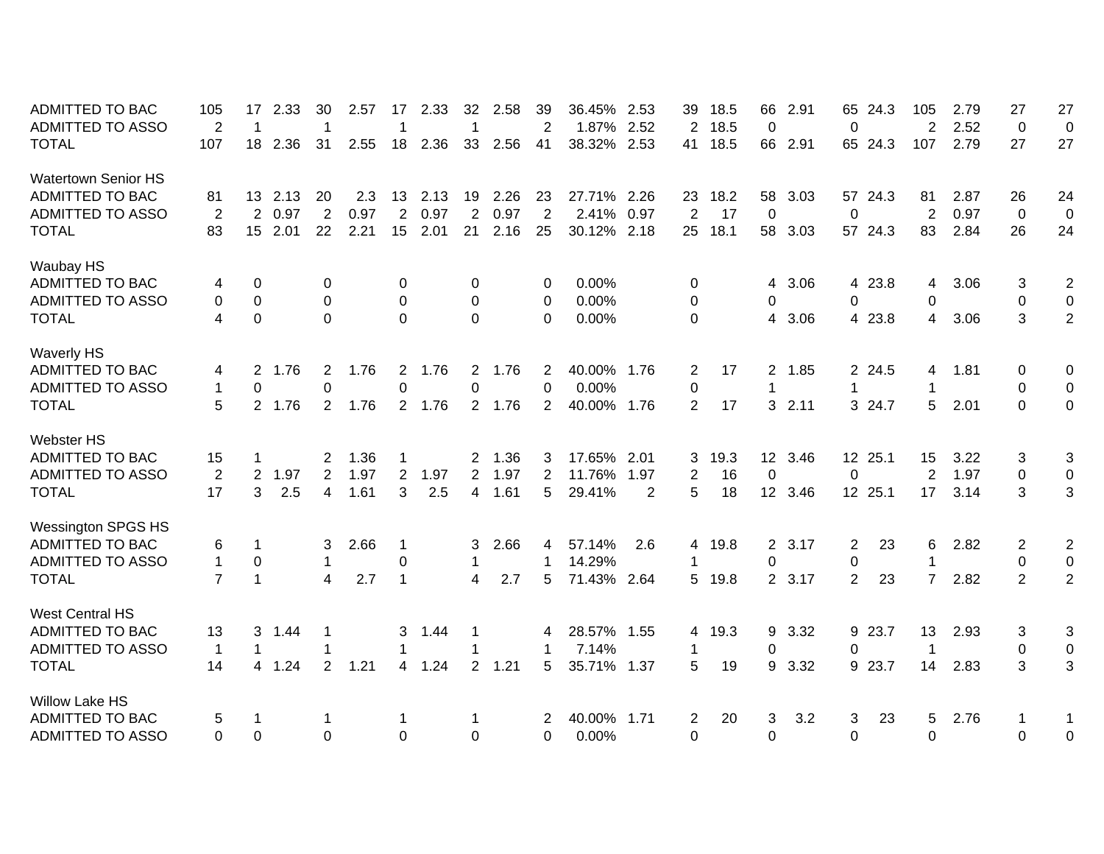| <b>ADMITTED TO BAC</b>     | 105            | 17                    | 2.33    | 30                    | 2.57 | 17             | 2.33   | 32             | 2.58 | 39             | 36.45%      | 2.53 | 39             | 18.5 | 66          | 2.91    | 65             | 24.3    | 105            | 2.79 | 27             | 27               |
|----------------------------|----------------|-----------------------|---------|-----------------------|------|----------------|--------|----------------|------|----------------|-------------|------|----------------|------|-------------|---------|----------------|---------|----------------|------|----------------|------------------|
| <b>ADMITTED TO ASSO</b>    | $\overline{2}$ | -1                    |         | 1                     |      |                |        |                |      | $\overline{2}$ | 1.87%       | 2.52 | $\overline{2}$ | 18.5 | 0           |         | $\mathbf 0$    |         | $\overline{c}$ | 2.52 | $\overline{0}$ | 0                |
| <b>TOTAL</b>               | 107            |                       | 18 2.36 | 31                    | 2.55 | 18             | 2.36   | 33             | 2.56 | 41             | 38.32%      | 2.53 | 41             | 18.5 |             | 66 2.91 |                | 65 24.3 | 107            | 2.79 | 27             | 27               |
| <b>Watertown Senior HS</b> |                |                       |         |                       |      |                |        |                |      |                |             |      |                |      |             |         |                |         |                |      |                |                  |
| <b>ADMITTED TO BAC</b>     | 81             | 13                    | 2.13    | 20                    | 2.3  | 13             | 2.13   | 19             | 2.26 | 23             | 27.71% 2.26 |      | 23             | 18.2 |             | 58 3.03 |                | 57 24.3 | 81             | 2.87 | 26             | 24               |
| <b>ADMITTED TO ASSO</b>    | $\overline{2}$ | $\mathbf{2}^{\prime}$ | 0.97    | 2                     | 0.97 | $\overline{2}$ | 0.97   | $\overline{2}$ | 0.97 | $\overline{2}$ | 2.41%       | 0.97 | $\overline{2}$ | 17   | 0           |         | $\mathbf 0$    |         | $\overline{c}$ | 0.97 | $\mathbf 0$    | $\mathbf 0$      |
| <b>TOTAL</b>               | 83             |                       | 15 2.01 | 22                    | 2.21 | 15             | 2.01   | 21             | 2.16 | 25             | 30.12% 2.18 |      | 25             | 18.1 |             | 58 3.03 |                | 57 24.3 | 83             | 2.84 | 26             | 24               |
| Waubay HS                  |                |                       |         |                       |      |                |        |                |      |                |             |      |                |      |             |         |                |         |                |      |                |                  |
| <b>ADMITTED TO BAC</b>     | 4              | 0                     |         | 0                     |      | 0              |        | 0              |      | 0              | 0.00%       |      | 0              |      |             | 4 3.06  |                | 4 23.8  | 4              | 3.06 | 3              | $\overline{c}$   |
| <b>ADMITTED TO ASSO</b>    | 0              | 0                     |         | 0                     |      | 0              |        | 0              |      | 0              | 0.00%       |      | 0              |      | 0           |         | 0              |         | 0              |      | $\mathbf 0$    | $\mathbf 0$      |
| <b>TOTAL</b>               | 4              | $\mathbf 0$           |         | $\mathbf 0$           |      | $\Omega$       |        | $\Omega$       |      | $\Omega$       | 0.00%       |      | $\Omega$       |      |             | 4 3.06  |                | 4 23.8  | 4              | 3.06 | 3              | $\overline{2}$   |
| <b>Waverly HS</b>          |                |                       |         |                       |      |                |        |                |      |                |             |      |                |      |             |         |                |         |                |      |                |                  |
| <b>ADMITTED TO BAC</b>     | 4              | $\mathbf{2}^{\prime}$ | 1.76    | $\mathbf{2}^{\prime}$ | 1.76 | $2^{\circ}$    | 1.76   | $\mathbf{2}^-$ | 1.76 | 2              | 40.00% 1.76 |      | 2              | 17   | $2^{\circ}$ | 1.85    |                | 2 24.5  | 4              | 1.81 | $\mathbf 0$    | $\mathbf 0$      |
| <b>ADMITTED TO ASSO</b>    | 1              | $\Omega$              |         | $\Omega$              |      | 0              |        | 0              |      | $\Omega$       | 0.00%       |      | 0              |      | 1           |         |                |         | 1              |      | $\Omega$       | $\mathbf 0$      |
| <b>TOTAL</b>               | 5              |                       | 2 1.76  | $\overline{2}$        | 1.76 |                | 2 1.76 | $2^{\circ}$    | 1.76 | 2              | 40.00% 1.76 |      | 2              | 17   |             | 32.11   |                | 3 24.7  | 5              | 2.01 | $\Omega$       | $\mathbf 0$      |
| <b>Webster HS</b>          |                |                       |         |                       |      |                |        |                |      |                |             |      |                |      |             |         |                |         |                |      |                |                  |
| ADMITTED TO BAC            | 15             | 1                     |         | $\mathbf{2}^{\prime}$ | 1.36 |                |        | 2              | 1.36 | 3              | 17.65%      | 2.01 | 3              | 19.3 |             | 12 3.46 |                | 12 25.1 | 15             | 3.22 | 3              | 3                |
| <b>ADMITTED TO ASSO</b>    | 2              | $\overline{2}$        | 1.97    | $\overline{2}$        | 1.97 | $\overline{2}$ | 1.97   | 2              | 1.97 | 2              | 11.76%      | 1.97 | 2              | 16   | $\Omega$    |         | $\Omega$       |         | 2              | 1.97 | $\mathbf 0$    | $\mathbf 0$      |
| <b>TOTAL</b>               | 17             | 3                     | 2.5     | 4                     | 1.61 | 3              | 2.5    | $\overline{4}$ | 1.61 | 5              | 29.41%      | 2    | 5              | 18   |             | 12 3.46 |                | 12 25.1 | 17             | 3.14 | 3              | $\mathbf{3}$     |
| <b>Wessington SPGS HS</b>  |                |                       |         |                       |      |                |        |                |      |                |             |      |                |      |             |         |                |         |                |      |                |                  |
| <b>ADMITTED TO BAC</b>     | 6              | 1                     |         | 3                     | 2.66 | -1             |        | 3              | 2.66 | 4              | 57.14%      | 2.6  | 4              | 19.8 |             | 2 3.17  | $\overline{2}$ | 23      | 6              | 2.82 | 2              | $\overline{2}$   |
| <b>ADMITTED TO ASSO</b>    | $\mathbf{1}$   | 0                     |         | $\mathbf{1}$          |      | $\mathbf 0$    |        | 1              |      | -1             | 14.29%      |      | 1              |      | 0           |         | $\mathbf 0$    |         | $\mathbf{1}$   |      | $\mathbf 0$    | $\boldsymbol{0}$ |
| <b>TOTAL</b>               | $\overline{7}$ | $\mathbf{1}$          |         | 4                     | 2.7  | $\mathbf{1}$   |        | 4              | 2.7  | 5              | 71.43%      | 2.64 | 5              | 19.8 |             | 2 3.17  | $\overline{2}$ | 23      | $\overline{7}$ | 2.82 | $\overline{2}$ | $\overline{2}$   |
| <b>West Central HS</b>     |                |                       |         |                       |      |                |        |                |      |                |             |      |                |      |             |         |                |         |                |      |                |                  |
| <b>ADMITTED TO BAC</b>     | 13             | 3                     | 1.44    | 1                     |      | 3              | 1.44   |                |      | 4              | 28.57%      | 1.55 | 4              | 19.3 | 9           | 3.32    |                | 9 23.7  | 13             | 2.93 | 3              | $\sqrt{3}$       |
| ADMITTED TO ASSO           | $\mathbf{1}$   | $\mathbf 1$           |         | 1                     |      | -1             |        |                |      | -1             | 7.14%       |      | 1              |      | 0           |         | 0              |         | 1              |      | $\mathbf 0$    | $\overline{0}$   |
| <b>TOTAL</b>               | 14             | $\overline{4}$        | 1.24    | $\overline{2}$        | 1.21 | 4              | 1.24   | $\overline{2}$ | 1.21 | 5              | 35.71%      | 1.37 | 5              | 19   | 9           | 3.32    |                | 9 23.7  | 14             | 2.83 | 3              | 3                |
| <b>Willow Lake HS</b>      |                |                       |         |                       |      |                |        |                |      |                |             |      |                |      |             |         |                |         |                |      |                |                  |
| <b>ADMITTED TO BAC</b>     | 5              | 1                     |         | 1                     |      | -1             |        | 1              |      | 2              | 40.00%      | 1.71 | 2              | 20   | 3           | 3.2     | 3              | 23      | 5              | 2.76 | 1              | 1                |
| <b>ADMITTED TO ASSO</b>    | 0              | $\Omega$              |         | $\mathbf 0$           |      | $\Omega$       |        | $\Omega$       |      | $\Omega$       | 0.00%       |      | $\Omega$       |      | 0           |         | $\Omega$       |         | 0              |      | $\Omega$       | 0                |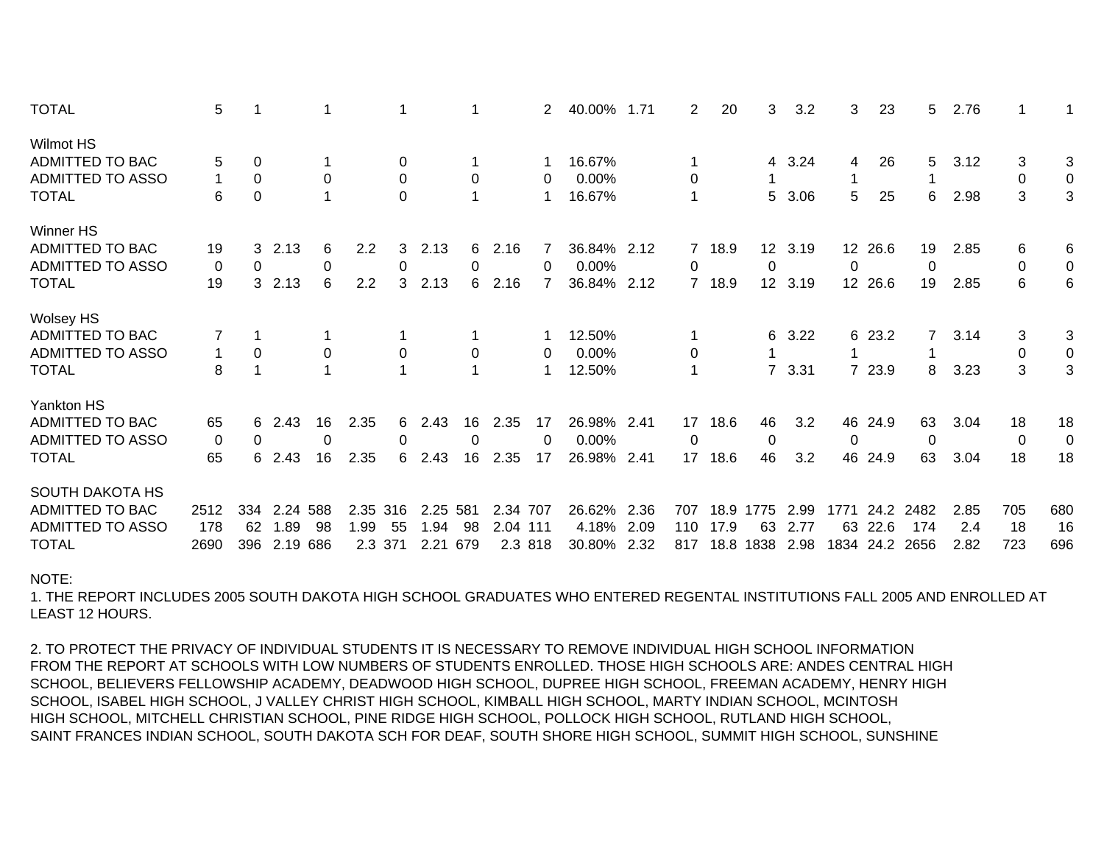| <b>TOTAL</b>            | 5    |     |      |     |      | 1           |      |          |      | $\mathbf{2}^{\prime}$ | 40.00%   | 1.71 | 2              | 20   | 3                | 3.2    | 3              | 23      | 5    | 2.76 | 1   |     |
|-------------------------|------|-----|------|-----|------|-------------|------|----------|------|-----------------------|----------|------|----------------|------|------------------|--------|----------------|---------|------|------|-----|-----|
| Wilmot HS               |      |     |      |     |      |             |      |          |      |                       |          |      |                |      |                  |        |                |         |      |      |     |     |
| ADMITTED TO BAC         | 5    | 0   |      |     |      | 0           |      |          |      |                       | 16.67%   |      |                |      |                  | 4 3.24 | 4              | 26      | 5    | 3.12 | 3   | 3   |
| ADMITTED TO ASSO        |      | 0   |      | 0   |      | 0           |      | 0        |      | 0                     | $0.00\%$ |      | 0              |      |                  |        |                |         |      |      | 0   | 0   |
| <b>TOTAL</b>            | 6    | 0   |      |     |      | $\mathbf 0$ |      |          |      |                       | 16.67%   |      |                |      | 5.               | 3.06   | 5              | 25      | 6    | 2.98 | 3   | 3   |
| Winner HS               |      |     |      |     |      |             |      |          |      |                       |          |      |                |      |                  |        |                |         |      |      |     |     |
| ADMITTED TO BAC         | 19   | 3   | 2.13 | 6   | 2.2  | 3           | 2.13 | 6        | 2.16 |                       | 36.84%   | 2.12 | $\mathbf{7}$   | 18.9 | 12 <sup>7</sup>  | 3.19   |                | 12 26.6 | 19   | 2.85 | 6   | 6   |
| <b>ADMITTED TO ASSO</b> | 0    | 0   |      | 0   |      | 0           |      | $\Omega$ |      | 0                     | 0.00%    |      | 0              |      | 0                |        | 0              |         | 0    |      | 0   | 0   |
| <b>TOTAL</b>            | 19   | 3   | 2.13 | 6   | 2.2  | 3           | 2.13 | 6        | 2.16 |                       | 36.84%   | 2.12 | $\overline{7}$ | 18.9 | 12 <sup>12</sup> | 3.19   |                | 12 26.6 | 19   | 2.85 | 6   | 6   |
| <b>Wolsey HS</b>        |      |     |      |     |      |             |      |          |      |                       |          |      |                |      |                  |        |                |         |      |      |     |     |
| <b>ADMITTED TO BAC</b>  |      |     |      |     |      |             |      |          |      |                       | 12.50%   |      |                |      | 6                | 3.22   |                | 6 23.2  | 7    | 3.14 | 3   | 3   |
| ADMITTED TO ASSO        |      | 0   |      | 0   |      | 0           |      | 0        |      | 0                     | 0.00%    |      | 0              |      |                  |        |                |         |      |      | 0   | 0   |
| <b>TOTAL</b>            | 8    |     |      |     |      | 1           |      |          |      |                       | 12.50%   |      |                |      | $7^{\circ}$      | 3.31   | $\overline{7}$ | 23.9    | 8    | 3.23 | 3   | 3   |
| <b>Yankton HS</b>       |      |     |      |     |      |             |      |          |      |                       |          |      |                |      |                  |        |                |         |      |      |     |     |
| <b>ADMITTED TO BAC</b>  | 65   | 6   | 2.43 | 16  | 2.35 | 6           | 2.43 | 16       | 2.35 | 17                    | 26.98%   | 2.41 | 17             | 18.6 | 46               | 3.2    | 46             | 24.9    | 63   | 3.04 | 18  | 18  |
| <b>ADMITTED TO ASSO</b> | 0    | 0   |      | 0   |      | 0           |      | 0        |      | 0                     | 0.00%    |      | 0              |      | 0                |        | 0              |         | 0    |      | 0   | - 0 |
| <b>TOTAL</b>            | 65   | 6   | 2.43 | 16  | 2.35 | 6           | 2.43 | 16       | 2.35 | 17                    | 26.98%   | 2.41 | 17             | 18.6 | 46               | 3.2    | 46             | 24.9    | 63   | 3.04 | 18  | 18  |
| SOUTH DAKOTA HS         |      |     |      |     |      |             |      |          |      |                       |          |      |                |      |                  |        |                |         |      |      |     |     |
| <b>ADMITTED TO BAC</b>  | 2512 | 334 | 2.24 | 588 | 2.35 | 316         | 2.25 | 581      | 2.34 | 707                   | 26.62%   | 2.36 | 707            | 18.9 | 1775             | 2.99   | 1771           | 24.2    | 2482 | 2.85 | 705 | 680 |
| <b>ADMITTED TO ASSO</b> | 178  | 62  | 1.89 | 98  | 1.99 | 55          | 1.94 | 98       | 2.04 | 111                   | 4.18%    | 2.09 | 110            | 17.9 | 63               | 2.77   | 63             | 22.6    | 174  | 2.4  | 18  | 16  |
| <b>TOTAL</b>            | 2690 | 396 | 2.19 | 686 | 2.3  | -371        | 2.21 | 679      |      | 2.3 818               | 30.80%   | 2.32 | 817            | 18.8 | 1838             | 2.98   | 1834           | 24.2    | 2656 | 2.82 | 723 | 696 |

## NOTE:

1. THE REPORT INCLUDES 2005 SOUTH DAKOTA HIGH SCHOOL GRADUATES WHO ENTERED REGENTAL INSTITUTIONS FALL 2005 AND ENROLLED AT LEAST 12 HOURS.

2. TO PROTECT THE PRIVACY OF INDIVIDUAL STUDENTS IT IS NECESSARY TO REMOVE INDIVIDUAL HIGH SCHOOL INFORMATION FROM THE REPORT AT SCHOOLS WITH LOW NUMBERS OF STUDENTS ENROLLED. THOSE HIGH SCHOOLS ARE: ANDES CENTRAL HIGH SCHOOL, BELIEVERS FELLOWSHIP ACADEMY, DEADWOOD HIGH SCHOOL, DUPREE HIGH SCHOOL, FREEMAN ACADEMY, HENRY HIGH SCHOOL, ISABEL HIGH SCHOOL, J VALLEY CHRIST HIGH SCHOOL, KIMBALL HIGH SCHOOL, MARTY INDIAN SCHOOL, MCINTOSH HIGH SCHOOL, MITCHELL CHRISTIAN SCHOOL, PINE RIDGE HIGH SCHOOL, POLLOCK HIGH SCHOOL, RUTLAND HIGH SCHOOL, SAINT FRANCES INDIAN SCHOOL, SOUTH DAKOTA SCH FOR DEAF, SOUTH SHORE HIGH SCHOOL, SUMMIT HIGH SCHOOL, SUNSHINE